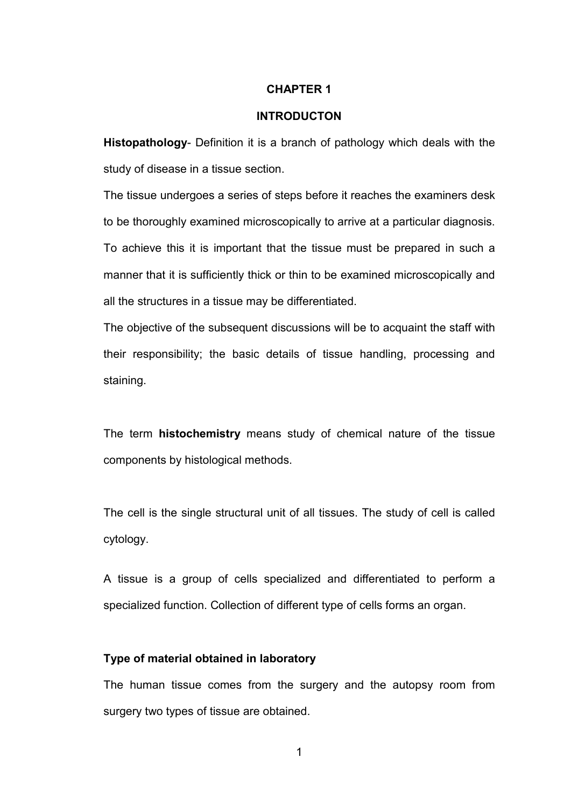#### **CHAPTER 1**

#### **INTRODUCTON**

**Histopathology**- Definition it is a branch of pathology which deals with the study of disease in a tissue section.

The tissue undergoes a series of steps before it reaches the examiners desk to be thoroughly examined microscopically to arrive at a particular diagnosis. To achieve this it is important that the tissue must be prepared in such a manner that it is sufficiently thick or thin to be examined microscopically and all the structures in a tissue may be differentiated.

The objective of the subsequent discussions will be to acquaint the staff with their responsibility; the basic details of tissue handling, processing and staining.

The term **histochemistry** means study of chemical nature of the tissue components by histological methods.

The cell is the single structural unit of all tissues. The study of cell is called cytology.

A tissue is a group of cells specialized and differentiated to perform a specialized function. Collection of different type of cells forms an organ.

#### **Type of material obtained in laboratory**

The human tissue comes from the surgery and the autopsy room from surgery two types of tissue are obtained.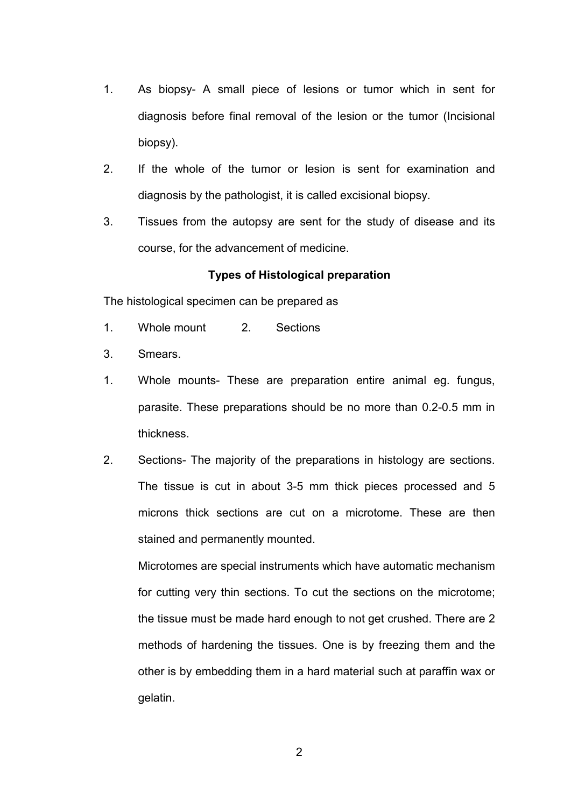- 1. As biopsy- A small piece of lesions or tumor which in sent for diagnosis before final removal of the lesion or the tumor (Incisional biopsy).
- 2. If the whole of the tumor or lesion is sent for examination and diagnosis by the pathologist, it is called excisional biopsy.
- 3. Tissues from the autopsy are sent for the study of disease and its course, for the advancement of medicine.

## **Types of Histological preparation**

The histological specimen can be prepared as

- 1. Whole mount 2. Sections
- 3. Smears.
- 1. Whole mounts- These are preparation entire animal eg. fungus, parasite. These preparations should be no more than 0.2-0.5 mm in thickness.
- 2. Sections- The majority of the preparations in histology are sections. The tissue is cut in about 3-5 mm thick pieces processed and 5 microns thick sections are cut on a microtome. These are then stained and permanently mounted.

 Microtomes are special instruments which have automatic mechanism for cutting very thin sections. To cut the sections on the microtome; the tissue must be made hard enough to not get crushed. There are 2 methods of hardening the tissues. One is by freezing them and the other is by embedding them in a hard material such at paraffin wax or gelatin.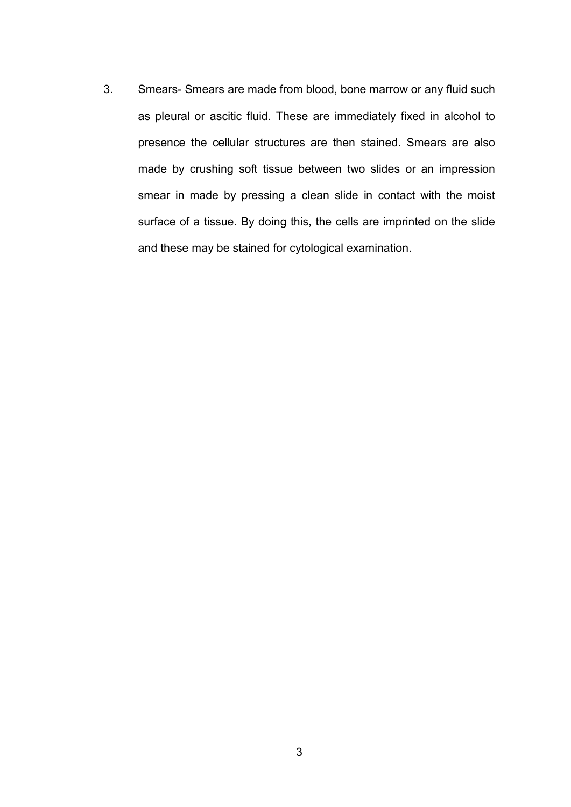3. Smears- Smears are made from blood, bone marrow or any fluid such as pleural or ascitic fluid. These are immediately fixed in alcohol to presence the cellular structures are then stained. Smears are also made by crushing soft tissue between two slides or an impression smear in made by pressing a clean slide in contact with the moist surface of a tissue. By doing this, the cells are imprinted on the slide and these may be stained for cytological examination.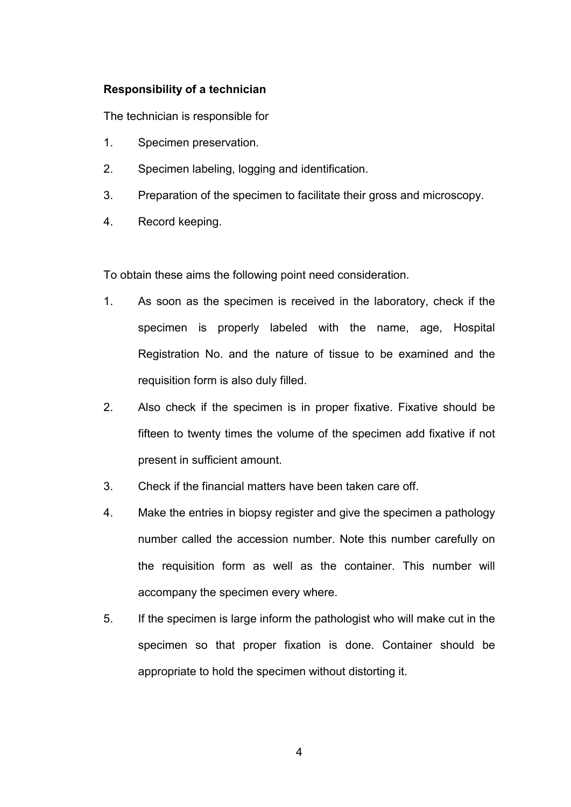## **Responsibility of a technician**

The technician is responsible for

- 1. Specimen preservation.
- 2. Specimen labeling, logging and identification.
- 3. Preparation of the specimen to facilitate their gross and microscopy.
- 4. Record keeping.

To obtain these aims the following point need consideration.

- 1. As soon as the specimen is received in the laboratory, check if the specimen is properly labeled with the name, age, Hospital Registration No. and the nature of tissue to be examined and the requisition form is also duly filled.
- 2. Also check if the specimen is in proper fixative. Fixative should be fifteen to twenty times the volume of the specimen add fixative if not present in sufficient amount.
- 3. Check if the financial matters have been taken care off.
- 4. Make the entries in biopsy register and give the specimen a pathology number called the accession number. Note this number carefully on the requisition form as well as the container. This number will accompany the specimen every where.
- 5. If the specimen is large inform the pathologist who will make cut in the specimen so that proper fixation is done. Container should be appropriate to hold the specimen without distorting it.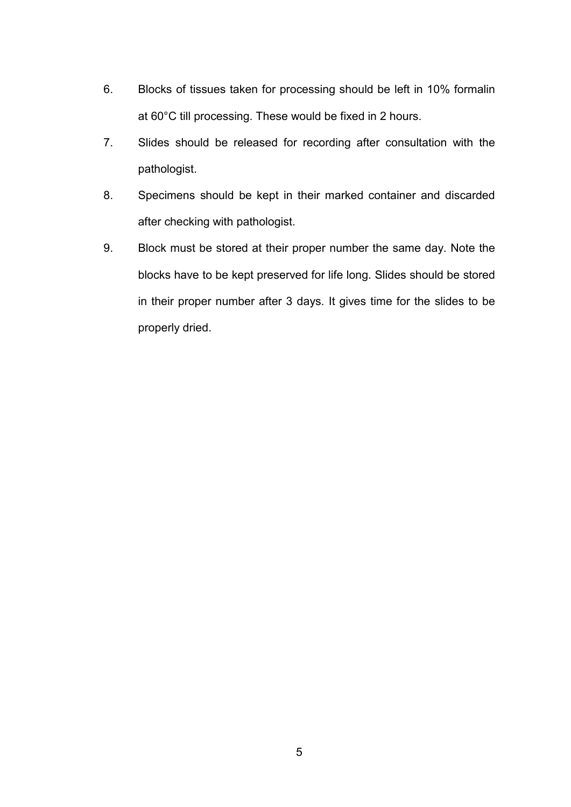- 6. Blocks of tissues taken for processing should be left in 10% formalin at 60°C till processing. These would be fixed in 2 hours.
- 7. Slides should be released for recording after consultation with the pathologist.
- 8. Specimens should be kept in their marked container and discarded after checking with pathologist.
- 9. Block must be stored at their proper number the same day. Note the blocks have to be kept preserved for life long. Slides should be stored in their proper number after 3 days. It gives time for the slides to be properly dried.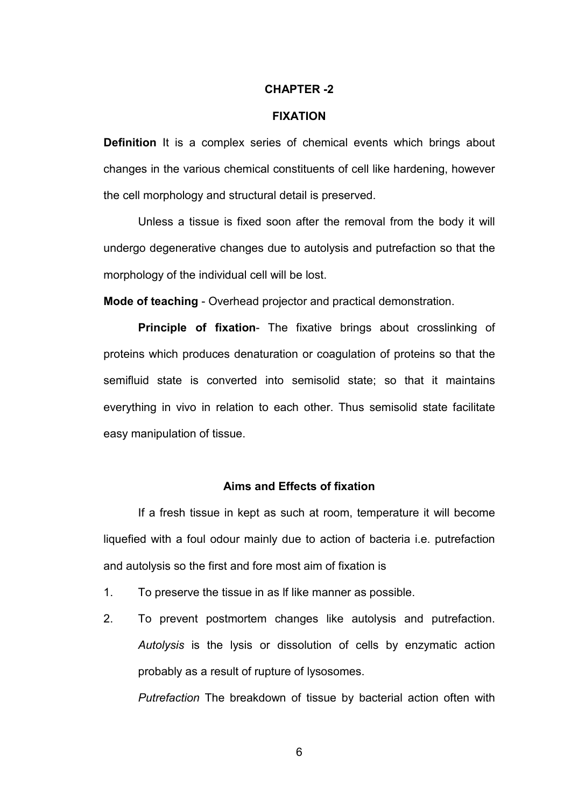#### **CHAPTER -2**

#### **FIXATION**

**Definition** It is a complex series of chemical events which brings about changes in the various chemical constituents of cell like hardening, however the cell morphology and structural detail is preserved.

Unless a tissue is fixed soon after the removal from the body it will undergo degenerative changes due to autolysis and putrefaction so that the morphology of the individual cell will be lost.

**Mode of teaching** - Overhead projector and practical demonstration.

**Principle of fixation**- The fixative brings about crosslinking of proteins which produces denaturation or coagulation of proteins so that the semifluid state is converted into semisolid state; so that it maintains everything in vivo in relation to each other. Thus semisolid state facilitate easy manipulation of tissue.

#### **Aims and Effects of fixation**

 If a fresh tissue in kept as such at room, temperature it will become liquefied with a foul odour mainly due to action of bacteria i.e. putrefaction and autolysis so the first and fore most aim of fixation is

- 1. To preserve the tissue in as lf like manner as possible.
- 2. To prevent postmortem changes like autolysis and putrefaction. *Autolysis* is the lysis or dissolution of cells by enzymatic action probably as a result of rupture of lysosomes.

*Putrefaction* The breakdown of tissue by bacterial action often with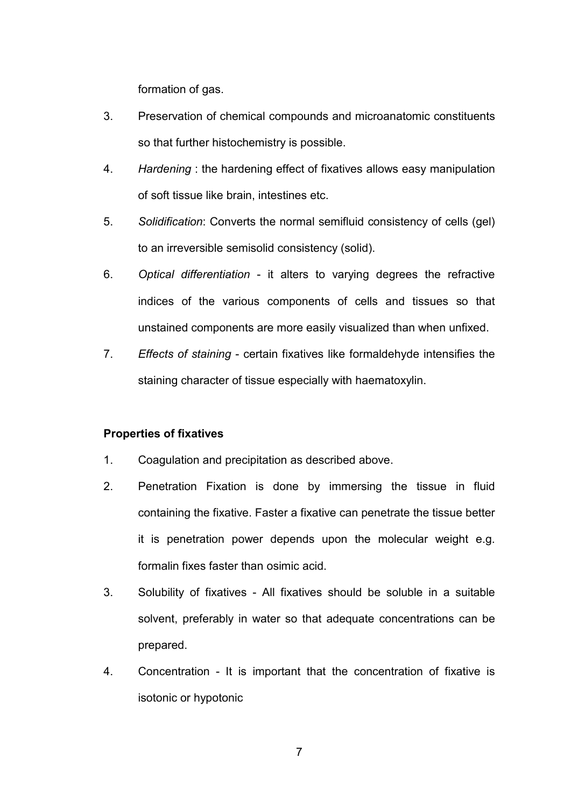formation of gas.

- 3. Preservation of chemical compounds and microanatomic constituents so that further histochemistry is possible.
- 4. *Hardening* : the hardening effect of fixatives allows easy manipulation of soft tissue like brain, intestines etc.
- 5. *Solidification*: Converts the normal semifluid consistency of cells (gel) to an irreversible semisolid consistency (solid).
- 6. *Optical differentiation*  it alters to varying degrees the refractive indices of the various components of cells and tissues so that unstained components are more easily visualized than when unfixed.
- 7. *Effects of staining*  certain fixatives like formaldehyde intensifies the staining character of tissue especially with haematoxylin.

## **Properties of fixatives**

- 1. Coagulation and precipitation as described above.
- 2. Penetration Fixation is done by immersing the tissue in fluid containing the fixative. Faster a fixative can penetrate the tissue better it is penetration power depends upon the molecular weight e.g. formalin fixes faster than osimic acid.
- 3. Solubility of fixatives All fixatives should be soluble in a suitable solvent, preferably in water so that adequate concentrations can be prepared.
- 4. Concentration It is important that the concentration of fixative is isotonic or hypotonic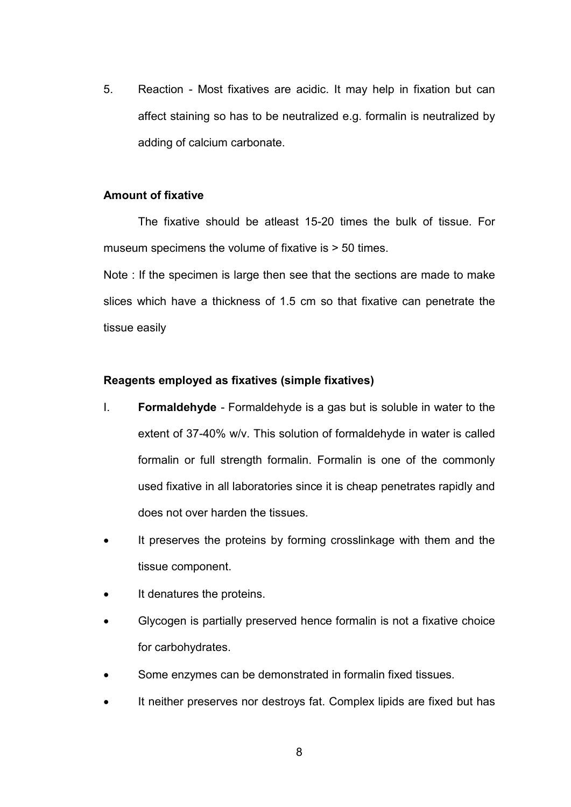5. Reaction - Most fixatives are acidic. It may help in fixation but can affect staining so has to be neutralized e.g. formalin is neutralized by adding of calcium carbonate.

## **Amount of fixative**

The fixative should be atleast 15-20 times the bulk of tissue. For museum specimens the volume of fixative is > 50 times.

Note : If the specimen is large then see that the sections are made to make slices which have a thickness of 1.5 cm so that fixative can penetrate the tissue easily

## **Reagents employed as fixatives (simple fixatives)**

- I. **Formaldehyde**  Formaldehyde is a gas but is soluble in water to the extent of 37-40% w/v. This solution of formaldehyde in water is called formalin or full strength formalin. Formalin is one of the commonly used fixative in all laboratories since it is cheap penetrates rapidly and does not over harden the tissues.
- It preserves the proteins by forming crosslinkage with them and the tissue component.
- It denatures the proteins.
- Glycogen is partially preserved hence formalin is not a fixative choice for carbohydrates.
- Some enzymes can be demonstrated in formalin fixed tissues.
- It neither preserves nor destroys fat. Complex lipids are fixed but has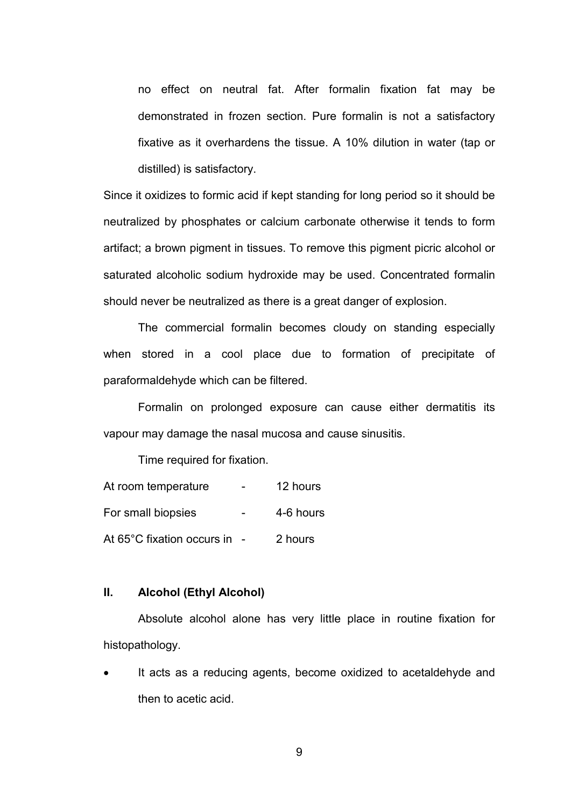no effect on neutral fat. After formalin fixation fat may be demonstrated in frozen section. Pure formalin is not a satisfactory fixative as it overhardens the tissue. A 10% dilution in water (tap or distilled) is satisfactory.

Since it oxidizes to formic acid if kept standing for long period so it should be neutralized by phosphates or calcium carbonate otherwise it tends to form artifact; a brown pigment in tissues. To remove this pigment picric alcohol or saturated alcoholic sodium hydroxide may be used. Concentrated formalin should never be neutralized as there is a great danger of explosion.

 The commercial formalin becomes cloudy on standing especially when stored in a cool place due to formation of precipitate of paraformaldehyde which can be filtered.

 Formalin on prolonged exposure can cause either dermatitis its vapour may damage the nasal mucosa and cause sinusitis.

Time required for fixation.

| At room temperature        | 12 hours  |
|----------------------------|-----------|
| For small biopsies         | 4-6 hours |
| At 65°C fixation occurs in | 2 hours   |

#### **II. Alcohol (Ethyl Alcohol)**

Absolute alcohol alone has very little place in routine fixation for histopathology.

It acts as a reducing agents, become oxidized to acetaldehyde and then to acetic acid.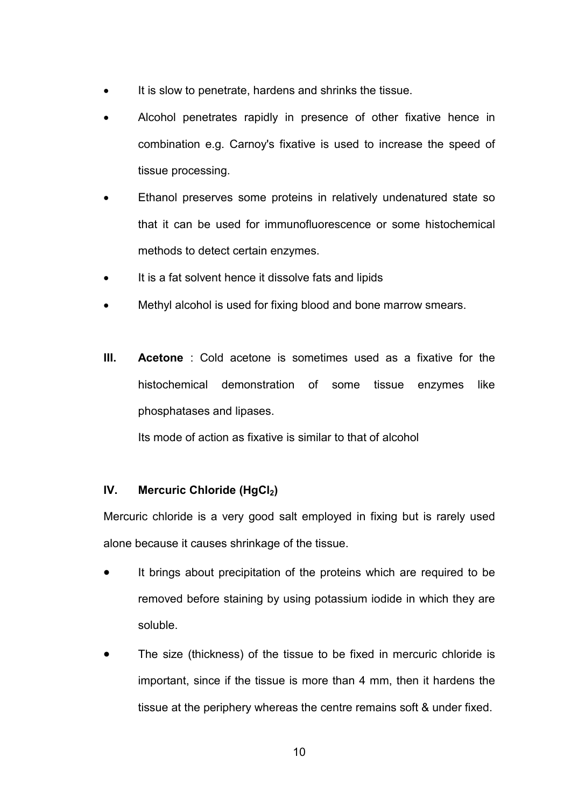- It is slow to penetrate, hardens and shrinks the tissue.
- Alcohol penetrates rapidly in presence of other fixative hence in combination e.g. Carnoy's fixative is used to increase the speed of tissue processing.
- Ethanol preserves some proteins in relatively undenatured state so that it can be used for immunofluorescence or some histochemical methods to detect certain enzymes.
- It is a fat solvent hence it dissolve fats and lipids
- Methyl alcohol is used for fixing blood and bone marrow smears.
- **III. Acetone** : Cold acetone is sometimes used as a fixative for the histochemical demonstration of some tissue enzymes like phosphatases and lipases.

Its mode of action as fixative is similar to that of alcohol

# **IV. Mercuric Chloride (HgCl2)**

Mercuric chloride is a very good salt employed in fixing but is rarely used alone because it causes shrinkage of the tissue.

- It brings about precipitation of the proteins which are required to be removed before staining by using potassium iodide in which they are soluble.
- The size (thickness) of the tissue to be fixed in mercuric chloride is important, since if the tissue is more than 4 mm, then it hardens the tissue at the periphery whereas the centre remains soft & under fixed.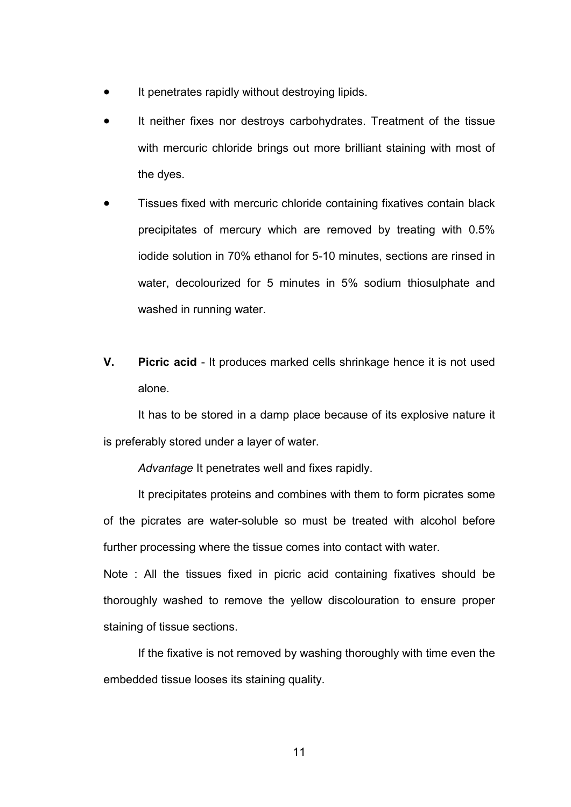- It penetrates rapidly without destroying lipids.
- It neither fixes nor destroys carbohydrates. Treatment of the tissue with mercuric chloride brings out more brilliant staining with most of the dyes.
- Tissues fixed with mercuric chloride containing fixatives contain black precipitates of mercury which are removed by treating with 0.5% iodide solution in 70% ethanol for 5-10 minutes, sections are rinsed in water, decolourized for 5 minutes in 5% sodium thiosulphate and washed in running water.
- **V. Picric acid**  It produces marked cells shrinkage hence it is not used alone.

It has to be stored in a damp place because of its explosive nature it is preferably stored under a layer of water.

*Advantage* It penetrates well and fixes rapidly.

It precipitates proteins and combines with them to form picrates some of the picrates are water-soluble so must be treated with alcohol before further processing where the tissue comes into contact with water.

Note : All the tissues fixed in picric acid containing fixatives should be thoroughly washed to remove the yellow discolouration to ensure proper staining of tissue sections.

 If the fixative is not removed by washing thoroughly with time even the embedded tissue looses its staining quality.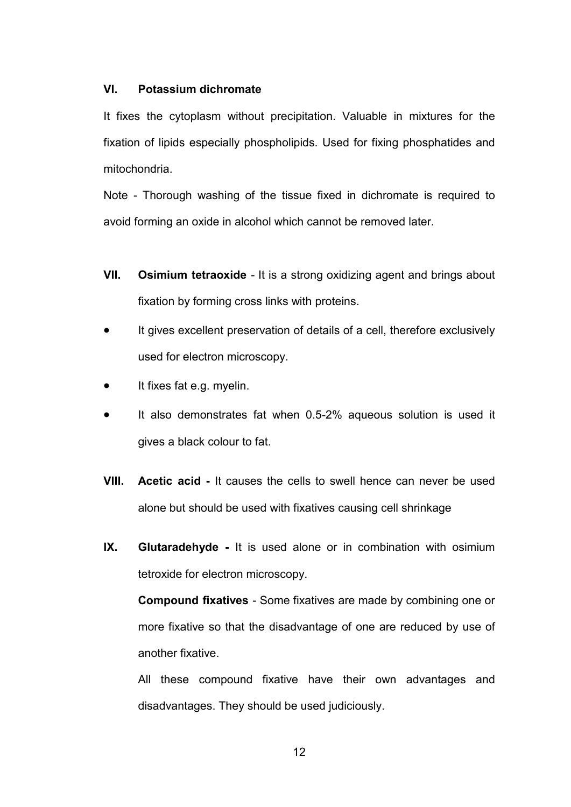## **VI. Potassium dichromate**

It fixes the cytoplasm without precipitation. Valuable in mixtures for the fixation of lipids especially phospholipids. Used for fixing phosphatides and mitochondria.

Note - Thorough washing of the tissue fixed in dichromate is required to avoid forming an oxide in alcohol which cannot be removed later.

- **VII.** Osimium tetraoxide It is a strong oxidizing agent and brings about fixation by forming cross links with proteins.
- It gives excellent preservation of details of a cell, therefore exclusively used for electron microscopy.
- It fixes fat e.g. myelin.
- It also demonstrates fat when 0.5-2% aqueous solution is used it gives a black colour to fat.
- **VIII. Acetic acid** It causes the cells to swell hence can never be used alone but should be used with fixatives causing cell shrinkage
- **IX. Glutaradehyde** It is used alone or in combination with osimium tetroxide for electron microscopy.

**Compound fixatives** - Some fixatives are made by combining one or more fixative so that the disadvantage of one are reduced by use of another fixative.

All these compound fixative have their own advantages and disadvantages. They should be used judiciously.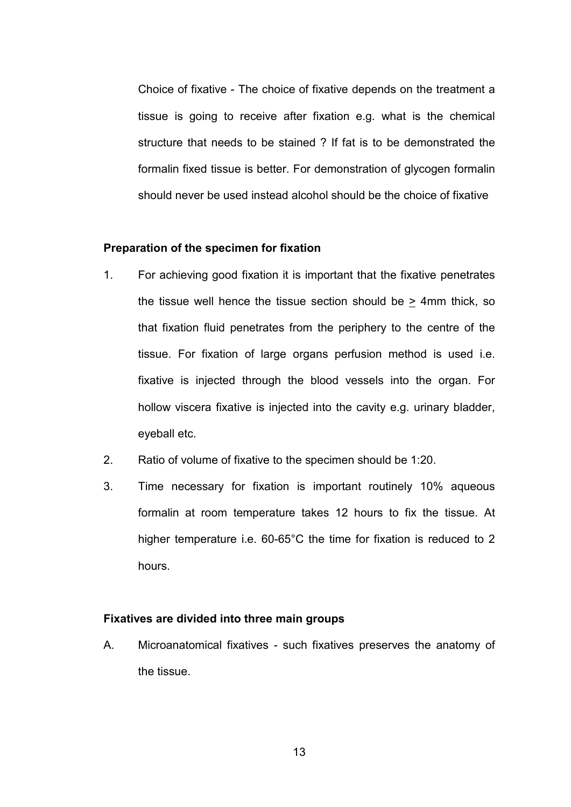Choice of fixative - The choice of fixative depends on the treatment a tissue is going to receive after fixation e.g. what is the chemical structure that needs to be stained ? If fat is to be demonstrated the formalin fixed tissue is better. For demonstration of glycogen formalin should never be used instead alcohol should be the choice of fixative

#### **Preparation of the specimen for fixation**

- 1. For achieving good fixation it is important that the fixative penetrates the tissue well hence the tissue section should be > 4mm thick, so that fixation fluid penetrates from the periphery to the centre of the tissue. For fixation of large organs perfusion method is used i.e. fixative is injected through the blood vessels into the organ. For hollow viscera fixative is injected into the cavity e.g. urinary bladder, eyeball etc.
- 2. Ratio of volume of fixative to the specimen should be 1:20.
- 3. Time necessary for fixation is important routinely 10% aqueous formalin at room temperature takes 12 hours to fix the tissue. At higher temperature i.e. 60-65°C the time for fixation is reduced to 2 hours.

#### **Fixatives are divided into three main groups**

A. Microanatomical fixatives - such fixatives preserves the anatomy of the tissue.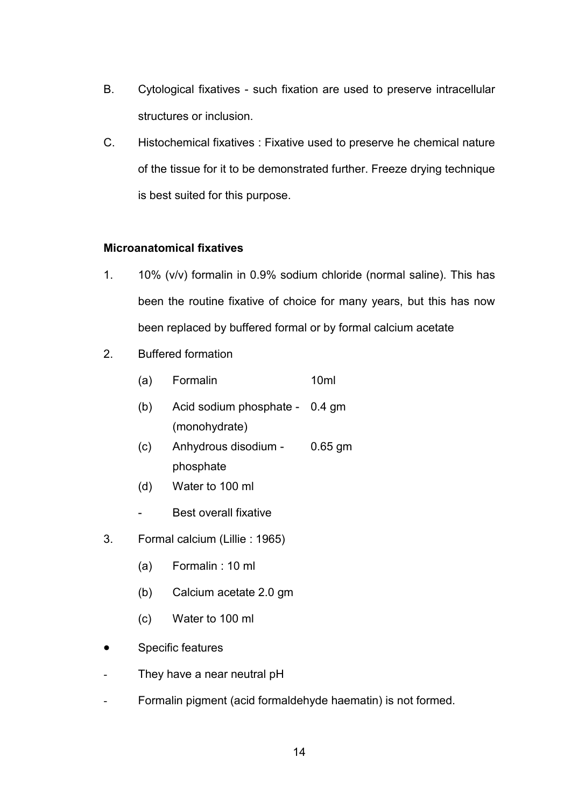- B. Cytological fixatives such fixation are used to preserve intracellular structures or inclusion.
- C. Histochemical fixatives : Fixative used to preserve he chemical nature of the tissue for it to be demonstrated further. Freeze drying technique is best suited for this purpose.

# **Microanatomical fixatives**

- 1. 10% (v/v) formalin in 0.9% sodium chloride (normal saline). This has been the routine fixative of choice for many years, but this has now been replaced by buffered formal or by formal calcium acetate
- 2. Buffered formation
	- (a) Formalin 10ml (b) Acid sodium phosphate - 0.4 gm (monohydrate)
	- (c) Anhydrous disodium 0.65 gm phosphate
	- (d) Water to 100 ml
	- Best overall fixative
- 3. Formal calcium (Lillie : 1965)
	- (a) Formalin : 10 ml
	- (b) Calcium acetate 2.0 gm
	- (c) Water to 100 ml
- Specific features
- They have a near neutral pH
- Formalin pigment (acid formaldehyde haematin) is not formed.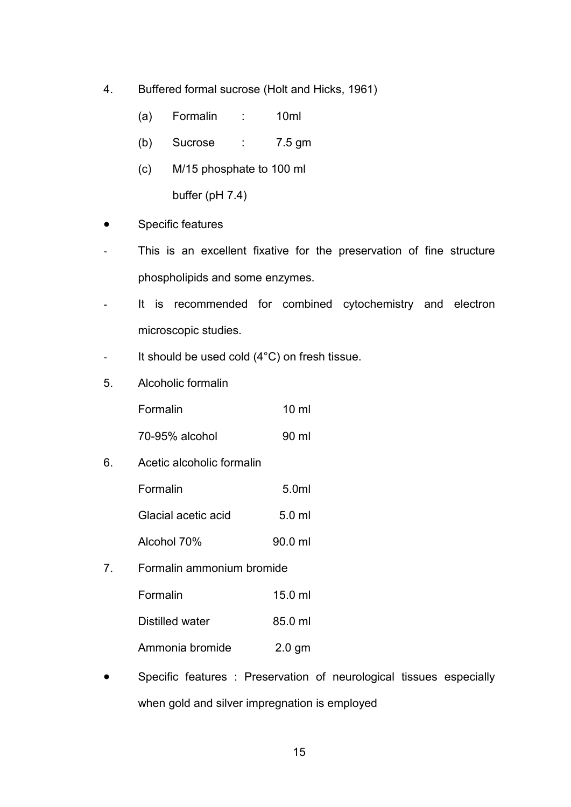- 4. Buffered formal sucrose (Holt and Hicks, 1961)
	- (a) Formalin : 10ml
	- (b) Sucrose : 7.5 gm
	- (c) M/15 phosphate to 100 ml buffer (pH 7.4)
- Specific features
- This is an excellent fixative for the preservation of fine structure phospholipids and some enzymes.
- It is recommended for combined cytochemistry and electron microscopic studies.
- It should be used cold (4°C) on fresh tissue.
- 5. Alcoholic formalin

| Formalin | $10 \mathrm{m}$ |
|----------|-----------------|
|          |                 |

- 70-95% alcohol 90 ml
- 6. Acetic alcoholic formalin

| Formalin            | 5.0ml            |
|---------------------|------------------|
| Glacial acetic acid | $5.0 \text{ ml}$ |
| Alcohol 70%         | 90.0 ml          |

7. Formalin ammonium bromide

| Formalin        | $15.0$ ml |
|-----------------|-----------|
| Distilled water | 85.0 ml   |

- Ammonia bromide 2.0 gm
- Specific features : Preservation of neurological tissues especially when gold and silver impregnation is employed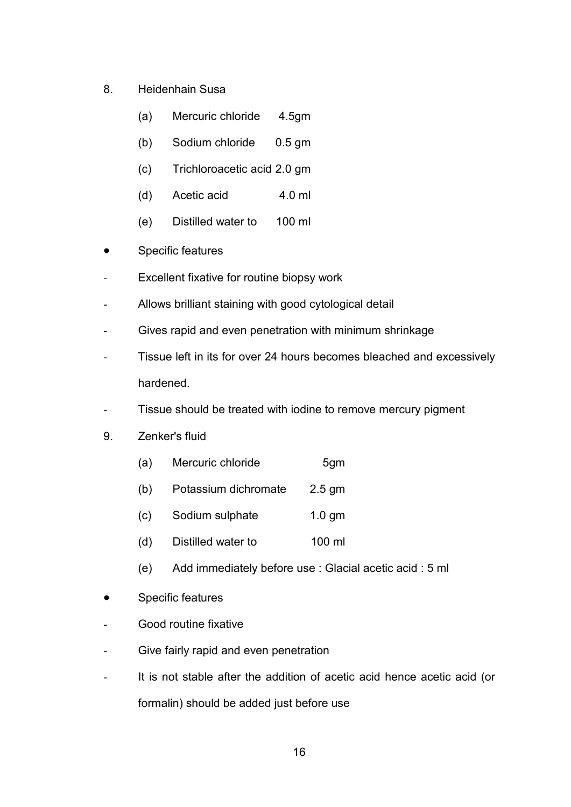- 8. Heidenhain Susa
	- (a) Mercuric chloride 4.5gm
	- (b) Sodium chloride 0.5 gm
	- (c) Trichloroacetic acid 2.0 gm
	- (d) Acetic acid 4.0 ml
	- (e) Distilled water to 100 ml
- Specific features
- Excellent fixative for routine biopsy work
- Allows brilliant staining with good cytological detail
- Gives rapid and even penetration with minimum shrinkage
- Tissue left in its for over 24 hours becomes bleached and excessively hardened.
- Tissue should be treated with iodine to remove mercury pigment
- 9. Zenker's fluid
	- (a) Mercuric chloride 5gm
	- (b) Potassium dichromate 2.5 gm
	- (c) Sodium sulphate 1.0 gm
	- (d) Distilled water to 100 ml
	- (e) Add immediately before use : Glacial acetic acid : 5 ml
- Specific features
- Good routine fixative
- Give fairly rapid and even penetration
- It is not stable after the addition of acetic acid hence acetic acid (or formalin) should be added just before use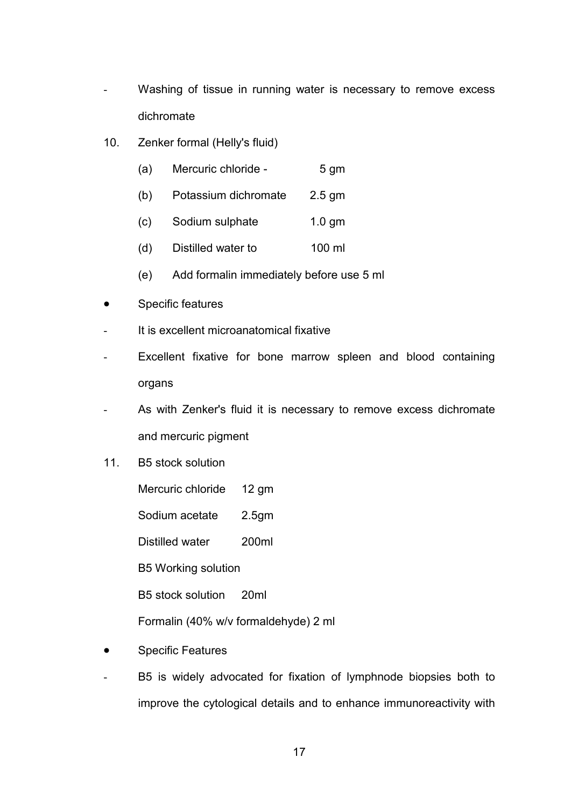- Washing of tissue in running water is necessary to remove excess dichromate
- 10. Zenker formal (Helly's fluid)
	- (a) Mercuric chloride 5 gm
	- (b) Potassium dichromate 2.5 gm
	- (c) Sodium sulphate 1.0 gm
	- (d) Distilled water to 100 ml
	- (e) Add formalin immediately before use 5 ml
- Specific features
- It is excellent microanatomical fixative
- Excellent fixative for bone marrow spleen and blood containing organs
- As with Zenker's fluid it is necessary to remove excess dichromate and mercuric pigment
- 11. B5 stock solution
	- Mercuric chloride 12 gm
	- Sodium acetate 2.5gm

Distilled water 200ml

B5 Working solution

B5 stock solution 20ml

Formalin (40% w/v formaldehyde) 2 ml

- Specific Features
- B5 is widely advocated for fixation of lymphnode biopsies both to improve the cytological details and to enhance immunoreactivity with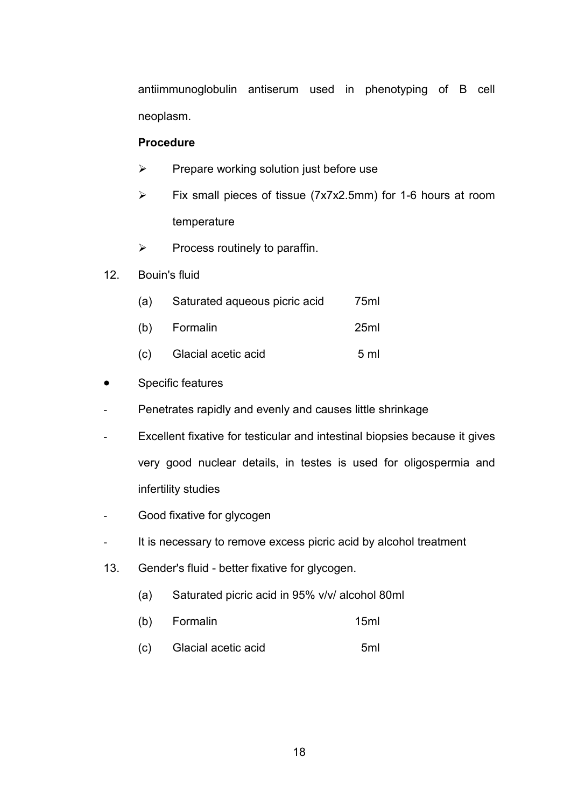antiimmunoglobulin antiserum used in phenotyping of B cell neoplasm.

## **Procedure**

- $\triangleright$  Prepare working solution just before use
- $\triangleright$  Fix small pieces of tissue (7x7x2.5mm) for 1-6 hours at room temperature
- $\triangleright$  Process routinely to paraffin.
- 12. Bouin's fluid

| (a) | Saturated aqueous picric acid | 75ml           |
|-----|-------------------------------|----------------|
|     | (b) Formalin                  | 25ml           |
| (C) | Glacial acetic acid           | 5 <sub>m</sub> |

- Specific features
- Penetrates rapidly and evenly and causes little shrinkage
- Excellent fixative for testicular and intestinal biopsies because it gives very good nuclear details, in testes is used for oligospermia and infertility studies
- Good fixative for glycogen
- It is necessary to remove excess picric acid by alcohol treatment
- 13. Gender's fluid better fixative for glycogen.
	- (a) Saturated picric acid in 95% v/v/ alcohol 80ml
	- (b) Formalin 15ml
	- (c) Glacial acetic acid 5ml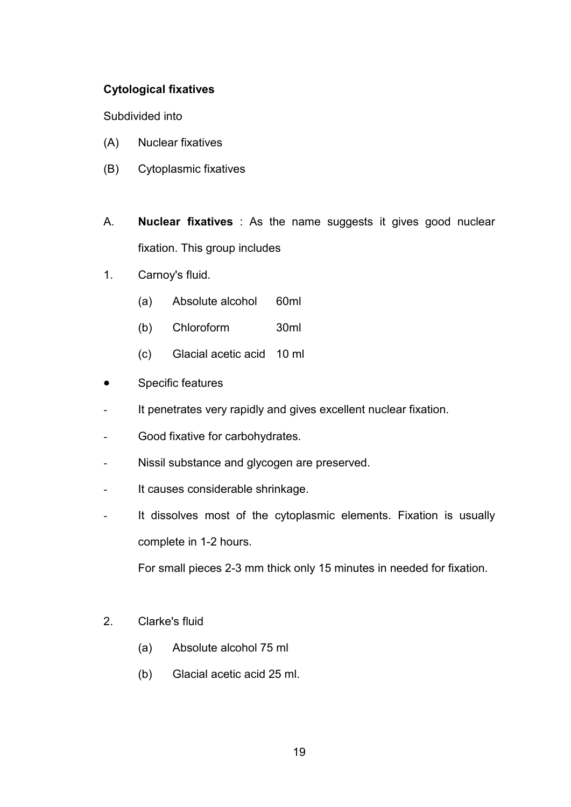# **Cytological fixatives**

Subdivided into

- (A) Nuclear fixatives
- (B) Cytoplasmic fixatives
- A. **Nuclear fixatives** : As the name suggests it gives good nuclear fixation. This group includes
- 1. Carnoy's fluid.
	- (a) Absolute alcohol 60ml
	- (b) Chloroform 30ml
	- (c) Glacial acetic acid 10 ml
- Specific features
- It penetrates very rapidly and gives excellent nuclear fixation.
- Good fixative for carbohydrates.
- Nissil substance and glycogen are preserved.
- It causes considerable shrinkage.
- It dissolves most of the cytoplasmic elements. Fixation is usually complete in 1-2 hours.

For small pieces 2-3 mm thick only 15 minutes in needed for fixation.

- 2. Clarke's fluid
	- (a) Absolute alcohol 75 ml
	- (b) Glacial acetic acid 25 ml.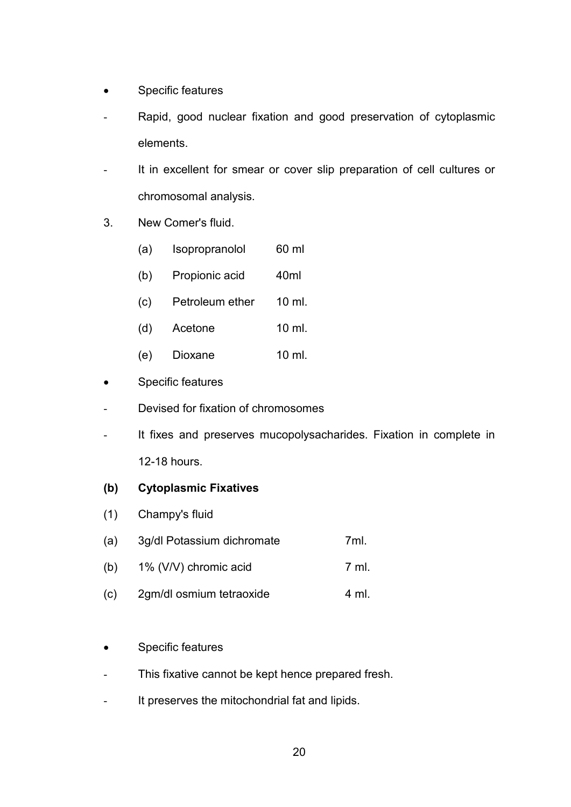- Specific features
- Rapid, good nuclear fixation and good preservation of cytoplasmic elements.
- It in excellent for smear or cover slip preparation of cell cultures or chromosomal analysis.
- 3. New Comer's fluid.
	- (a) Isopropranolol 60 ml
	- (b) Propionic acid 40ml
	- (c) Petroleum ether 10 ml.
	- (d) Acetone 10 ml.
	- (e) Dioxane 10 ml.
- Specific features
- Devised for fixation of chromosomes
- It fixes and preserves mucopolysacharides. Fixation in complete in 12-18 hours.

# **(b) Cytoplasmic Fixatives**

- (1) Champy's fluid
- (a) 3g/dl Potassium dichromate 7ml.
- (b)  $1\%$  (V/V) chromic acid  $7 \text{ ml}$ .
- (c) 2gm/dl osmium tetraoxide 4 ml.
- Specific features
- This fixative cannot be kept hence prepared fresh.
- It preserves the mitochondrial fat and lipids.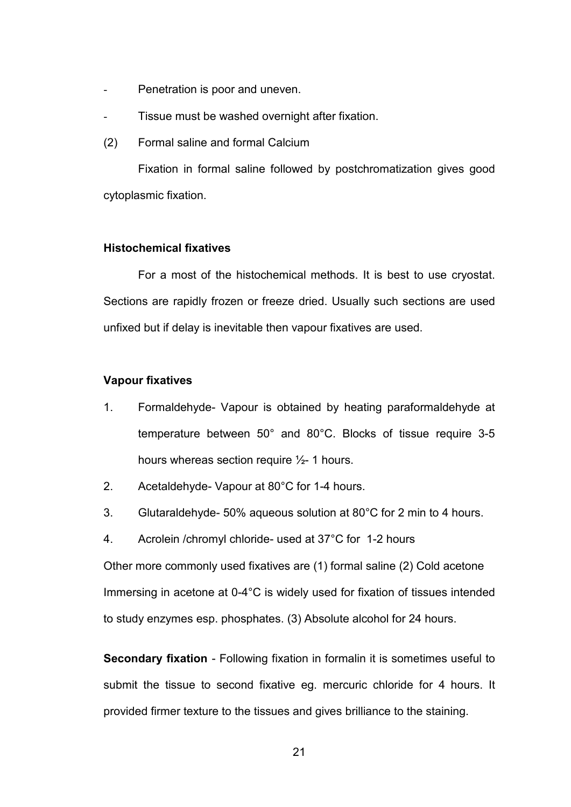- Penetration is poor and uneven.
- Tissue must be washed overnight after fixation.
- (2) Formal saline and formal Calcium

 Fixation in formal saline followed by postchromatization gives good cytoplasmic fixation.

#### **Histochemical fixatives**

 For a most of the histochemical methods. It is best to use cryostat. Sections are rapidly frozen or freeze dried. Usually such sections are used unfixed but if delay is inevitable then vapour fixatives are used.

#### **Vapour fixatives**

- 1. Formaldehyde- Vapour is obtained by heating paraformaldehyde at temperature between 50° and 80°C. Blocks of tissue require 3-5 hours whereas section require ½- 1 hours.
- 2. Acetaldehyde- Vapour at 80°C for 1-4 hours.
- 3. Glutaraldehyde- 50% aqueous solution at 80°C for 2 min to 4 hours.
- 4. Acrolein /chromyl chloride- used at 37°C for 1-2 hours

Other more commonly used fixatives are (1) formal saline (2) Cold acetone Immersing in acetone at 0-4°C is widely used for fixation of tissues intended to study enzymes esp. phosphates. (3) Absolute alcohol for 24 hours.

**Secondary fixation** - Following fixation in formalin it is sometimes useful to submit the tissue to second fixative eg. mercuric chloride for 4 hours. It provided firmer texture to the tissues and gives brilliance to the staining.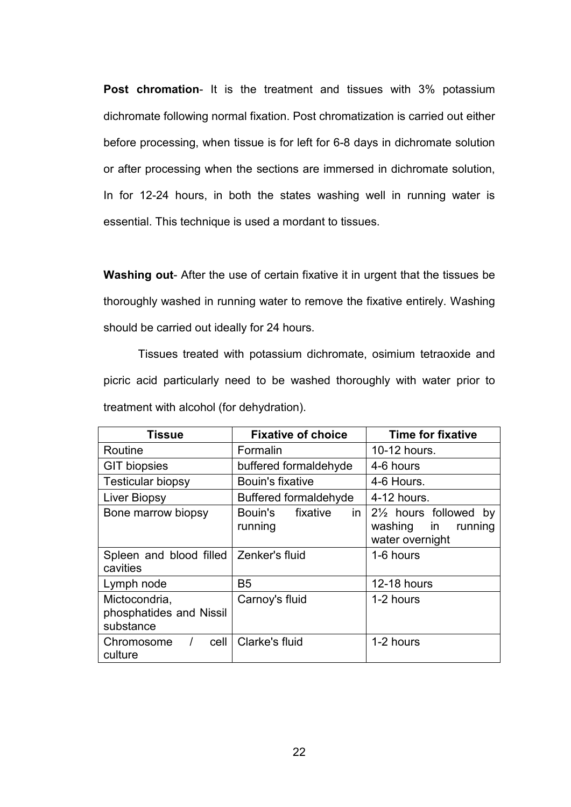**Post chromation**- It is the treatment and tissues with 3% potassium dichromate following normal fixation. Post chromatization is carried out either before processing, when tissue is for left for 6-8 days in dichromate solution or after processing when the sections are immersed in dichromate solution, In for 12-24 hours, in both the states washing well in running water is essential. This technique is used a mordant to tissues.

**Washing out**- After the use of certain fixative it in urgent that the tissues be thoroughly washed in running water to remove the fixative entirely. Washing should be carried out ideally for 24 hours.

 Tissues treated with potassium dichromate, osimium tetraoxide and picric acid particularly need to be washed thoroughly with water prior to treatment with alcohol (for dehydration).

| <b>Tissue</b>                                         | <b>Fixative of choice</b>            | <b>Time for fixative</b>                                                       |
|-------------------------------------------------------|--------------------------------------|--------------------------------------------------------------------------------|
| Routine                                               | Formalin                             | 10-12 hours.                                                                   |
| <b>GIT biopsies</b>                                   | buffered formaldehyde                | 4-6 hours                                                                      |
| <b>Testicular biopsy</b>                              | <b>Bouin's fixative</b>              | 4-6 Hours.                                                                     |
| Liver Biopsy                                          | <b>Buffered formaldehyde</b>         | 4-12 hours.                                                                    |
| Bone marrow biopsy                                    | in<br>fixative<br>Bouin's<br>running | 21/ <sub>2</sub> hours followed by<br>washing in<br>running<br>water overnight |
| Spleen and blood filled<br>cavities                   | Zenker's fluid                       | 1-6 hours                                                                      |
| Lymph node                                            | B <sub>5</sub>                       | 12-18 hours                                                                    |
| Mictocondria,<br>phosphatides and Nissil<br>substance | Carnoy's fluid                       | 1-2 hours                                                                      |
| Chromosome<br>cell<br>culture                         | Clarke's fluid                       | 1-2 hours                                                                      |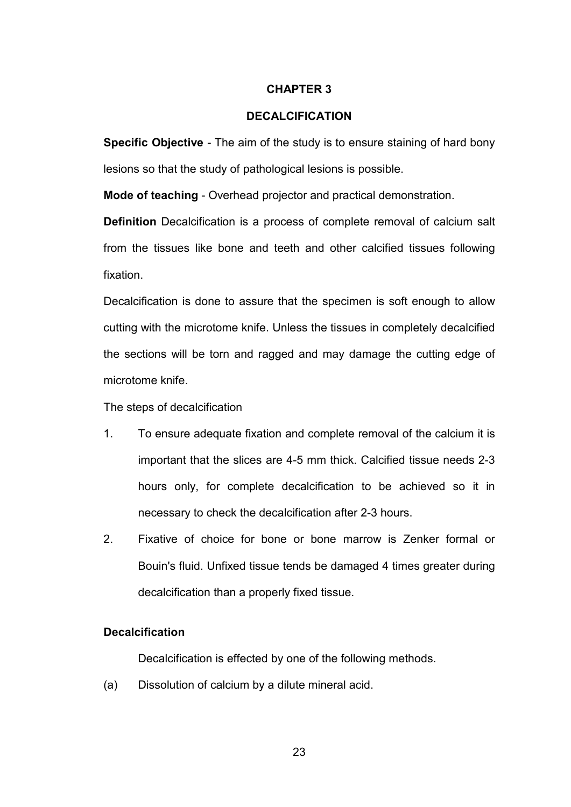#### **CHAPTER 3**

## **DECALCIFICATION**

**Specific Objective** - The aim of the study is to ensure staining of hard bony lesions so that the study of pathological lesions is possible.

**Mode of teaching** - Overhead projector and practical demonstration.

**Definition** Decalcification is a process of complete removal of calcium salt from the tissues like bone and teeth and other calcified tissues following fixation.

Decalcification is done to assure that the specimen is soft enough to allow cutting with the microtome knife. Unless the tissues in completely decalcified the sections will be torn and ragged and may damage the cutting edge of microtome knife.

The steps of decalcification

- 1. To ensure adequate fixation and complete removal of the calcium it is important that the slices are 4-5 mm thick. Calcified tissue needs 2-3 hours only, for complete decalcification to be achieved so it in necessary to check the decalcification after 2-3 hours.
- 2. Fixative of choice for bone or bone marrow is Zenker formal or Bouin's fluid. Unfixed tissue tends be damaged 4 times greater during decalcification than a properly fixed tissue.

## **Decalcification**

Decalcification is effected by one of the following methods.

(a) Dissolution of calcium by a dilute mineral acid.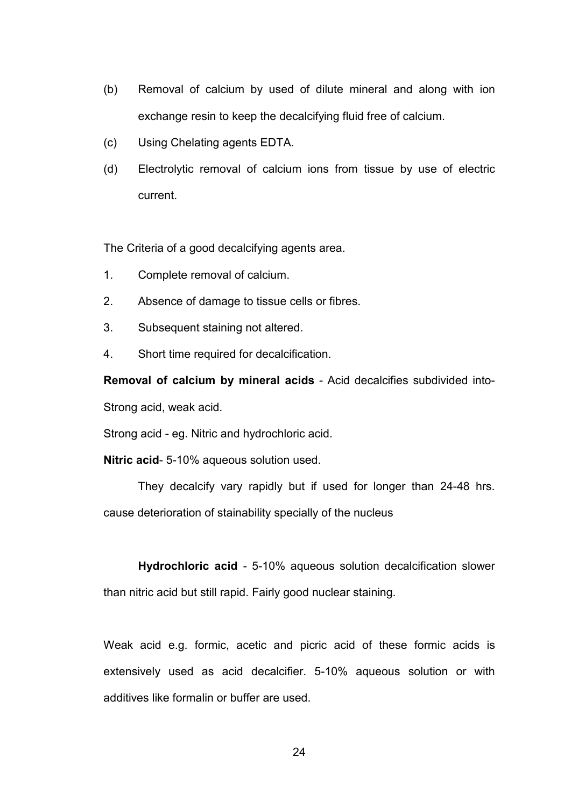- (b) Removal of calcium by used of dilute mineral and along with ion exchange resin to keep the decalcifying fluid free of calcium.
- (c) Using Chelating agents EDTA.
- (d) Electrolytic removal of calcium ions from tissue by use of electric current.

The Criteria of a good decalcifying agents area.

- 1. Complete removal of calcium.
- 2. Absence of damage to tissue cells or fibres.
- 3. Subsequent staining not altered.
- 4. Short time required for decalcification.

**Removal of calcium by mineral acids** - Acid decalcifies subdivided into-Strong acid, weak acid.

Strong acid - eg. Nitric and hydrochloric acid.

**Nitric acid**- 5-10% aqueous solution used.

 They decalcify vary rapidly but if used for longer than 24-48 hrs. cause deterioration of stainability specially of the nucleus

**Hydrochloric acid** - 5-10% aqueous solution decalcification slower than nitric acid but still rapid. Fairly good nuclear staining.

Weak acid e.g. formic, acetic and picric acid of these formic acids is extensively used as acid decalcifier. 5-10% aqueous solution or with additives like formalin or buffer are used.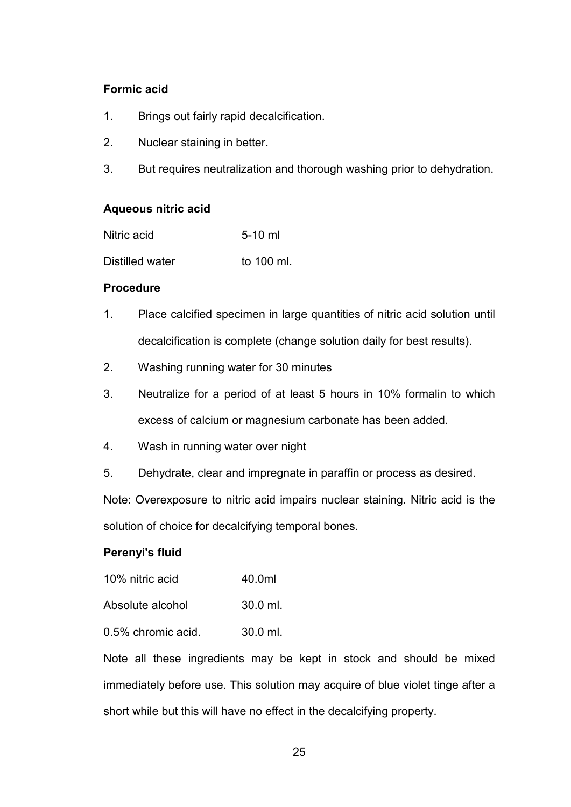# **Formic acid**

- 1. Brings out fairly rapid decalcification.
- 2. Nuclear staining in better.
- 3. But requires neutralization and thorough washing prior to dehydration.

## **Aqueous nitric acid**

| Nitric acid     | $5-10$ ml  |
|-----------------|------------|
| Distilled water | to 100 ml. |

#### **Procedure**

- 1. Place calcified specimen in large quantities of nitric acid solution until decalcification is complete (change solution daily for best results).
- 2. Washing running water for 30 minutes
- 3. Neutralize for a period of at least 5 hours in 10% formalin to which excess of calcium or magnesium carbonate has been added.
- 4. Wash in running water over night
- 5. Dehydrate, clear and impregnate in paraffin or process as desired.

Note: Overexposure to nitric acid impairs nuclear staining. Nitric acid is the solution of choice for decalcifying temporal bones.

## **Perenyi's fluid**

| 10% nitric acid | 40.0ml |
|-----------------|--------|
|-----------------|--------|

| Absolute alcohol | $30.0$ ml. |
|------------------|------------|
|                  |            |

0.5% chromic acid. 30.0 ml.

Note all these ingredients may be kept in stock and should be mixed immediately before use. This solution may acquire of blue violet tinge after a short while but this will have no effect in the decalcifying property.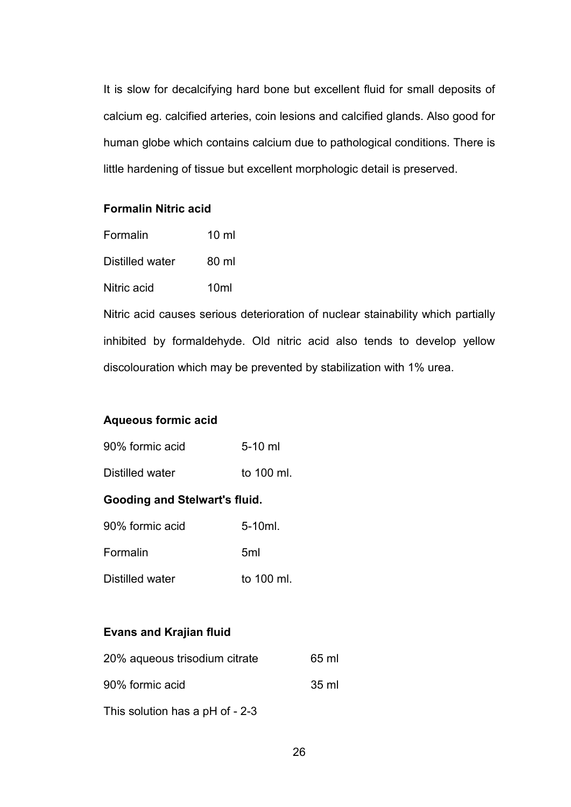It is slow for decalcifying hard bone but excellent fluid for small deposits of calcium eg. calcified arteries, coin lesions and calcified glands. Also good for human globe which contains calcium due to pathological conditions. There is little hardening of tissue but excellent morphologic detail is preserved.

## **Formalin Nitric acid**

| Formalin        | 10 ml |
|-----------------|-------|
| Distilled water | 80 ml |
| Nitric acid     | 10ml  |

Nitric acid causes serious deterioration of nuclear stainability which partially inhibited by formaldehyde. Old nitric acid also tends to develop yellow discolouration which may be prevented by stabilization with 1% urea.

## **Aqueous formic acid**

| 90% formic acid | $5-10$ ml |
|-----------------|-----------|
|                 |           |

Distilled water to 100 ml.

# **Gooding and Stelwart's fluid.**

| 90% formic acid | $5-10ml.$       |
|-----------------|-----------------|
| Formalin        | 5 <sub>ml</sub> |
| Distilled water | to 100 ml.      |

# **Evans and Krajian fluid**

| 20% aqueous trisodium citrate   | 65 ml |
|---------------------------------|-------|
| 90% formic acid                 | 35 ml |
| This solution has a pH of - 2-3 |       |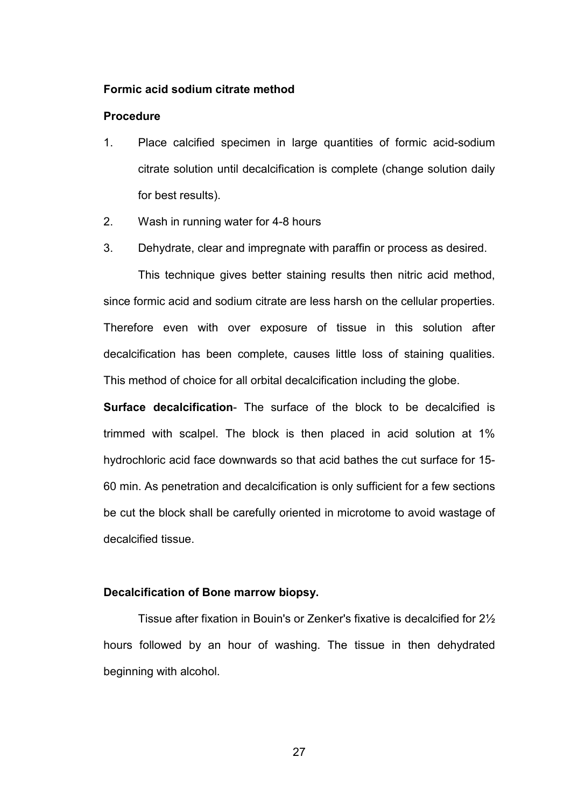#### **Formic acid sodium citrate method**

#### **Procedure**

- 1. Place calcified specimen in large quantities of formic acid-sodium citrate solution until decalcification is complete (change solution daily for best results).
- 2. Wash in running water for 4-8 hours
- 3. Dehydrate, clear and impregnate with paraffin or process as desired.

This technique gives better staining results then nitric acid method, since formic acid and sodium citrate are less harsh on the cellular properties. Therefore even with over exposure of tissue in this solution after decalcification has been complete, causes little loss of staining qualities. This method of choice for all orbital decalcification including the globe.

**Surface decalcification**- The surface of the block to be decalcified is trimmed with scalpel. The block is then placed in acid solution at 1% hydrochloric acid face downwards so that acid bathes the cut surface for 15- 60 min. As penetration and decalcification is only sufficient for a few sections be cut the block shall be carefully oriented in microtome to avoid wastage of decalcified tissue.

## **Decalcification of Bone marrow biopsy.**

 Tissue after fixation in Bouin's or Zenker's fixative is decalcified for 2½ hours followed by an hour of washing. The tissue in then dehydrated beginning with alcohol.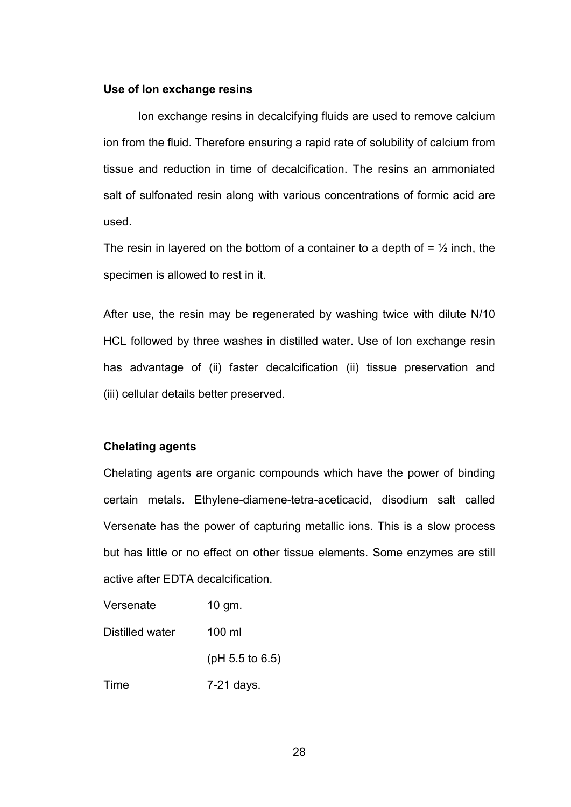#### **Use of Ion exchange resins**

Ion exchange resins in decalcifying fluids are used to remove calcium ion from the fluid. Therefore ensuring a rapid rate of solubility of calcium from tissue and reduction in time of decalcification. The resins an ammoniated salt of sulfonated resin along with various concentrations of formic acid are used.

The resin in layered on the bottom of a container to a depth of  $=$   $\frac{1}{2}$  inch, the specimen is allowed to rest in it.

After use, the resin may be regenerated by washing twice with dilute N/10 HCL followed by three washes in distilled water. Use of Ion exchange resin has advantage of (ii) faster decalcification (ii) tissue preservation and (iii) cellular details better preserved.

#### **Chelating agents**

Chelating agents are organic compounds which have the power of binding certain metals. Ethylene-diamene-tetra-aceticacid, disodium salt called Versenate has the power of capturing metallic ions. This is a slow process but has little or no effect on other tissue elements. Some enzymes are still active after EDTA decalcification.

| Versenate       | $10$ gm.           |
|-----------------|--------------------|
| Distilled water | 100 ml             |
|                 | ( $pH$ 5.5 to 6.5) |
| Time            | 7-21 days.         |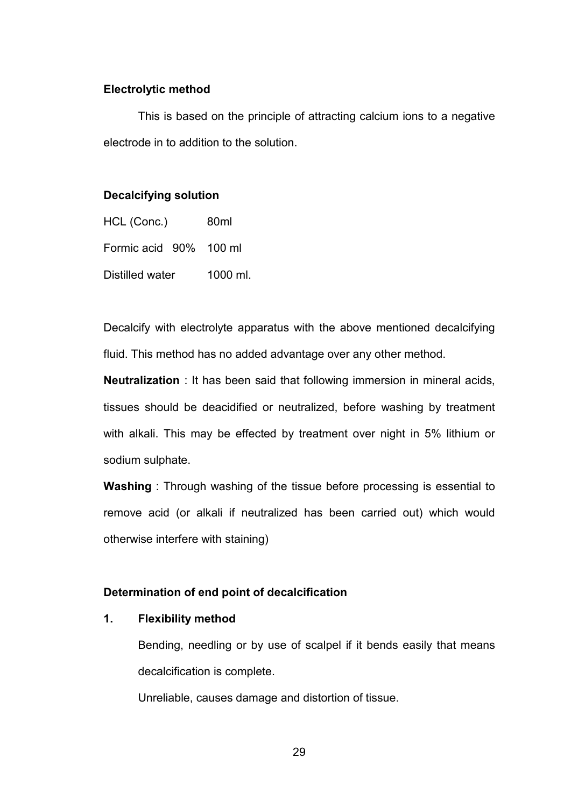#### **Electrolytic method**

 This is based on the principle of attracting calcium ions to a negative electrode in to addition to the solution.

#### **Decalcifying solution**

| HCL (Conc.)            |  | 80ml     |  |
|------------------------|--|----------|--|
| Formic acid 90% 100 ml |  |          |  |
| Distilled water        |  | 1000 ml. |  |

Decalcify with electrolyte apparatus with the above mentioned decalcifying fluid. This method has no added advantage over any other method.

**Neutralization** : It has been said that following immersion in mineral acids, tissues should be deacidified or neutralized, before washing by treatment with alkali. This may be effected by treatment over night in 5% lithium or sodium sulphate.

**Washing** : Through washing of the tissue before processing is essential to remove acid (or alkali if neutralized has been carried out) which would otherwise interfere with staining)

## **Determination of end point of decalcification**

#### **1. Flexibility method**

Bending, needling or by use of scalpel if it bends easily that means decalcification is complete.

Unreliable, causes damage and distortion of tissue.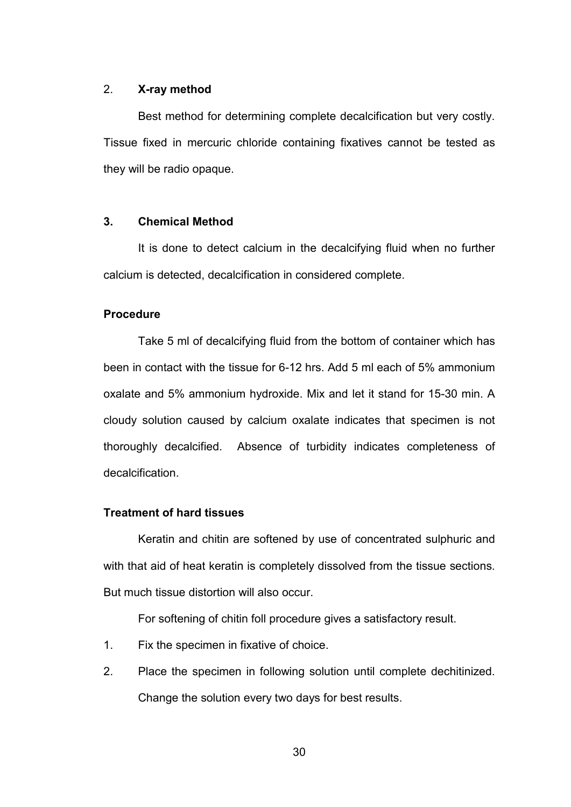#### 2. **X-ray method**

Best method for determining complete decalcification but very costly. Tissue fixed in mercuric chloride containing fixatives cannot be tested as they will be radio opaque.

#### **3. Chemical Method**

 It is done to detect calcium in the decalcifying fluid when no further calcium is detected, decalcification in considered complete.

#### **Procedure**

Take 5 ml of decalcifying fluid from the bottom of container which has been in contact with the tissue for 6-12 hrs. Add 5 ml each of 5% ammonium oxalate and 5% ammonium hydroxide. Mix and let it stand for 15-30 min. A cloudy solution caused by calcium oxalate indicates that specimen is not thoroughly decalcified. Absence of turbidity indicates completeness of decalcification.

#### **Treatment of hard tissues**

Keratin and chitin are softened by use of concentrated sulphuric and with that aid of heat keratin is completely dissolved from the tissue sections. But much tissue distortion will also occur.

For softening of chitin foll procedure gives a satisfactory result.

- 1. Fix the specimen in fixative of choice.
- 2. Place the specimen in following solution until complete dechitinized. Change the solution every two days for best results.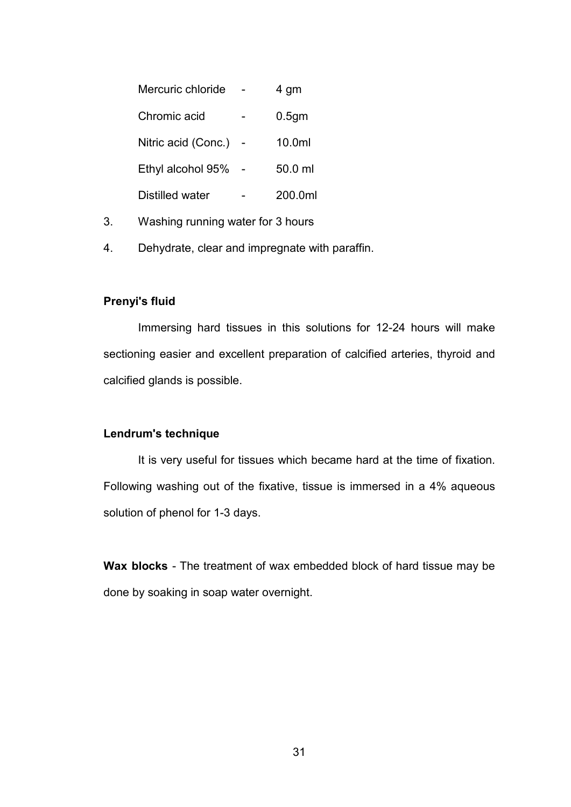| Mercuric chloride   | 4 gm              |
|---------------------|-------------------|
| Chromic acid        | 0.5 <sub>gm</sub> |
| Nitric acid (Conc.) | 10.0ml            |
| Ethyl alcohol 95%   | 50 0 ml           |
| Distilled water     | 200.0ml           |

- 3. Washing running water for 3 hours
- 4. Dehydrate, clear and impregnate with paraffin.

## **Prenyi's fluid**

 Immersing hard tissues in this solutions for 12-24 hours will make sectioning easier and excellent preparation of calcified arteries, thyroid and calcified glands is possible.

#### **Lendrum's technique**

 It is very useful for tissues which became hard at the time of fixation. Following washing out of the fixative, tissue is immersed in a 4% aqueous solution of phenol for 1-3 days.

**Wax blocks** - The treatment of wax embedded block of hard tissue may be done by soaking in soap water overnight.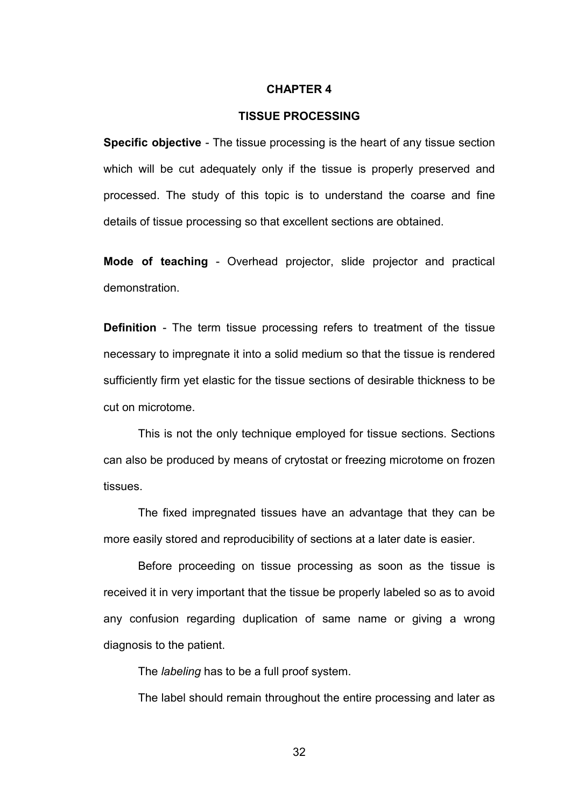#### **CHAPTER 4**

#### **TISSUE PROCESSING**

**Specific objective** - The tissue processing is the heart of any tissue section which will be cut adequately only if the tissue is properly preserved and processed. The study of this topic is to understand the coarse and fine details of tissue processing so that excellent sections are obtained.

**Mode of teaching** - Overhead projector, slide projector and practical demonstration.

**Definition** - The term tissue processing refers to treatment of the tissue necessary to impregnate it into a solid medium so that the tissue is rendered sufficiently firm yet elastic for the tissue sections of desirable thickness to be cut on microtome.

 This is not the only technique employed for tissue sections. Sections can also be produced by means of crytostat or freezing microtome on frozen tissues.

 The fixed impregnated tissues have an advantage that they can be more easily stored and reproducibility of sections at a later date is easier.

 Before proceeding on tissue processing as soon as the tissue is received it in very important that the tissue be properly labeled so as to avoid any confusion regarding duplication of same name or giving a wrong diagnosis to the patient.

The *labeling* has to be a full proof system.

The label should remain throughout the entire processing and later as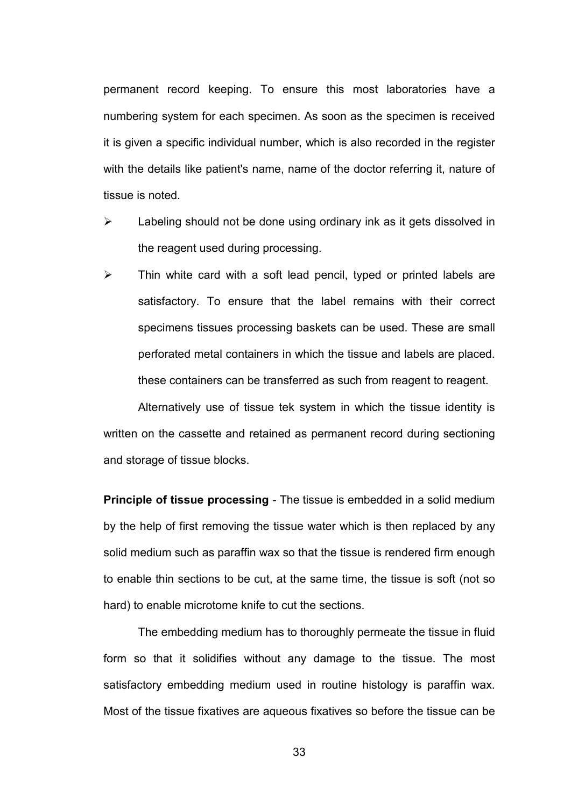permanent record keeping. To ensure this most laboratories have a numbering system for each specimen. As soon as the specimen is received it is given a specific individual number, which is also recorded in the register with the details like patient's name, name of the doctor referring it, nature of tissue is noted.

- $\triangleright$  Labeling should not be done using ordinary ink as it gets dissolved in the reagent used during processing.
- $\triangleright$  Thin white card with a soft lead pencil, typed or printed labels are satisfactory. To ensure that the label remains with their correct specimens tissues processing baskets can be used. These are small perforated metal containers in which the tissue and labels are placed. these containers can be transferred as such from reagent to reagent.

Alternatively use of tissue tek system in which the tissue identity is written on the cassette and retained as permanent record during sectioning and storage of tissue blocks.

**Principle of tissue processing** - The tissue is embedded in a solid medium by the help of first removing the tissue water which is then replaced by any solid medium such as paraffin wax so that the tissue is rendered firm enough to enable thin sections to be cut, at the same time, the tissue is soft (not so hard) to enable microtome knife to cut the sections.

 The embedding medium has to thoroughly permeate the tissue in fluid form so that it solidifies without any damage to the tissue. The most satisfactory embedding medium used in routine histology is paraffin wax. Most of the tissue fixatives are aqueous fixatives so before the tissue can be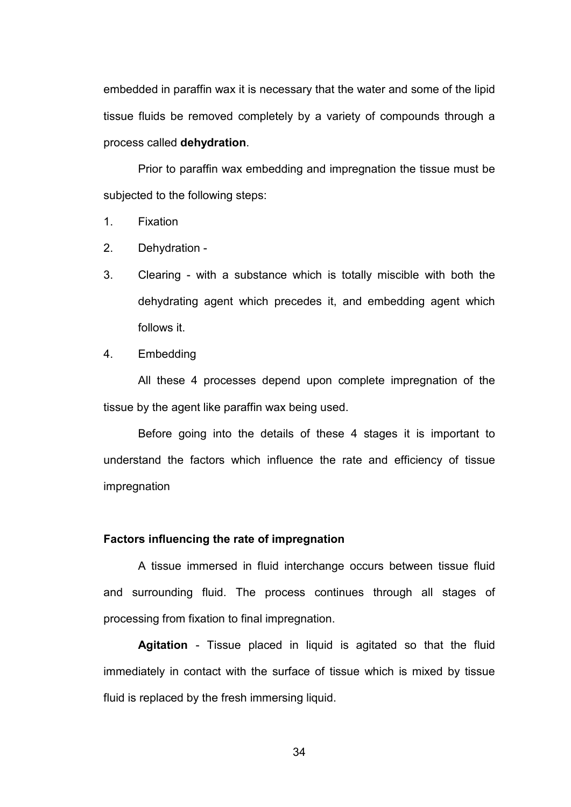embedded in paraffin wax it is necessary that the water and some of the lipid tissue fluids be removed completely by a variety of compounds through a process called **dehydration**.

 Prior to paraffin wax embedding and impregnation the tissue must be subjected to the following steps:

- 1. Fixation
- 2. Dehydration -
- 3. Clearing with a substance which is totally miscible with both the dehydrating agent which precedes it, and embedding agent which follows it.
- 4. Embedding

All these 4 processes depend upon complete impregnation of the tissue by the agent like paraffin wax being used.

Before going into the details of these 4 stages it is important to understand the factors which influence the rate and efficiency of tissue impregnation

## **Factors influencing the rate of impregnation**

 A tissue immersed in fluid interchange occurs between tissue fluid and surrounding fluid. The process continues through all stages of processing from fixation to final impregnation.

**Agitation** - Tissue placed in liquid is agitated so that the fluid immediately in contact with the surface of tissue which is mixed by tissue fluid is replaced by the fresh immersing liquid.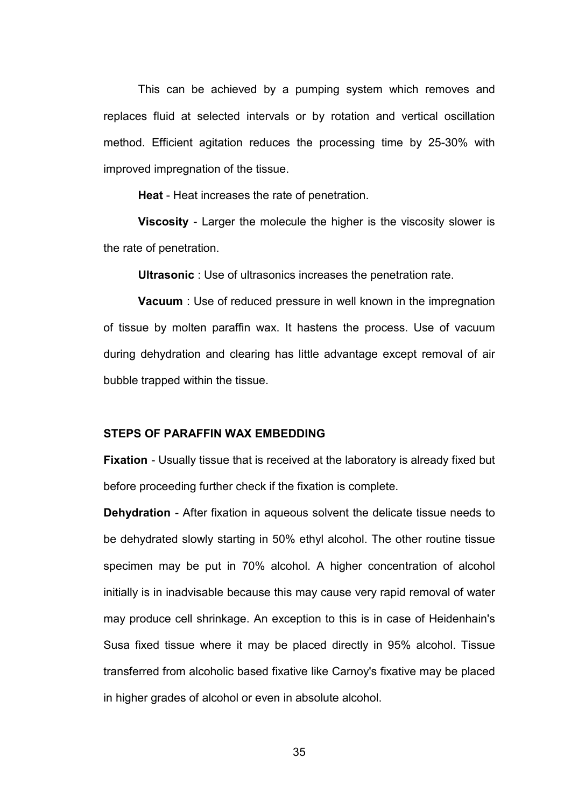This can be achieved by a pumping system which removes and replaces fluid at selected intervals or by rotation and vertical oscillation method. Efficient agitation reduces the processing time by 25-30% with improved impregnation of the tissue.

**Heat** - Heat increases the rate of penetration.

**Viscosity** - Larger the molecule the higher is the viscosity slower is the rate of penetration.

**Ultrasonic** : Use of ultrasonics increases the penetration rate.

**Vacuum** : Use of reduced pressure in well known in the impregnation of tissue by molten paraffin wax. It hastens the process. Use of vacuum during dehydration and clearing has little advantage except removal of air bubble trapped within the tissue.

## **STEPS OF PARAFFIN WAX EMBEDDING**

**Fixation** - Usually tissue that is received at the laboratory is already fixed but before proceeding further check if the fixation is complete.

**Dehydration** - After fixation in aqueous solvent the delicate tissue needs to be dehydrated slowly starting in 50% ethyl alcohol. The other routine tissue specimen may be put in 70% alcohol. A higher concentration of alcohol initially is in inadvisable because this may cause very rapid removal of water may produce cell shrinkage. An exception to this is in case of Heidenhain's Susa fixed tissue where it may be placed directly in 95% alcohol. Tissue transferred from alcoholic based fixative like Carnoy's fixative may be placed in higher grades of alcohol or even in absolute alcohol.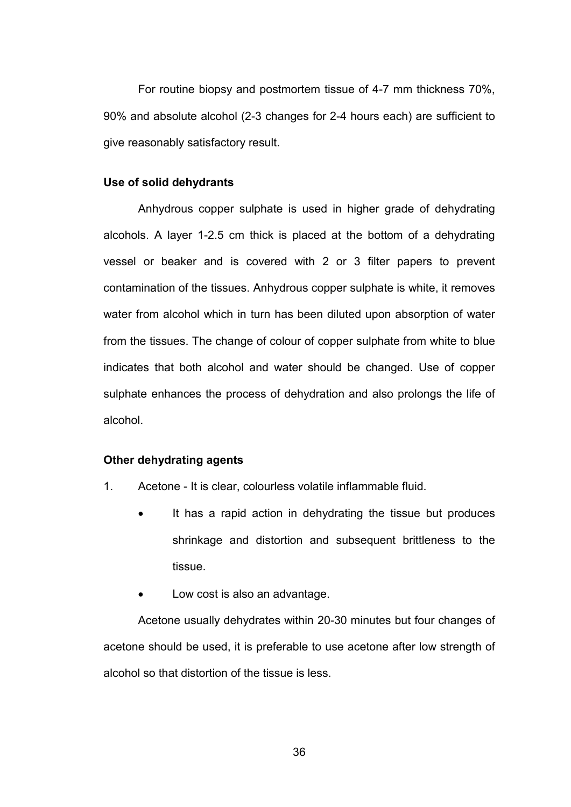For routine biopsy and postmortem tissue of 4-7 mm thickness 70%, 90% and absolute alcohol (2-3 changes for 2-4 hours each) are sufficient to give reasonably satisfactory result.

#### **Use of solid dehydrants**

 Anhydrous copper sulphate is used in higher grade of dehydrating alcohols. A layer 1-2.5 cm thick is placed at the bottom of a dehydrating vessel or beaker and is covered with 2 or 3 filter papers to prevent contamination of the tissues. Anhydrous copper sulphate is white, it removes water from alcohol which in turn has been diluted upon absorption of water from the tissues. The change of colour of copper sulphate from white to blue indicates that both alcohol and water should be changed. Use of copper sulphate enhances the process of dehydration and also prolongs the life of alcohol.

#### **Other dehydrating agents**

- 1. Acetone It is clear, colourless volatile inflammable fluid.
	- It has a rapid action in dehydrating the tissue but produces shrinkage and distortion and subsequent brittleness to the tissue.
	- Low cost is also an advantage.

Acetone usually dehydrates within 20-30 minutes but four changes of acetone should be used, it is preferable to use acetone after low strength of alcohol so that distortion of the tissue is less.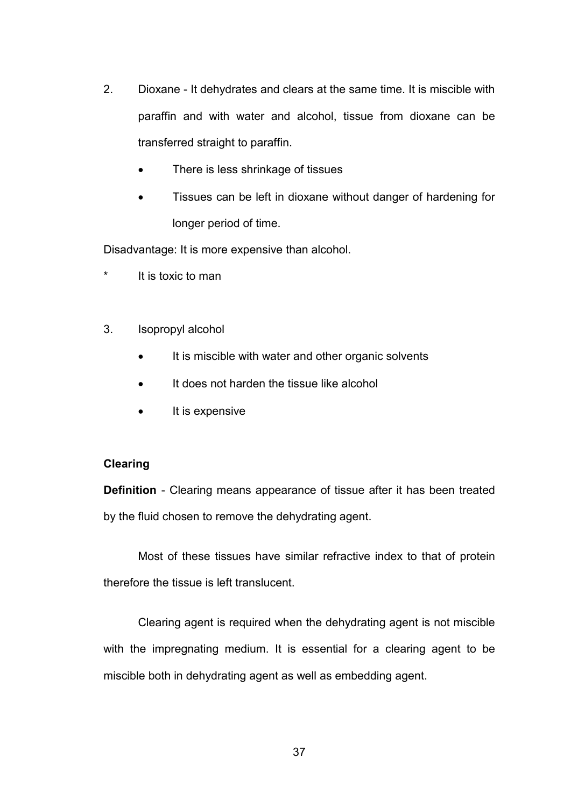- 2. Dioxane It dehydrates and clears at the same time. It is miscible with paraffin and with water and alcohol, tissue from dioxane can be transferred straight to paraffin.
	- There is less shrinkage of tissues
	- Tissues can be left in dioxane without danger of hardening for longer period of time.

Disadvantage: It is more expensive than alcohol.

- It is toxic to man
- 3. Isopropyl alcohol
	- It is miscible with water and other organic solvents
	- It does not harden the tissue like alcohol
	- It is expensive

### **Clearing**

**Definition** - Clearing means appearance of tissue after it has been treated by the fluid chosen to remove the dehydrating agent.

 Most of these tissues have similar refractive index to that of protein therefore the tissue is left translucent.

 Clearing agent is required when the dehydrating agent is not miscible with the impregnating medium. It is essential for a clearing agent to be miscible both in dehydrating agent as well as embedding agent.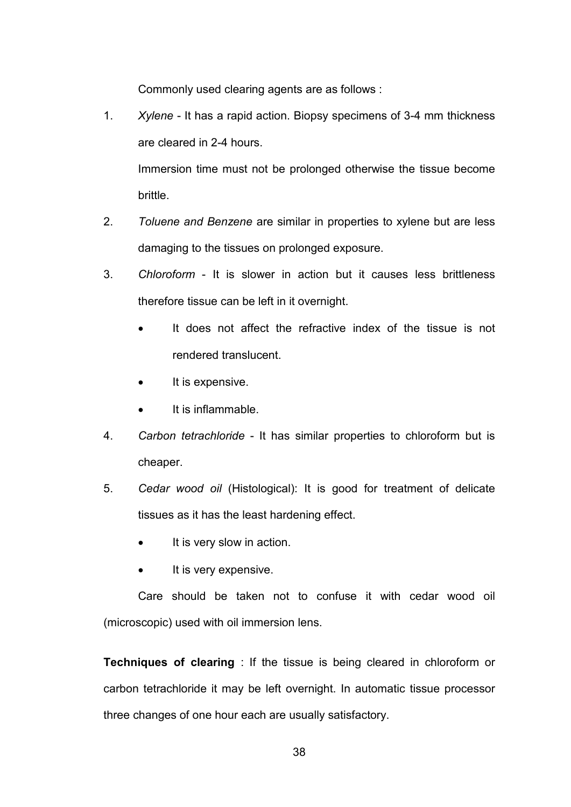Commonly used clearing agents are as follows :

1. *Xylene* - It has a rapid action. Biopsy specimens of 3-4 mm thickness are cleared in 2-4 hours.

 Immersion time must not be prolonged otherwise the tissue become brittle.

- 2. *Toluene and Benzene* are similar in properties to xylene but are less damaging to the tissues on prolonged exposure.
- 3. *Chloroform*  It is slower in action but it causes less brittleness therefore tissue can be left in it overnight.
	- It does not affect the refractive index of the tissue is not rendered translucent.
	- It is expensive.
	- It is inflammable.
- 4. *Carbon tetrachloride*  It has similar properties to chloroform but is cheaper.
- 5. *Cedar wood oil* (Histological): It is good for treatment of delicate tissues as it has the least hardening effect.
	- It is very slow in action.
	- It is very expensive.

Care should be taken not to confuse it with cedar wood oil (microscopic) used with oil immersion lens.

**Techniques of clearing** : If the tissue is being cleared in chloroform or carbon tetrachloride it may be left overnight. In automatic tissue processor three changes of one hour each are usually satisfactory.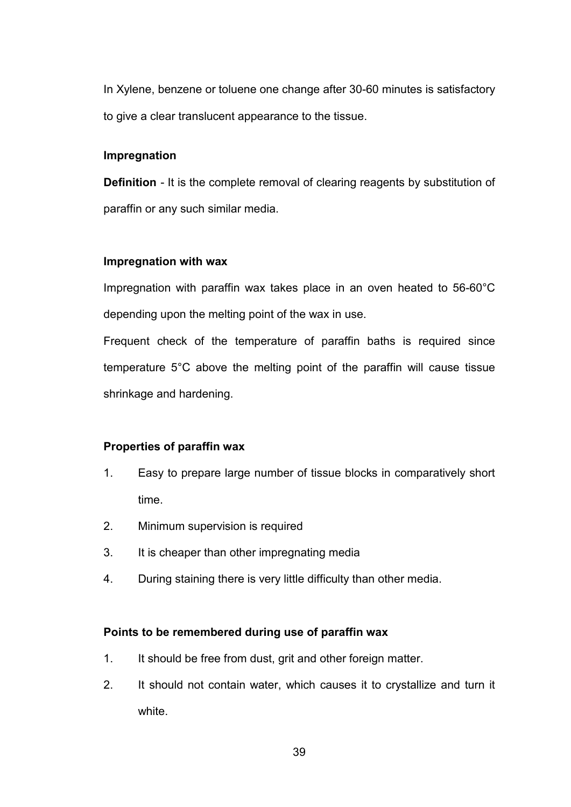In Xylene, benzene or toluene one change after 30-60 minutes is satisfactory to give a clear translucent appearance to the tissue.

### **Impregnation**

**Definition** - It is the complete removal of clearing reagents by substitution of paraffin or any such similar media.

### **Impregnation with wax**

Impregnation with paraffin wax takes place in an oven heated to 56-60°C depending upon the melting point of the wax in use.

Frequent check of the temperature of paraffin baths is required since temperature 5°C above the melting point of the paraffin will cause tissue shrinkage and hardening.

### **Properties of paraffin wax**

- 1. Easy to prepare large number of tissue blocks in comparatively short time.
- 2. Minimum supervision is required
- 3. It is cheaper than other impregnating media
- 4. During staining there is very little difficulty than other media.

### **Points to be remembered during use of paraffin wax**

- 1. It should be free from dust, grit and other foreign matter.
- 2. It should not contain water, which causes it to crystallize and turn it white.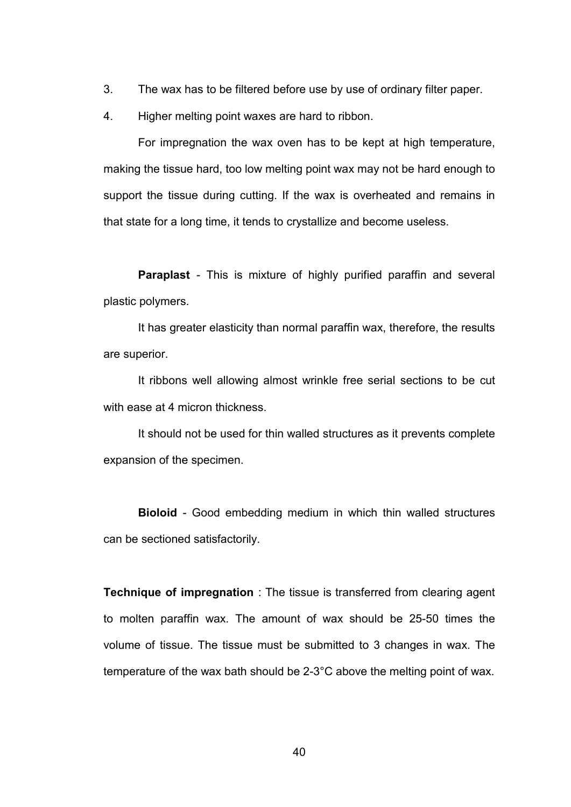- 3. The wax has to be filtered before use by use of ordinary filter paper.
- 4. Higher melting point waxes are hard to ribbon.

For impregnation the wax oven has to be kept at high temperature, making the tissue hard, too low melting point wax may not be hard enough to support the tissue during cutting. If the wax is overheated and remains in that state for a long time, it tends to crystallize and become useless.

**Paraplast** - This is mixture of highly purified paraffin and several plastic polymers.

It has greater elasticity than normal paraffin wax, therefore, the results are superior.

It ribbons well allowing almost wrinkle free serial sections to be cut with ease at 4 micron thickness.

It should not be used for thin walled structures as it prevents complete expansion of the specimen.

**Bioloid** - Good embedding medium in which thin walled structures can be sectioned satisfactorily.

**Technique of impregnation** : The tissue is transferred from clearing agent to molten paraffin wax. The amount of wax should be 25-50 times the volume of tissue. The tissue must be submitted to 3 changes in wax. The temperature of the wax bath should be 2-3°C above the melting point of wax.

40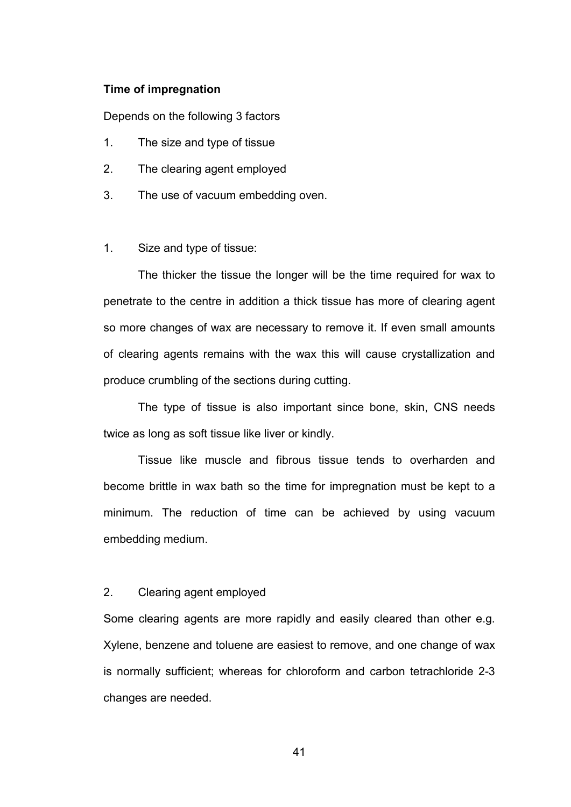#### **Time of impregnation**

Depends on the following 3 factors

- 1. The size and type of tissue
- 2. The clearing agent employed
- 3. The use of vacuum embedding oven.

#### 1. Size and type of tissue:

 The thicker the tissue the longer will be the time required for wax to penetrate to the centre in addition a thick tissue has more of clearing agent so more changes of wax are necessary to remove it. If even small amounts of clearing agents remains with the wax this will cause crystallization and produce crumbling of the sections during cutting.

 The type of tissue is also important since bone, skin, CNS needs twice as long as soft tissue like liver or kindly.

 Tissue like muscle and fibrous tissue tends to overharden and become brittle in wax bath so the time for impregnation must be kept to a minimum. The reduction of time can be achieved by using vacuum embedding medium.

### 2. Clearing agent employed

Some clearing agents are more rapidly and easily cleared than other e.g. Xylene, benzene and toluene are easiest to remove, and one change of wax is normally sufficient; whereas for chloroform and carbon tetrachloride 2-3 changes are needed.

41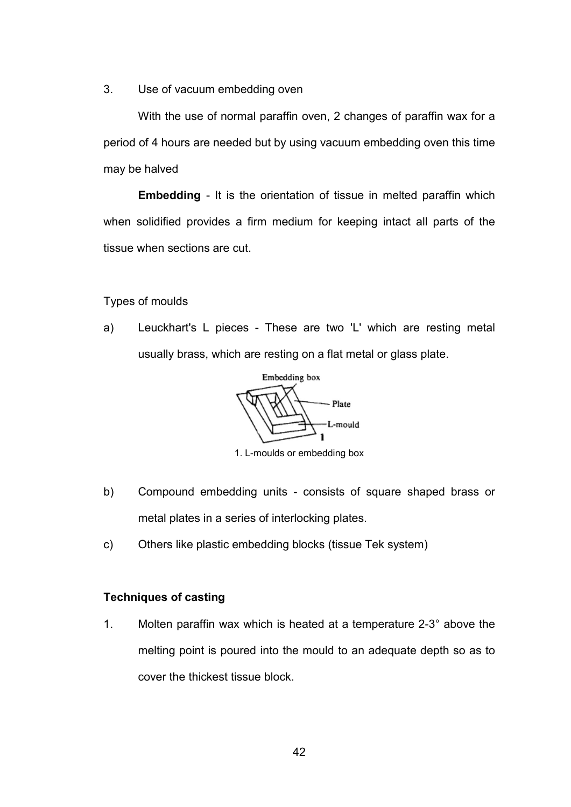3. Use of vacuum embedding oven

With the use of normal paraffin oven, 2 changes of paraffin wax for a period of 4 hours are needed but by using vacuum embedding oven this time may be halved

**Embedding** - It is the orientation of tissue in melted paraffin which when solidified provides a firm medium for keeping intact all parts of the tissue when sections are cut.

Types of moulds

a) Leuckhart's L pieces - These are two 'L' which are resting metal usually brass, which are resting on a flat metal or glass plate.

Embedding box Plate L-mould

1. L-moulds or embedding box

- b) Compound embedding units consists of square shaped brass or metal plates in a series of interlocking plates.
- c) Others like plastic embedding blocks (tissue Tek system)

## **Techniques of casting**

1. Molten paraffin wax which is heated at a temperature 2-3° above the melting point is poured into the mould to an adequate depth so as to cover the thickest tissue block.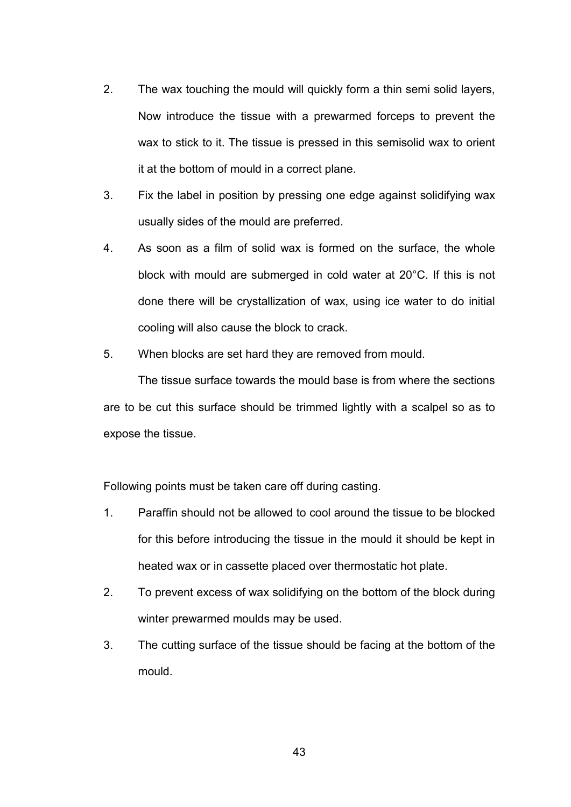- 2. The wax touching the mould will quickly form a thin semi solid layers, Now introduce the tissue with a prewarmed forceps to prevent the wax to stick to it. The tissue is pressed in this semisolid wax to orient it at the bottom of mould in a correct plane.
- 3. Fix the label in position by pressing one edge against solidifying wax usually sides of the mould are preferred.
- 4. As soon as a film of solid wax is formed on the surface, the whole block with mould are submerged in cold water at 20°C. If this is not done there will be crystallization of wax, using ice water to do initial cooling will also cause the block to crack.
- 5. When blocks are set hard they are removed from mould.

The tissue surface towards the mould base is from where the sections are to be cut this surface should be trimmed lightly with a scalpel so as to expose the tissue.

Following points must be taken care off during casting.

- 1. Paraffin should not be allowed to cool around the tissue to be blocked for this before introducing the tissue in the mould it should be kept in heated wax or in cassette placed over thermostatic hot plate.
- 2. To prevent excess of wax solidifying on the bottom of the block during winter prewarmed moulds may be used.
- 3. The cutting surface of the tissue should be facing at the bottom of the mould.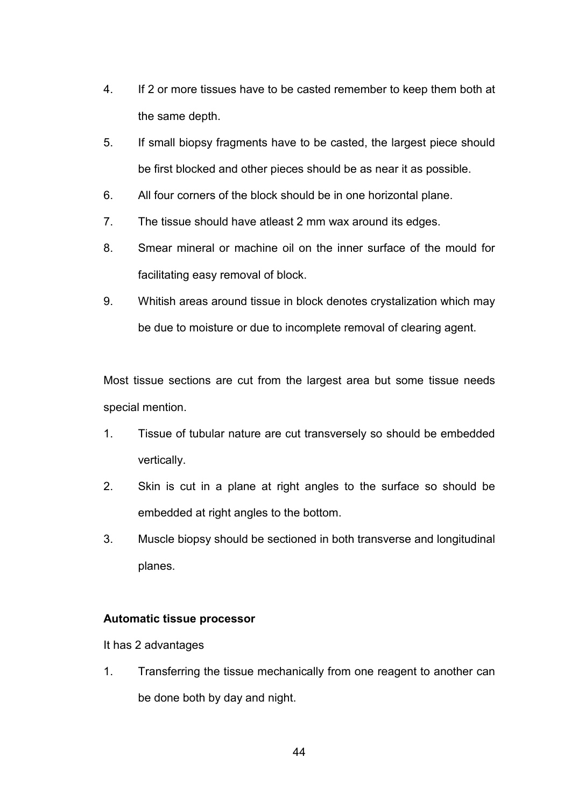- 4. If 2 or more tissues have to be casted remember to keep them both at the same depth.
- 5. If small biopsy fragments have to be casted, the largest piece should be first blocked and other pieces should be as near it as possible.
- 6. All four corners of the block should be in one horizontal plane.
- 7. The tissue should have atleast 2 mm wax around its edges.
- 8. Smear mineral or machine oil on the inner surface of the mould for facilitating easy removal of block.
- 9. Whitish areas around tissue in block denotes crystalization which may be due to moisture or due to incomplete removal of clearing agent.

Most tissue sections are cut from the largest area but some tissue needs special mention.

- 1. Tissue of tubular nature are cut transversely so should be embedded vertically.
- 2. Skin is cut in a plane at right angles to the surface so should be embedded at right angles to the bottom.
- 3. Muscle biopsy should be sectioned in both transverse and longitudinal planes.

## **Automatic tissue processor**

It has 2 advantages

1. Transferring the tissue mechanically from one reagent to another can be done both by day and night.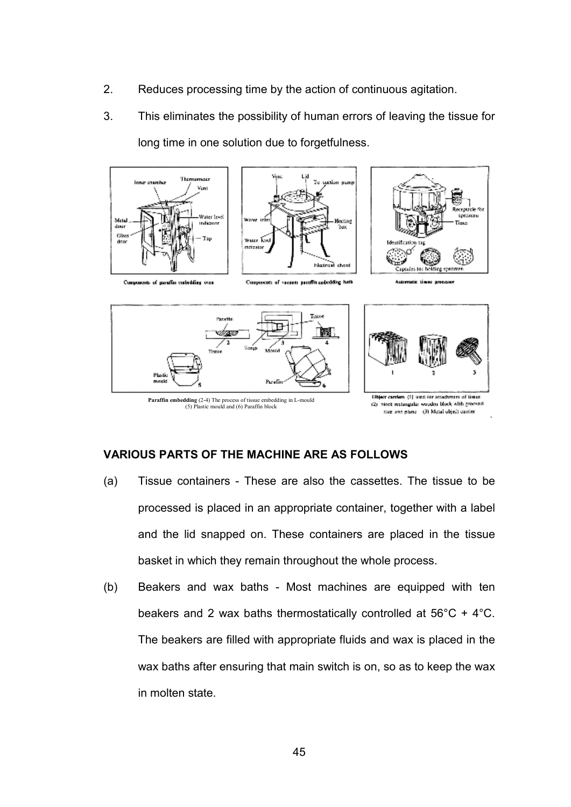- 2. Reduces processing time by the action of continuous agitation.
- 3. This eliminates the possibility of human errors of leaving the tissue for long time in one solution due to forgetfulness.







Components of agendin custoddies over

Components of vacuum paraffit-caledding hath



**Paraffin embedding** (2-4) The process of tissue embedding in L-mould (5) Plastic mould and (6) Paraffin block

(2) block rectangular wooden block with grooved then and plane (3) Metal object conter-

## **VARIOUS PARTS OF THE MACHINE ARE AS FOLLOWS**

- (a) Tissue containers These are also the cassettes. The tissue to be processed is placed in an appropriate container, together with a label and the lid snapped on. These containers are placed in the tissue basket in which they remain throughout the whole process.
- (b) Beakers and wax baths Most machines are equipped with ten beakers and 2 wax baths thermostatically controlled at 56°C + 4°C. The beakers are filled with appropriate fluids and wax is placed in the wax baths after ensuring that main switch is on, so as to keep the wax in molten state.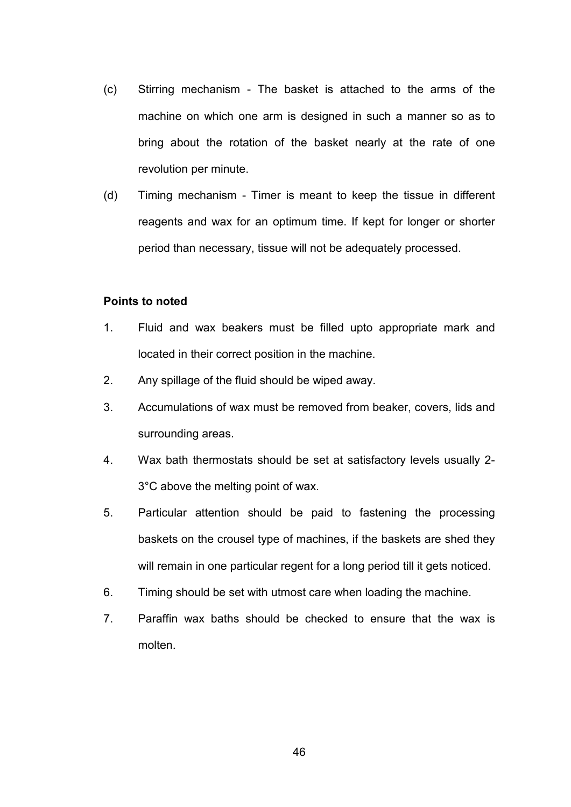- (c) Stirring mechanism The basket is attached to the arms of the machine on which one arm is designed in such a manner so as to bring about the rotation of the basket nearly at the rate of one revolution per minute.
- (d) Timing mechanism Timer is meant to keep the tissue in different reagents and wax for an optimum time. If kept for longer or shorter period than necessary, tissue will not be adequately processed.

### **Points to noted**

- 1. Fluid and wax beakers must be filled upto appropriate mark and located in their correct position in the machine.
- 2. Any spillage of the fluid should be wiped away.
- 3. Accumulations of wax must be removed from beaker, covers, lids and surrounding areas.
- 4. Wax bath thermostats should be set at satisfactory levels usually 2- 3°C above the melting point of wax.
- 5. Particular attention should be paid to fastening the processing baskets on the crousel type of machines, if the baskets are shed they will remain in one particular regent for a long period till it gets noticed.
- 6. Timing should be set with utmost care when loading the machine.
- 7. Paraffin wax baths should be checked to ensure that the wax is molten.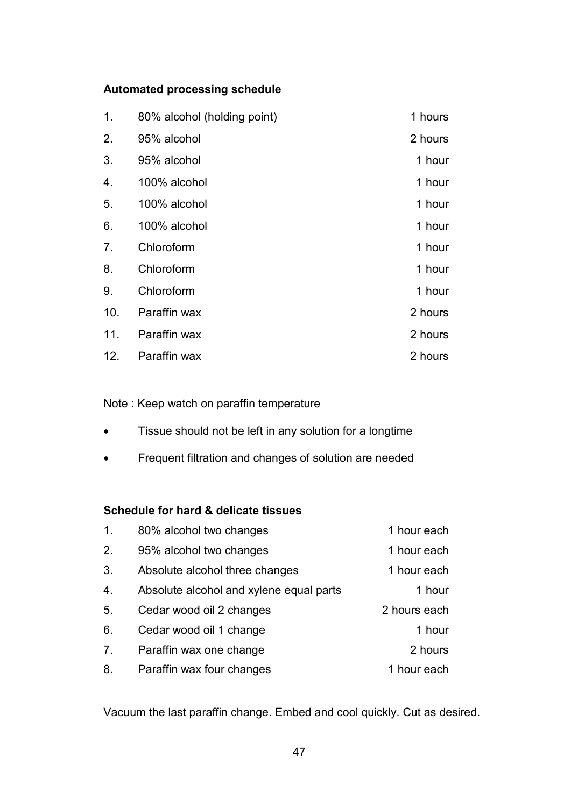# **Automated processing schedule**

| 1.  | 80% alcohol (holding point) | 1 hours |
|-----|-----------------------------|---------|
| 2.  | 95% alcohol                 | 2 hours |
| 3.  | 95% alcohol                 | 1 hour  |
| 4.  | 100% alcohol                | 1 hour  |
| 5.  | 100% alcohol                | 1 hour  |
| 6.  | 100% alcohol                | 1 hour  |
| 7.  | Chloroform                  | 1 hour  |
| 8.  | Chloroform                  | 1 hour  |
| 9.  | Chloroform                  | 1 hour  |
| 10. | Paraffin wax                | 2 hours |
| 11. | Paraffin wax                | 2 hours |
| 12. | Paraffin wax                | 2 hours |

Note : Keep watch on paraffin temperature

- Tissue should not be left in any solution for a longtime
- Frequent filtration and changes of solution are needed

# **Schedule for hard & delicate tissues**

| $\mathbf 1$ .  | 80% alcohol two changes                 | 1 hour each  |
|----------------|-----------------------------------------|--------------|
| 2.             | 95% alcohol two changes                 | 1 hour each  |
| 3.             | Absolute alcohol three changes          | 1 hour each  |
| 4.             | Absolute alcohol and xylene equal parts | 1 hour       |
| 5.             | Cedar wood oil 2 changes                | 2 hours each |
| 6.             | Cedar wood oil 1 change                 | 1 hour       |
| 7 <sub>1</sub> | Paraffin wax one change                 | 2 hours      |
| 8.             | Paraffin wax four changes               | 1 hour each  |

Vacuum the last paraffin change. Embed and cool quickly. Cut as desired.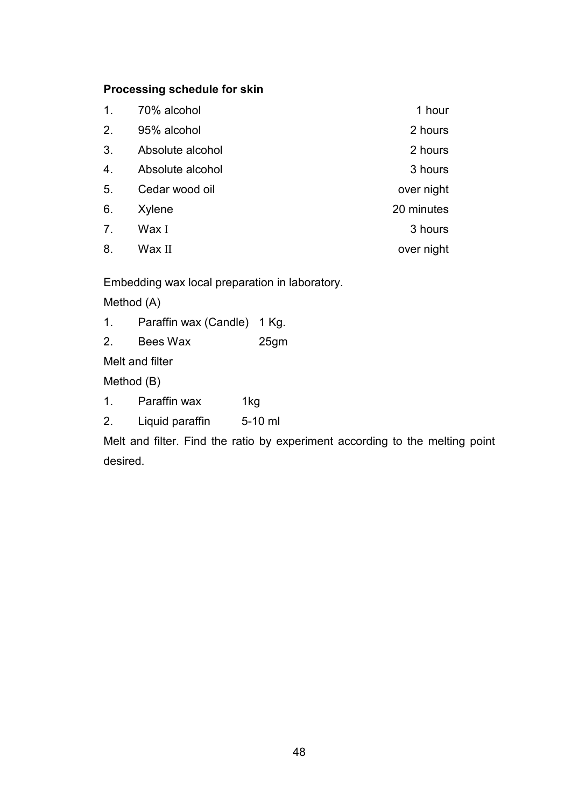# **Processing schedule for skin**

| 1.             | 70% alcohol      | 1 hour     |
|----------------|------------------|------------|
| 2.             | 95% alcohol      | 2 hours    |
| 3.             | Absolute alcohol | 2 hours    |
| 4.             | Absolute alcohol | 3 hours    |
| 5.             | Cedar wood oil   | over night |
| 6.             | Xylene           | 20 minutes |
| 7 <sub>1</sub> | Wax I            | 3 hours    |
| 8.             | Wax II           | over night |
|                |                  |            |

Embedding wax local preparation in laboratory.

Method (A)

1. Paraffin wax (Candle) 1 Kg.

2. Bees Wax 25gm

Melt and filter

Method (B)

- 1. Paraffin wax 1kg
- 2. Liquid paraffin 5-10 ml

Melt and filter. Find the ratio by experiment according to the melting point desired.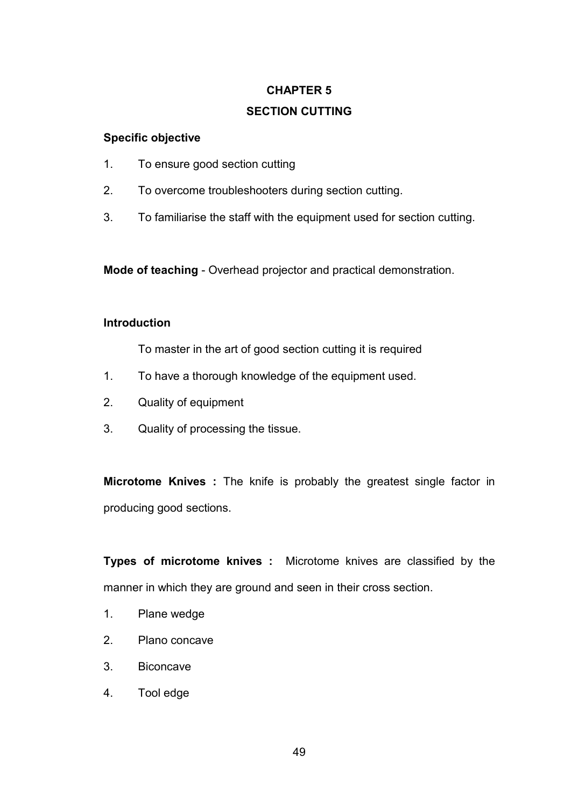# **CHAPTER 5 SECTION CUTTING**

# **Specific objective**

- 1. To ensure good section cutting
- 2. To overcome troubleshooters during section cutting.
- 3. To familiarise the staff with the equipment used for section cutting.

**Mode of teaching** - Overhead projector and practical demonstration.

# **Introduction**

To master in the art of good section cutting it is required

- 1. To have a thorough knowledge of the equipment used.
- 2. Quality of equipment
- 3. Quality of processing the tissue.

**Microtome Knives :** The knife is probably the greatest single factor in producing good sections.

**Types of microtome knives :** Microtome knives are classified by the manner in which they are ground and seen in their cross section.

- 1. Plane wedge
- 2. Plano concave
- 3. Biconcave
- 4. Tool edge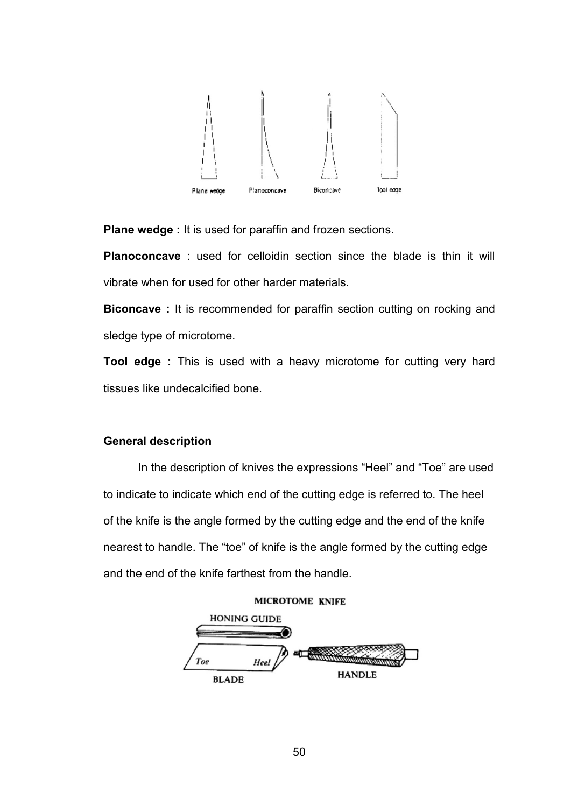

**Plane wedge :** It is used for paraffin and frozen sections.

**Planoconcave** : used for celloidin section since the blade is thin it will vibrate when for used for other harder materials.

**Biconcave**: It is recommended for paraffin section cutting on rocking and sledge type of microtome.

**Tool edge :** This is used with a heavy microtome for cutting very hard tissues like undecalcified bone.

### **General description**

 In the description of knives the expressions "Heel" and "Toe" are used to indicate to indicate which end of the cutting edge is referred to. The heel of the knife is the angle formed by the cutting edge and the end of the knife nearest to handle. The "toe" of knife is the angle formed by the cutting edge and the end of the knife farthest from the handle.



50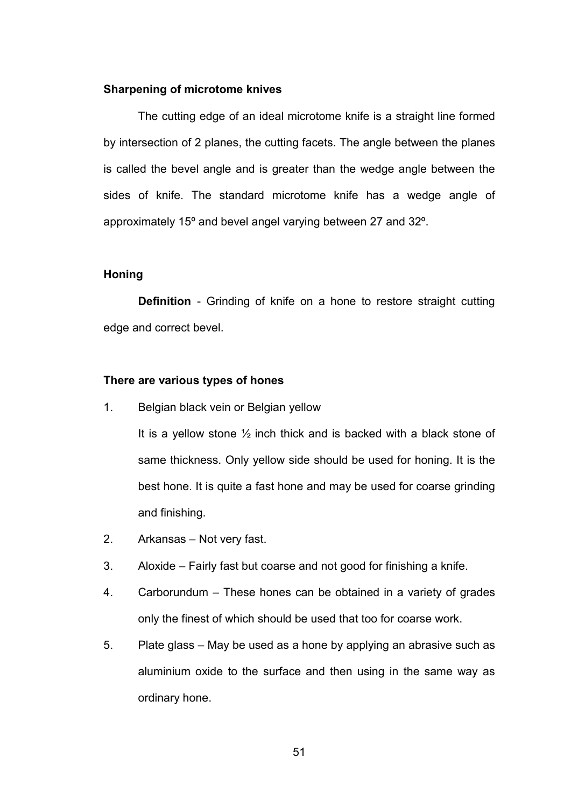#### **Sharpening of microtome knives**

 The cutting edge of an ideal microtome knife is a straight line formed by intersection of 2 planes, the cutting facets. The angle between the planes is called the bevel angle and is greater than the wedge angle between the sides of knife. The standard microtome knife has a wedge angle of approximately 15º and bevel angel varying between 27 and 32º.

#### **Honing**

 **Definition** - Grinding of knife on a hone to restore straight cutting edge and correct bevel.

#### **There are various types of hones**

1. Belgian black vein or Belgian yellow

It is a yellow stone ½ inch thick and is backed with a black stone of same thickness. Only yellow side should be used for honing. It is the best hone. It is quite a fast hone and may be used for coarse grinding and finishing.

- 2. Arkansas Not very fast.
- 3. Aloxide Fairly fast but coarse and not good for finishing a knife.
- 4. Carborundum These hones can be obtained in a variety of grades only the finest of which should be used that too for coarse work.
- 5. Plate glass May be used as a hone by applying an abrasive such as aluminium oxide to the surface and then using in the same way as ordinary hone.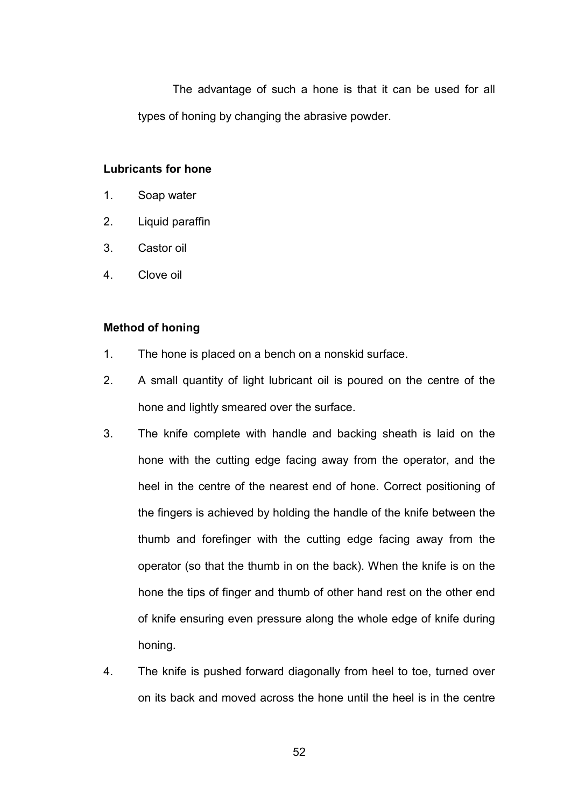The advantage of such a hone is that it can be used for all types of honing by changing the abrasive powder.

### **Lubricants for hone**

- 1. Soap water
- 2. Liquid paraffin
- 3. Castor oil
- 4. Clove oil

### **Method of honing**

- 1. The hone is placed on a bench on a nonskid surface.
- 2. A small quantity of light lubricant oil is poured on the centre of the hone and lightly smeared over the surface.
- 3. The knife complete with handle and backing sheath is laid on the hone with the cutting edge facing away from the operator, and the heel in the centre of the nearest end of hone. Correct positioning of the fingers is achieved by holding the handle of the knife between the thumb and forefinger with the cutting edge facing away from the operator (so that the thumb in on the back). When the knife is on the hone the tips of finger and thumb of other hand rest on the other end of knife ensuring even pressure along the whole edge of knife during honing.
- 4. The knife is pushed forward diagonally from heel to toe, turned over on its back and moved across the hone until the heel is in the centre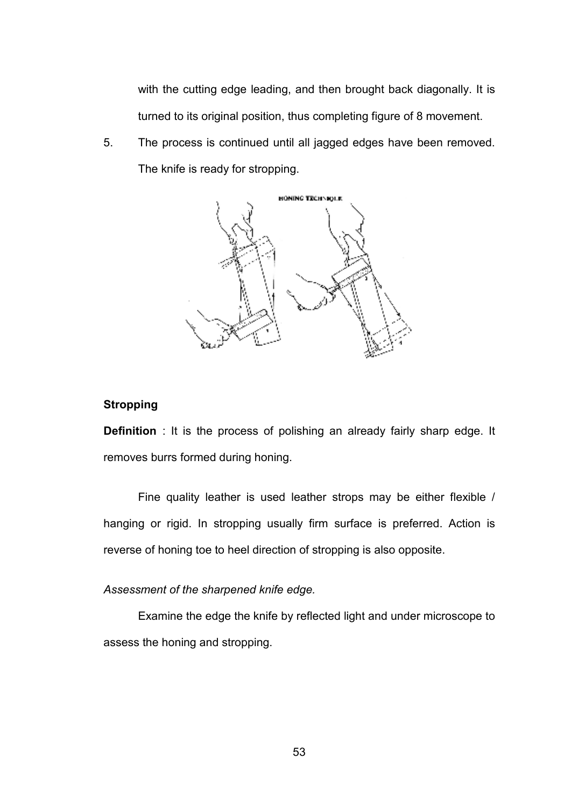with the cutting edge leading, and then brought back diagonally. It is turned to its original position, thus completing figure of 8 movement.

5. The process is continued until all jagged edges have been removed. The knife is ready for stropping.



### **Stropping**

**Definition** : It is the process of polishing an already fairly sharp edge. It removes burrs formed during honing.

Fine quality leather is used leather strops may be either flexible / hanging or rigid. In stropping usually firm surface is preferred. Action is reverse of honing toe to heel direction of stropping is also opposite.

*Assessment of the sharpened knife edge.*

Examine the edge the knife by reflected light and under microscope to assess the honing and stropping.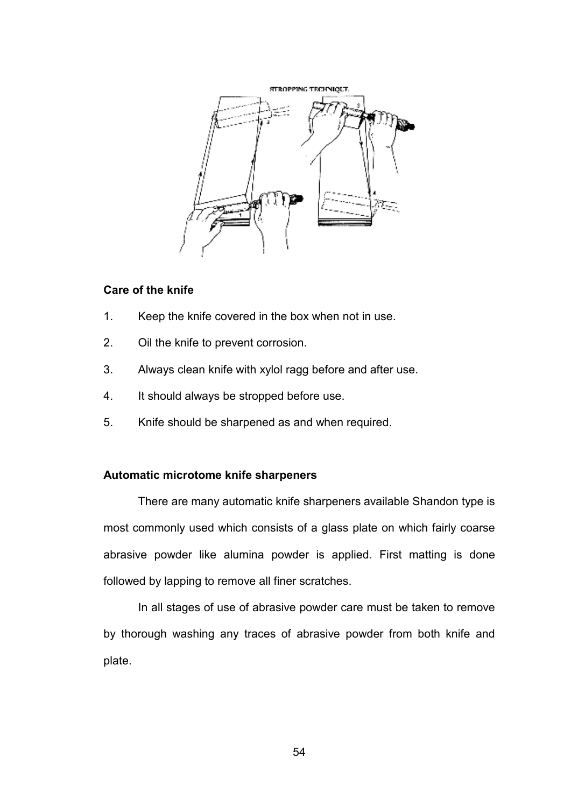

### **Care of the knife**

- 1. Keep the knife covered in the box when not in use.
- 2. Oil the knife to prevent corrosion.
- 3. Always clean knife with xylol ragg before and after use.
- 4. It should always be stropped before use.
- 5. Knife should be sharpened as and when required.

### **Automatic microtome knife sharpeners**

 There are many automatic knife sharpeners available Shandon type is most commonly used which consists of a glass plate on which fairly coarse abrasive powder like alumina powder is applied. First matting is done followed by lapping to remove all finer scratches.

 In all stages of use of abrasive powder care must be taken to remove by thorough washing any traces of abrasive powder from both knife and plate.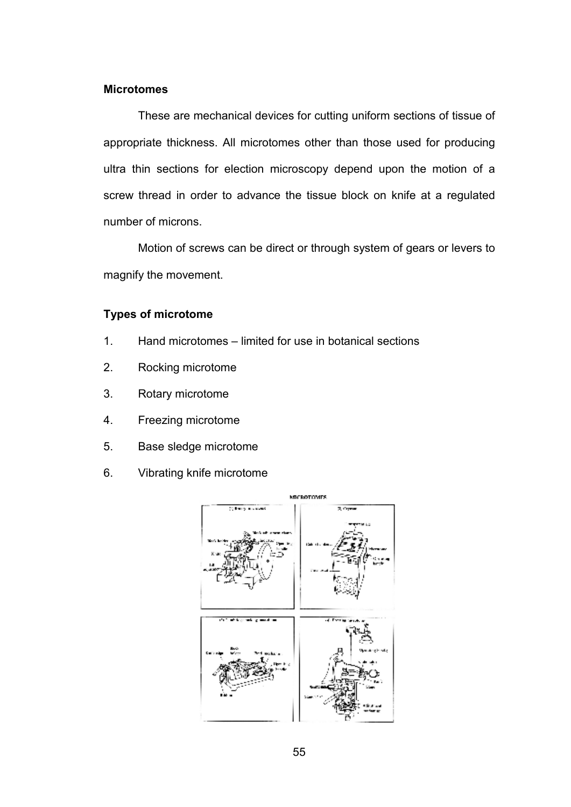### **Microtomes**

 These are mechanical devices for cutting uniform sections of tissue of appropriate thickness. All microtomes other than those used for producing ultra thin sections for election microscopy depend upon the motion of a screw thread in order to advance the tissue block on knife at a regulated number of microns.

 Motion of screws can be direct or through system of gears or levers to magnify the movement.

### **Types of microtome**

- 1. Hand microtomes limited for use in botanical sections
- 2. Rocking microtome
- 3. Rotary microtome
- 4. Freezing microtome
- 5. Base sledge microtome
- 6. Vibrating knife microtome

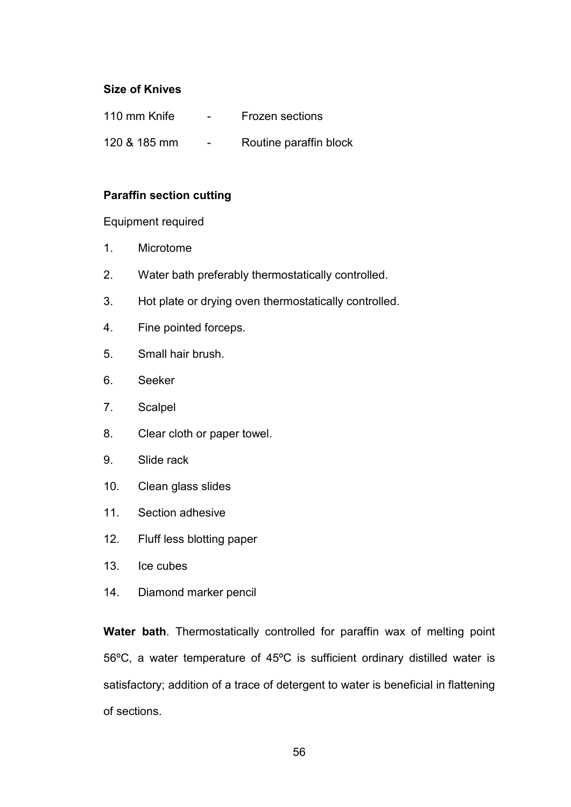# **Size of Knives**

| 110 mm Knife | $\overline{\phantom{0}}$ | <b>Frozen sections</b> |
|--------------|--------------------------|------------------------|
| 120 & 185 mm | $\overline{\phantom{0}}$ | Routine paraffin block |

# **Paraffin section cutting**

## Equipment required

- 1. Microtome
- 2. Water bath preferably thermostatically controlled.
- 3. Hot plate or drying oven thermostatically controlled.
- 4. Fine pointed forceps.
- 5. Small hair brush.
- 6. Seeker
- 7. Scalpel
- 8. Clear cloth or paper towel.
- 9. Slide rack
- 10. Clean glass slides
- 11. Section adhesive
- 12. Fluff less blotting paper
- 13. Ice cubes
- 14. Diamond marker pencil

**Water bath**. Thermostatically controlled for paraffin wax of melting point 56ºC, a water temperature of 45ºC is sufficient ordinary distilled water is satisfactory; addition of a trace of detergent to water is beneficial in flattening of sections.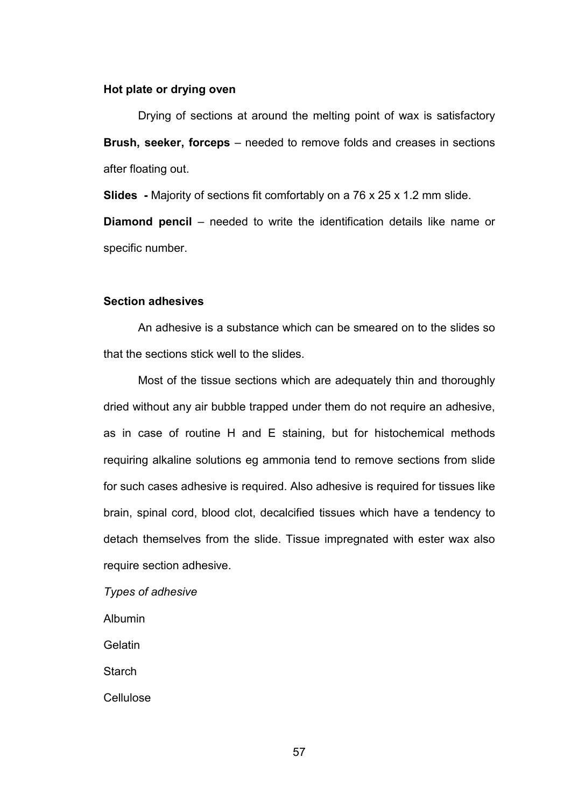#### **Hot plate or drying oven**

 Drying of sections at around the melting point of wax is satisfactory **Brush, seeker, forceps** – needed to remove folds and creases in sections after floating out.

**Slides -** Majority of sections fit comfortably on a 76 x 25 x 1.2 mm slide.

**Diamond pencil** – needed to write the identification details like name or specific number.

#### **Section adhesives**

 An adhesive is a substance which can be smeared on to the slides so that the sections stick well to the slides.

 Most of the tissue sections which are adequately thin and thoroughly dried without any air bubble trapped under them do not require an adhesive, as in case of routine H and E staining, but for histochemical methods requiring alkaline solutions eg ammonia tend to remove sections from slide for such cases adhesive is required. Also adhesive is required for tissues like brain, spinal cord, blood clot, decalcified tissues which have a tendency to detach themselves from the slide. Tissue impregnated with ester wax also require section adhesive.

*Types of adhesive* 

Albumin

Gelatin

**Starch** 

**Cellulose** 

57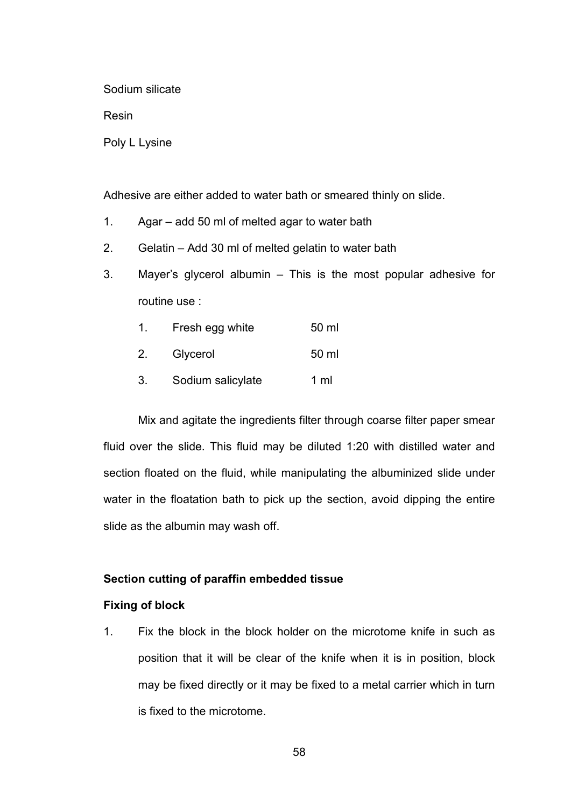Sodium silicate

Resin

Poly L Lysine

Adhesive are either added to water bath or smeared thinly on slide.

- 1. Agar add 50 ml of melted agar to water bath
- 2. Gelatin Add 30 ml of melted gelatin to water bath
- 3. Mayer's glycerol albumin This is the most popular adhesive for routine use :

| $\mathbf{1}$ . | Fresh egg white   | 50 ml |
|----------------|-------------------|-------|
|                | 2. Glycerol       | 50 ml |
| 3.             | Sodium salicylate | 1 ml  |

 Mix and agitate the ingredients filter through coarse filter paper smear fluid over the slide. This fluid may be diluted 1:20 with distilled water and section floated on the fluid, while manipulating the albuminized slide under water in the floatation bath to pick up the section, avoid dipping the entire slide as the albumin may wash off.

### **Section cutting of paraffin embedded tissue**

### **Fixing of block**

1. Fix the block in the block holder on the microtome knife in such as position that it will be clear of the knife when it is in position, block may be fixed directly or it may be fixed to a metal carrier which in turn is fixed to the microtome.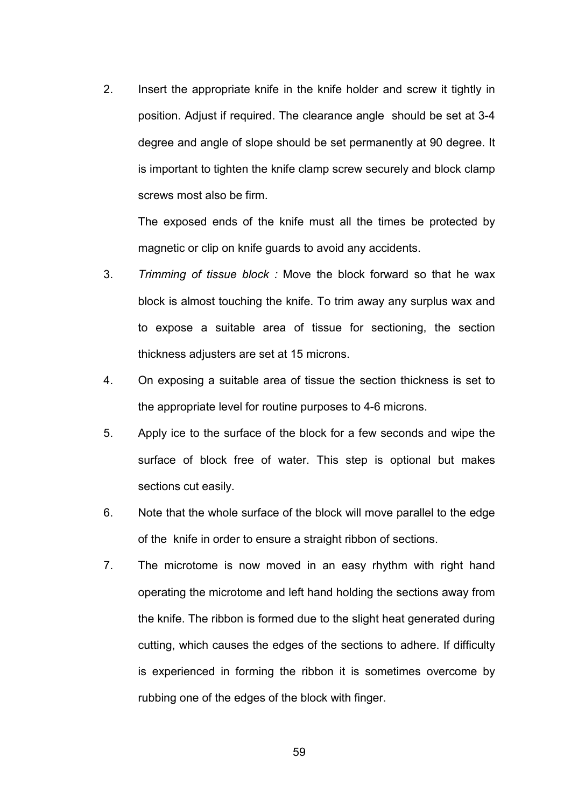2. Insert the appropriate knife in the knife holder and screw it tightly in position. Adjust if required. The clearance angle should be set at 3-4 degree and angle of slope should be set permanently at 90 degree. It is important to tighten the knife clamp screw securely and block clamp screws most also be firm.

The exposed ends of the knife must all the times be protected by magnetic or clip on knife guards to avoid any accidents.

- 3. *Trimming of tissue block :* Move the block forward so that he wax block is almost touching the knife. To trim away any surplus wax and to expose a suitable area of tissue for sectioning, the section thickness adjusters are set at 15 microns.
- 4. On exposing a suitable area of tissue the section thickness is set to the appropriate level for routine purposes to 4-6 microns.
- 5. Apply ice to the surface of the block for a few seconds and wipe the surface of block free of water. This step is optional but makes sections cut easily.
- 6. Note that the whole surface of the block will move parallel to the edge of the knife in order to ensure a straight ribbon of sections.
- 7. The microtome is now moved in an easy rhythm with right hand operating the microtome and left hand holding the sections away from the knife. The ribbon is formed due to the slight heat generated during cutting, which causes the edges of the sections to adhere. If difficulty is experienced in forming the ribbon it is sometimes overcome by rubbing one of the edges of the block with finger.

59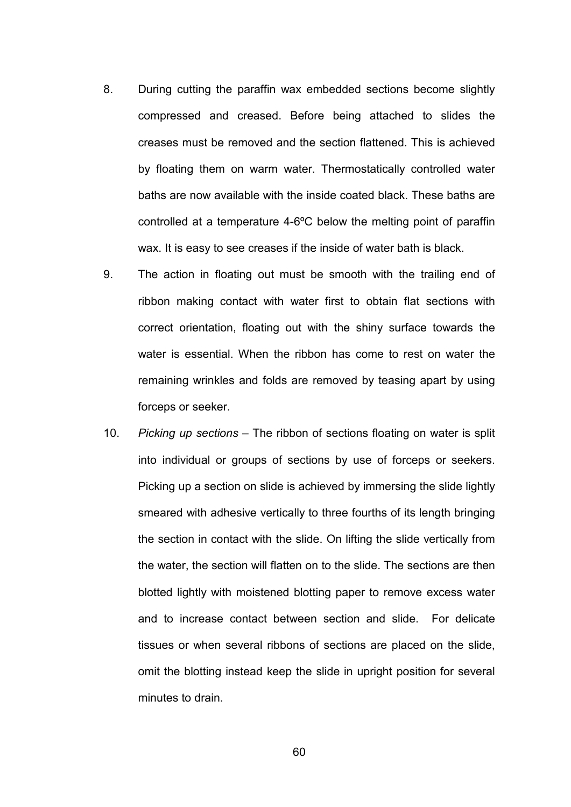- 8. During cutting the paraffin wax embedded sections become slightly compressed and creased. Before being attached to slides the creases must be removed and the section flattened. This is achieved by floating them on warm water. Thermostatically controlled water baths are now available with the inside coated black. These baths are controlled at a temperature 4-6ºC below the melting point of paraffin wax. It is easy to see creases if the inside of water bath is black.
- 9. The action in floating out must be smooth with the trailing end of ribbon making contact with water first to obtain flat sections with correct orientation, floating out with the shiny surface towards the water is essential. When the ribbon has come to rest on water the remaining wrinkles and folds are removed by teasing apart by using forceps or seeker.
- 10. *Picking up sections*  The ribbon of sections floating on water is split into individual or groups of sections by use of forceps or seekers. Picking up a section on slide is achieved by immersing the slide lightly smeared with adhesive vertically to three fourths of its length bringing the section in contact with the slide. On lifting the slide vertically from the water, the section will flatten on to the slide. The sections are then blotted lightly with moistened blotting paper to remove excess water and to increase contact between section and slide. For delicate tissues or when several ribbons of sections are placed on the slide, omit the blotting instead keep the slide in upright position for several minutes to drain.

60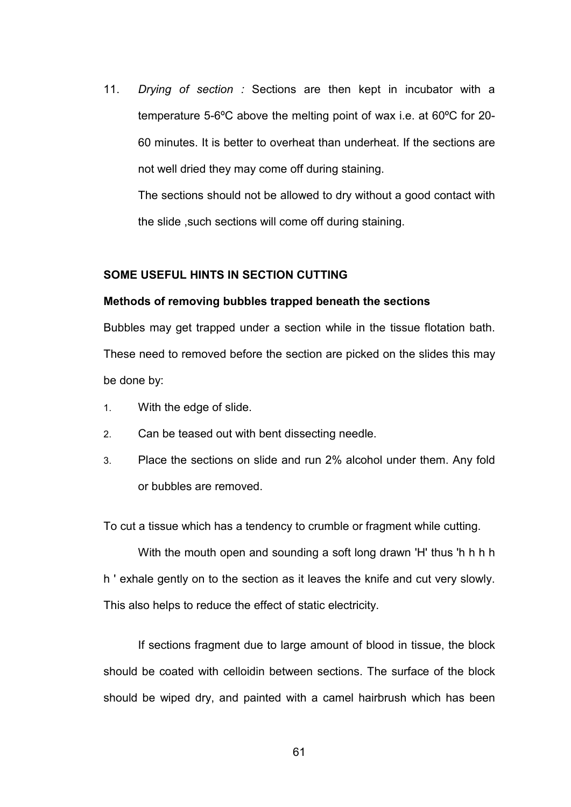11. *Drying of section :* Sections are then kept in incubator with a temperature 5-6ºC above the melting point of wax i.e. at 60ºC for 20- 60 minutes. It is better to overheat than underheat. If the sections are not well dried they may come off during staining.

The sections should not be allowed to dry without a good contact with the slide ,such sections will come off during staining.

### **SOME USEFUL HINTS IN SECTION CUTTING**

#### **Methods of removing bubbles trapped beneath the sections**

Bubbles may get trapped under a section while in the tissue flotation bath. These need to removed before the section are picked on the slides this may be done by:

- 1. With the edge of slide.
- 2. Can be teased out with bent dissecting needle.
- 3. Place the sections on slide and run 2% alcohol under them. Any fold or bubbles are removed.

To cut a tissue which has a tendency to crumble or fragment while cutting.

With the mouth open and sounding a soft long drawn 'H' thus 'h h h h h ' exhale gently on to the section as it leaves the knife and cut very slowly. This also helps to reduce the effect of static electricity.

 If sections fragment due to large amount of blood in tissue, the block should be coated with celloidin between sections. The surface of the block should be wiped dry, and painted with a camel hairbrush which has been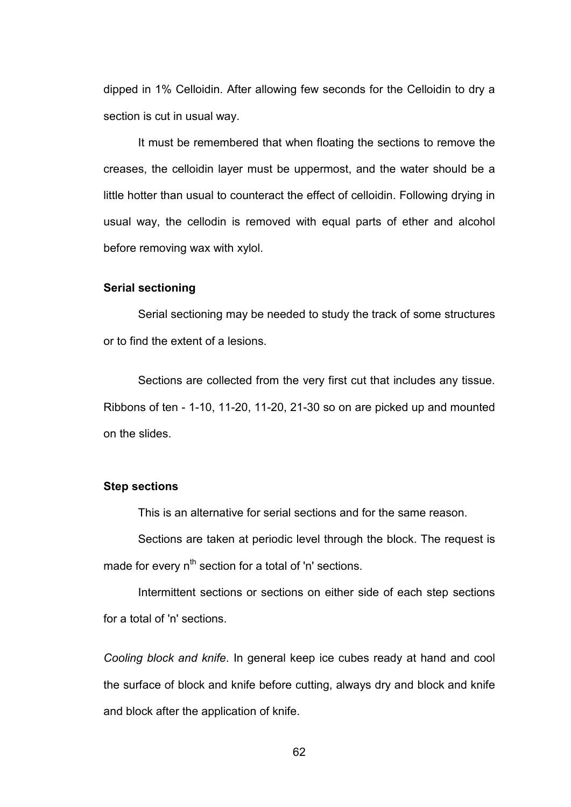dipped in 1% Celloidin. After allowing few seconds for the Celloidin to dry a section is cut in usual way.

 It must be remembered that when floating the sections to remove the creases, the celloidin layer must be uppermost, and the water should be a little hotter than usual to counteract the effect of celloidin. Following drying in usual way, the cellodin is removed with equal parts of ether and alcohol before removing wax with xylol.

### **Serial sectioning**

Serial sectioning may be needed to study the track of some structures or to find the extent of a lesions.

 Sections are collected from the very first cut that includes any tissue. Ribbons of ten - 1-10, 11-20, 11-20, 21-30 so on are picked up and mounted on the slides.

#### **Step sections**

This is an alternative for serial sections and for the same reason.

Sections are taken at periodic level through the block. The request is made for every  $n^{th}$  section for a total of 'n' sections.

Intermittent sections or sections on either side of each step sections for a total of 'n' sections.

*Cooling block and knife*. In general keep ice cubes ready at hand and cool the surface of block and knife before cutting, always dry and block and knife and block after the application of knife.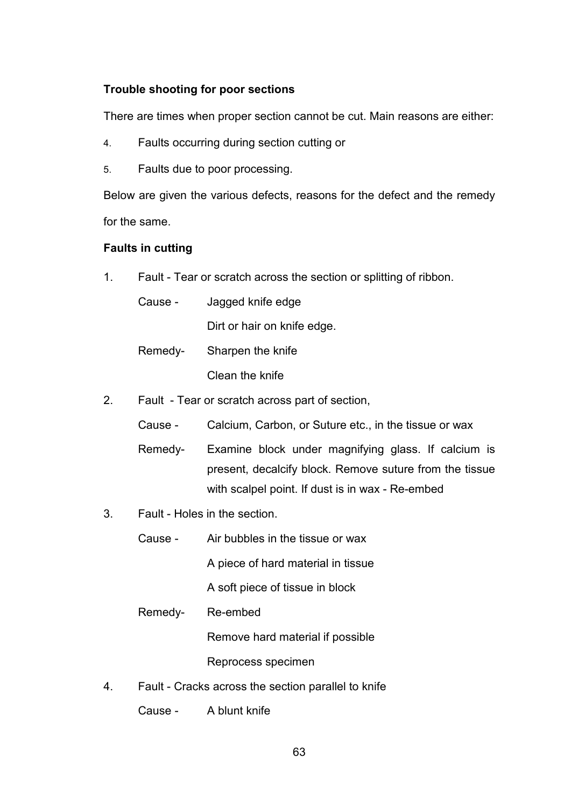# **Trouble shooting for poor sections**

There are times when proper section cannot be cut. Main reasons are either:

- 4. Faults occurring during section cutting or
- 5. Faults due to poor processing.

Below are given the various defects, reasons for the defect and the remedy for the same.

# **Faults in cutting**

1. Fault - Tear or scratch across the section or splitting of ribbon.

| Cause - | Jagged knife edge           |
|---------|-----------------------------|
|         | Dirt or hair on knife edge. |
| Remedy- | Sharpen the knife           |
|         | Clean the knife             |

- 2. Fault Tear or scratch across part of section,
	- Cause Calcium, Carbon, or Suture etc., in the tissue or wax
	- Remedy- Examine block under magnifying glass. If calcium is present, decalcify block. Remove suture from the tissue with scalpel point. If dust is in wax - Re-embed
- 3. Fault Holes in the section.
	- Cause Air bubbles in the tissue or wax A piece of hard material in tissue A soft piece of tissue in block
	- Remedy- Re-embed

Remove hard material if possible

Reprocess specimen

4. Fault - Cracks across the section parallel to knife

Cause - A blunt knife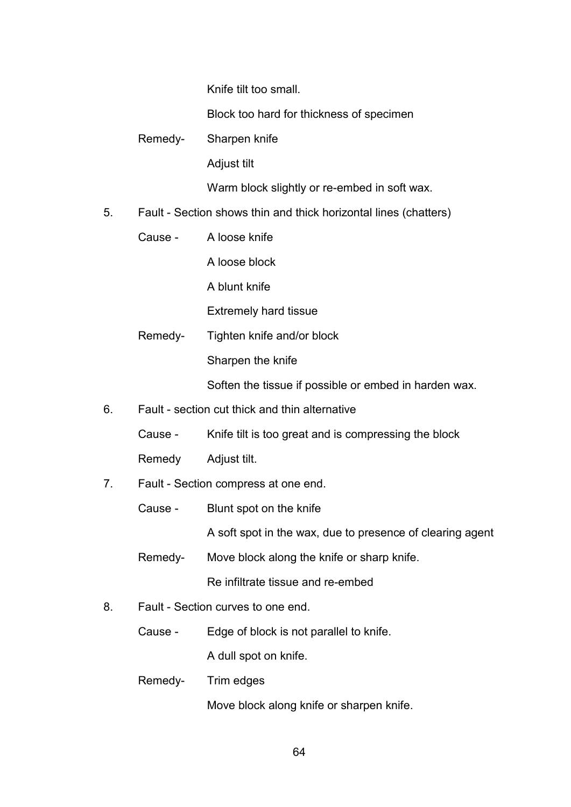Knife tilt too small.

Block too hard for thickness of specimen

Remedy- Sharpen knife

Adjust tilt

Warm block slightly or re-embed in soft wax.

- 5. Fault Section shows thin and thick horizontal lines (chatters)
	- Cause A loose knife

A loose block

A blunt knife

Extremely hard tissue

 Remedy- Tighten knife and/or block Sharpen the knife

Soften the tissue if possible or embed in harden wax.

- 6. Fault section cut thick and thin alternative
	- Cause Knife tilt is too great and is compressing the block

Remedy Adjust tilt.

- 7. Fault Section compress at one end.
	- Cause Blunt spot on the knife

A soft spot in the wax, due to presence of clearing agent

- Remedy- Move block along the knife or sharp knife. Re infiltrate tissue and re-embed
- 8. Fault Section curves to one end.
	- Cause Edge of block is not parallel to knife.

A dull spot on knife.

Remedy- Trim edges

Move block along knife or sharpen knife.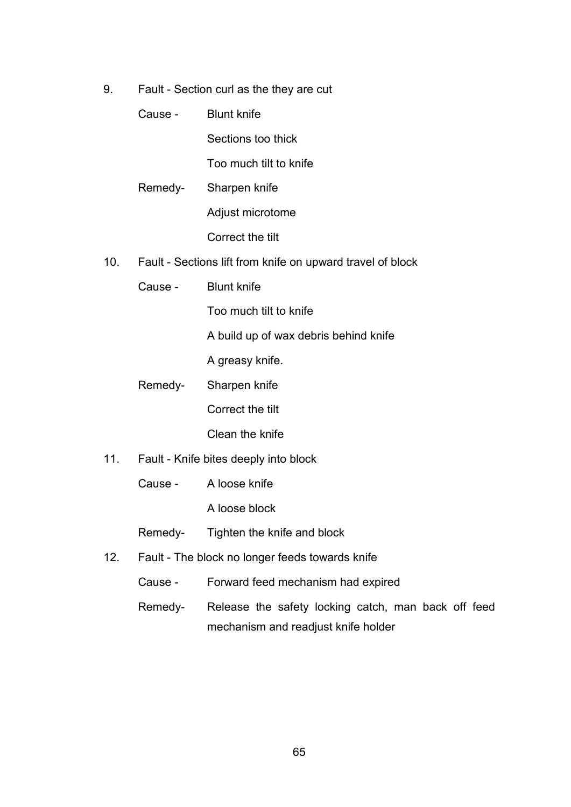9. Fault - Section curl as the they are cut

| <b>Blunt knife</b> |
|--------------------|
|                    |

Sections too thick

Too much tilt to knife

Remedy- Sharpen knife

Adjust microtome

Correct the tilt

- 10. Fault Sections lift from knife on upward travel of block
	- Cause Blunt knife

Too much tilt to knife

A build up of wax debris behind knife

A greasy knife.

Remedy- Sharpen knife

Correct the tilt

Clean the knife

- 11. Fault Knife bites deeply into block
	- Cause A loose knife

A loose block

Remedy- Tighten the knife and block

- 12. Fault The block no longer feeds towards knife
	- Cause Forward feed mechanism had expired
	- Remedy- Release the safety locking catch, man back off feed mechanism and readjust knife holder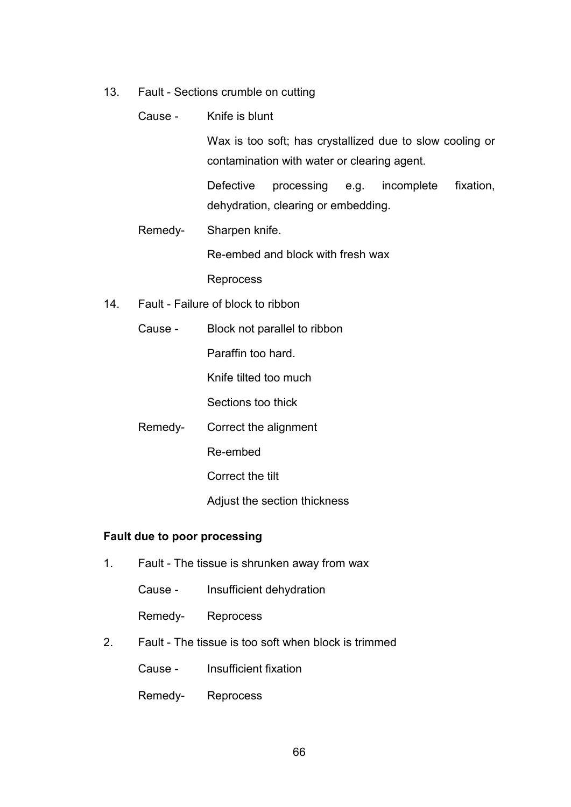13. Fault - Sections crumble on cutting

|     |         | Cause - Knife is blunt                                                                                  |  |  |
|-----|---------|---------------------------------------------------------------------------------------------------------|--|--|
|     |         | Wax is too soft; has crystallized due to slow cooling or<br>contamination with water or clearing agent. |  |  |
|     |         | <b>Defective</b><br>fixation,<br>processing e.g. incomplete<br>dehydration, clearing or embedding.      |  |  |
|     | Remedy- | Sharpen knife.                                                                                          |  |  |
|     |         | Re-embed and block with fresh wax                                                                       |  |  |
|     |         | Reprocess                                                                                               |  |  |
| 14. |         | Fault - Failure of block to ribbon                                                                      |  |  |
|     | Cause - | Block not parallel to ribbon                                                                            |  |  |

Paraffin too hard.

Knife tilted too much

Sections too thick

Remedy- Correct the alignment

Re-embed

Correct the tilt

Adjust the section thickness

# **Fault due to poor processing**

- 1. Fault The tissue is shrunken away from wax
	- Cause Insufficient dehydration

Remedy- Reprocess

2. Fault - The tissue is too soft when block is trimmed

Cause - Insufficient fixation

Remedy- Reprocess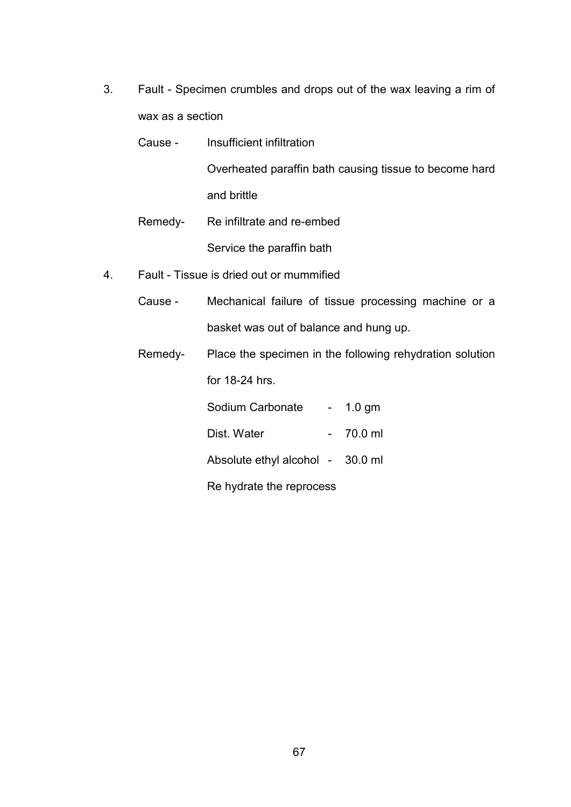3. Fault - Specimen crumbles and drops out of the wax leaving a rim of wax as a section

| Cause - | Insufficient infiltration                              |
|---------|--------------------------------------------------------|
|         | Overheated paraffin bath causing tissue to become hard |
|         | and brittle                                            |
|         | Remedy- Re infiltrate and re-embed                     |
|         |                                                        |

Service the paraffin bath

- 4. Fault Tissue is dried out or mummified
	- Cause Mechanical failure of tissue processing machine or a basket was out of balance and hung up.
	- Remedy- Place the specimen in the following rehydration solution for 18-24 hrs.

Sodium Carbonate - 1.0 gm Dist. Water - 70.0 ml Absolute ethyl alcohol - 30.0 ml Re hydrate the reprocess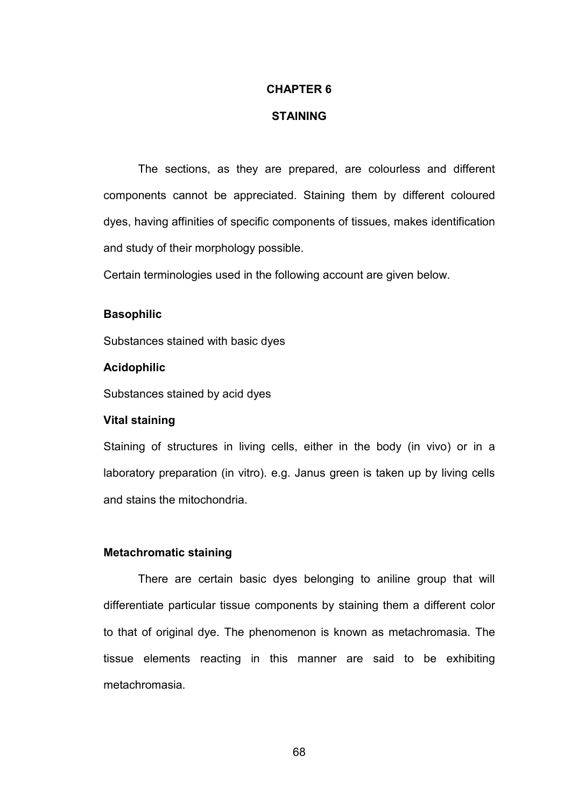#### **CHAPTER 6**

#### **STAINING**

The sections, as they are prepared, are colourless and different components cannot be appreciated. Staining them by different coloured dyes, having affinities of specific components of tissues, makes identification and study of their morphology possible.

Certain terminologies used in the following account are given below.

#### **Basophilic**

Substances stained with basic dyes

#### **Acidophilic**

Substances stained by acid dyes

#### **Vital staining**

Staining of structures in living cells, either in the body (in vivo) or in a laboratory preparation (in vitro). e.g. Janus green is taken up by living cells and stains the mitochondria.

### **Metachromatic staining**

 There are certain basic dyes belonging to aniline group that will differentiate particular tissue components by staining them a different color to that of original dye. The phenomenon is known as metachromasia. The tissue elements reacting in this manner are said to be exhibiting metachromasia.

68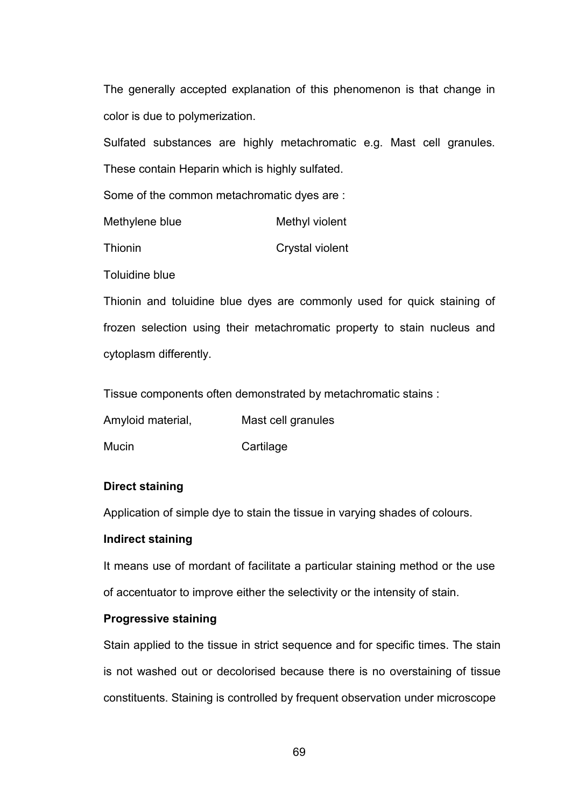The generally accepted explanation of this phenomenon is that change in color is due to polymerization.

Sulfated substances are highly metachromatic e.g. Mast cell granules. These contain Heparin which is highly sulfated.

Some of the common metachromatic dyes are :

| Methyl violent |
|----------------|
|                |

Thionin Crystal violent

Toluidine blue

Thionin and toluidine blue dyes are commonly used for quick staining of frozen selection using their metachromatic property to stain nucleus and cytoplasm differently.

Tissue components often demonstrated by metachromatic stains :

Amyloid material, Mast cell granules

Mucin Cartilage

## **Direct staining**

Application of simple dye to stain the tissue in varying shades of colours.

## **Indirect staining**

It means use of mordant of facilitate a particular staining method or the use of accentuator to improve either the selectivity or the intensity of stain.

## **Progressive staining**

Stain applied to the tissue in strict sequence and for specific times. The stain is not washed out or decolorised because there is no overstaining of tissue constituents. Staining is controlled by frequent observation under microscope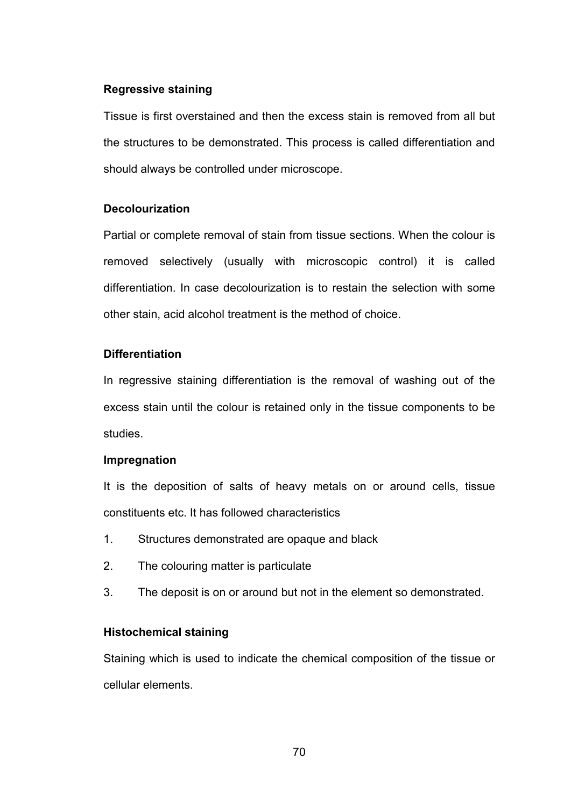### **Regressive staining**

Tissue is first overstained and then the excess stain is removed from all but the structures to be demonstrated. This process is called differentiation and should always be controlled under microscope.

### **Decolourization**

Partial or complete removal of stain from tissue sections. When the colour is removed selectively (usually with microscopic control) it is called differentiation. In case decolourization is to restain the selection with some other stain, acid alcohol treatment is the method of choice.

### **Differentiation**

In regressive staining differentiation is the removal of washing out of the excess stain until the colour is retained only in the tissue components to be studies.

#### **Impregnation**

It is the deposition of salts of heavy metals on or around cells, tissue constituents etc. It has followed characteristics

- 1. Structures demonstrated are opaque and black
- 2. The colouring matter is particulate
- 3. The deposit is on or around but not in the element so demonstrated.

### **Histochemical staining**

Staining which is used to indicate the chemical composition of the tissue or cellular elements.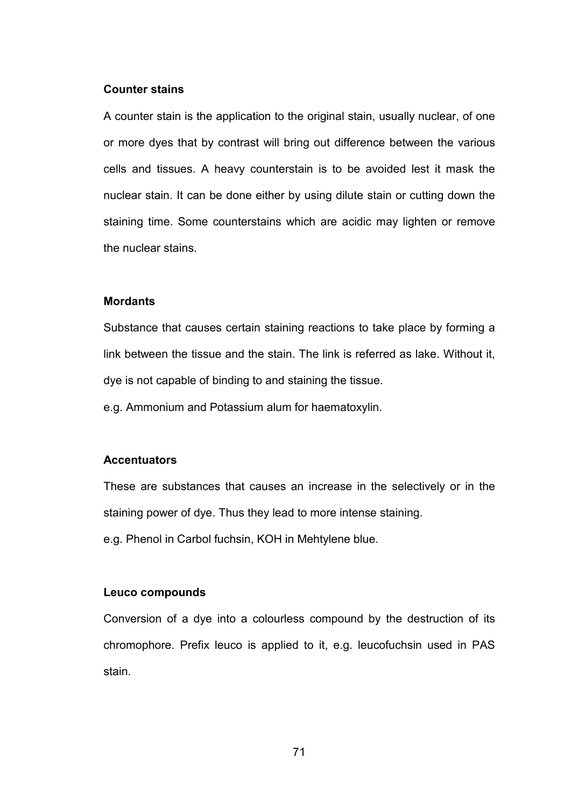#### **Counter stains**

A counter stain is the application to the original stain, usually nuclear, of one or more dyes that by contrast will bring out difference between the various cells and tissues. A heavy counterstain is to be avoided lest it mask the nuclear stain. It can be done either by using dilute stain or cutting down the staining time. Some counterstains which are acidic may lighten or remove the nuclear stains.

#### **Mordants**

Substance that causes certain staining reactions to take place by forming a link between the tissue and the stain. The link is referred as lake. Without it, dye is not capable of binding to and staining the tissue.

e.g. Ammonium and Potassium alum for haematoxylin.

### **Accentuators**

These are substances that causes an increase in the selectively or in the staining power of dye. Thus they lead to more intense staining. e.g. Phenol in Carbol fuchsin, KOH in Mehtylene blue.

### **Leuco compounds**

Conversion of a dye into a colourless compound by the destruction of its chromophore. Prefix leuco is applied to it, e.g. leucofuchsin used in PAS stain.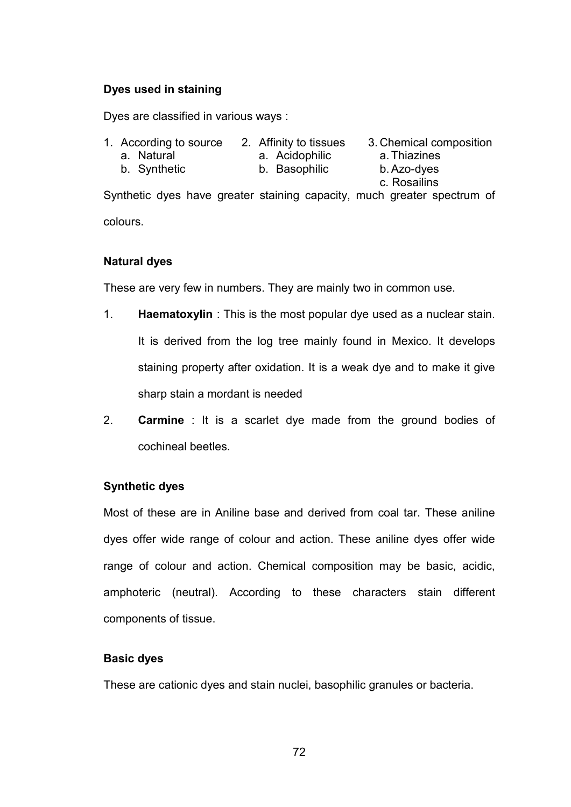## **Dyes used in staining**

Dyes are classified in various ways :

- 1. According to source 2. Affinity to tissues 3. Chemical composition
	- a. Natural a. Acidophilic a. Thiazines
- - b. Synthetic b. Basophilic b. Azo-dyes
- 
- 
- c. Rosailins Synthetic dyes have greater staining capacity, much greater spectrum of colours.

# **Natural dyes**

These are very few in numbers. They are mainly two in common use.

- 1. **Haematoxylin** : This is the most popular dye used as a nuclear stain. It is derived from the log tree mainly found in Mexico. It develops staining property after oxidation. It is a weak dye and to make it give sharp stain a mordant is needed
- 2. **Carmine** : It is a scarlet dye made from the ground bodies of cochineal beetles.

# **Synthetic dyes**

Most of these are in Aniline base and derived from coal tar. These aniline dyes offer wide range of colour and action. These aniline dyes offer wide range of colour and action. Chemical composition may be basic, acidic, amphoteric (neutral). According to these characters stain different components of tissue.

# **Basic dyes**

These are cationic dyes and stain nuclei, basophilic granules or bacteria.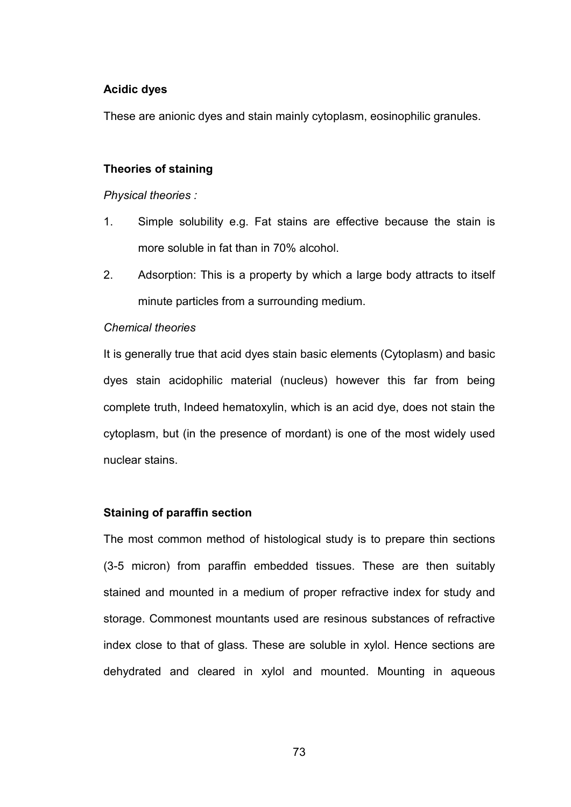#### **Acidic dyes**

These are anionic dyes and stain mainly cytoplasm, eosinophilic granules.

#### **Theories of staining**

#### *Physical theories :*

- 1. Simple solubility e.g. Fat stains are effective because the stain is more soluble in fat than in 70% alcohol.
- 2. Adsorption: This is a property by which a large body attracts to itself minute particles from a surrounding medium.

#### *Chemical theories*

It is generally true that acid dyes stain basic elements (Cytoplasm) and basic dyes stain acidophilic material (nucleus) however this far from being complete truth, Indeed hematoxylin, which is an acid dye, does not stain the cytoplasm, but (in the presence of mordant) is one of the most widely used nuclear stains.

#### **Staining of paraffin section**

The most common method of histological study is to prepare thin sections (3-5 micron) from paraffin embedded tissues. These are then suitably stained and mounted in a medium of proper refractive index for study and storage. Commonest mountants used are resinous substances of refractive index close to that of glass. These are soluble in xylol. Hence sections are dehydrated and cleared in xylol and mounted. Mounting in aqueous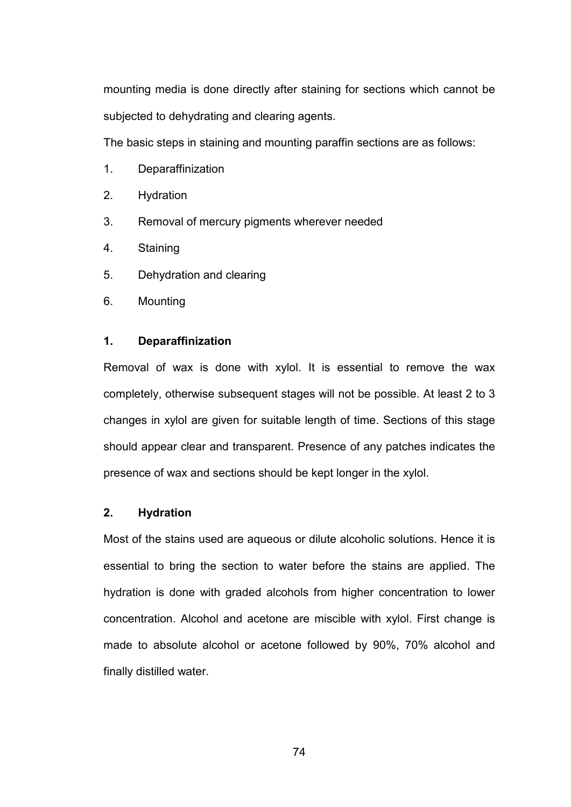mounting media is done directly after staining for sections which cannot be subjected to dehydrating and clearing agents.

The basic steps in staining and mounting paraffin sections are as follows:

- 1. Deparaffinization
- 2. Hydration
- 3. Removal of mercury pigments wherever needed
- 4. Staining
- 5. Dehydration and clearing
- 6. Mounting

## **1. Deparaffinization**

Removal of wax is done with xylol. It is essential to remove the wax completely, otherwise subsequent stages will not be possible. At least 2 to 3 changes in xylol are given for suitable length of time. Sections of this stage should appear clear and transparent. Presence of any patches indicates the presence of wax and sections should be kept longer in the xylol.

## **2. Hydration**

Most of the stains used are aqueous or dilute alcoholic solutions. Hence it is essential to bring the section to water before the stains are applied. The hydration is done with graded alcohols from higher concentration to lower concentration. Alcohol and acetone are miscible with xylol. First change is made to absolute alcohol or acetone followed by 90%, 70% alcohol and finally distilled water.

74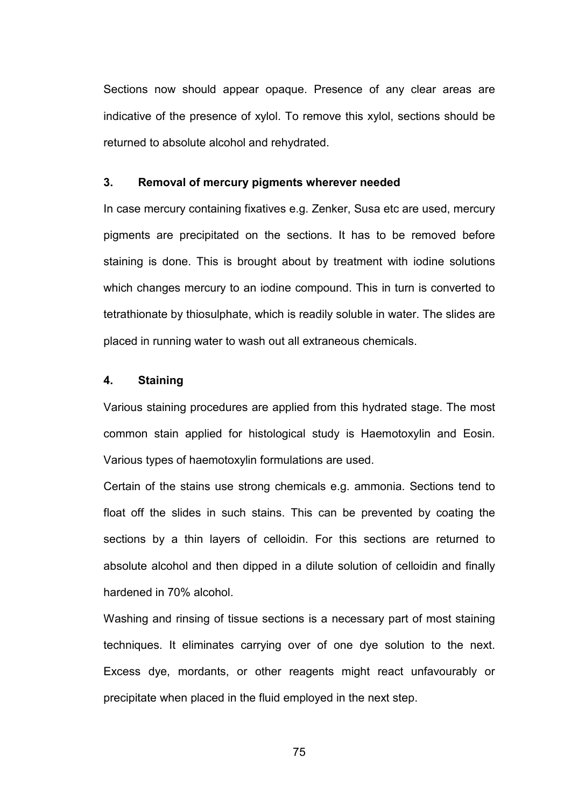Sections now should appear opaque. Presence of any clear areas are indicative of the presence of xylol. To remove this xylol, sections should be returned to absolute alcohol and rehydrated.

#### **3. Removal of mercury pigments wherever needed**

In case mercury containing fixatives e.g. Zenker, Susa etc are used, mercury pigments are precipitated on the sections. It has to be removed before staining is done. This is brought about by treatment with iodine solutions which changes mercury to an iodine compound. This in turn is converted to tetrathionate by thiosulphate, which is readily soluble in water. The slides are placed in running water to wash out all extraneous chemicals.

#### **4. Staining**

Various staining procedures are applied from this hydrated stage. The most common stain applied for histological study is Haemotoxylin and Eosin. Various types of haemotoxylin formulations are used.

Certain of the stains use strong chemicals e.g. ammonia. Sections tend to float off the slides in such stains. This can be prevented by coating the sections by a thin layers of celloidin. For this sections are returned to absolute alcohol and then dipped in a dilute solution of celloidin and finally hardened in 70% alcohol.

Washing and rinsing of tissue sections is a necessary part of most staining techniques. It eliminates carrying over of one dye solution to the next. Excess dye, mordants, or other reagents might react unfavourably or precipitate when placed in the fluid employed in the next step.

75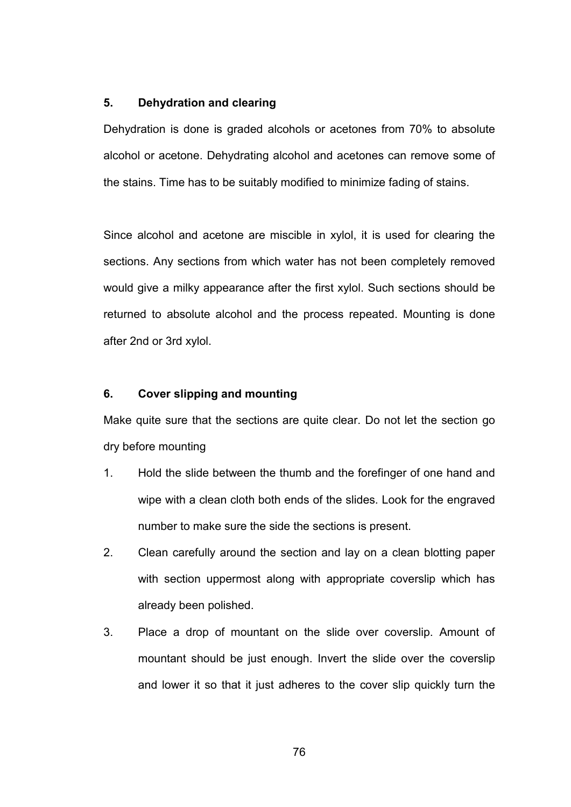#### **5. Dehydration and clearing**

Dehydration is done is graded alcohols or acetones from 70% to absolute alcohol or acetone. Dehydrating alcohol and acetones can remove some of the stains. Time has to be suitably modified to minimize fading of stains.

Since alcohol and acetone are miscible in xylol, it is used for clearing the sections. Any sections from which water has not been completely removed would give a milky appearance after the first xylol. Such sections should be returned to absolute alcohol and the process repeated. Mounting is done after 2nd or 3rd xylol.

## **6. Cover slipping and mounting**

Make quite sure that the sections are quite clear. Do not let the section go dry before mounting

- 1. Hold the slide between the thumb and the forefinger of one hand and wipe with a clean cloth both ends of the slides. Look for the engraved number to make sure the side the sections is present.
- 2. Clean carefully around the section and lay on a clean blotting paper with section uppermost along with appropriate coverslip which has already been polished.
- 3. Place a drop of mountant on the slide over coverslip. Amount of mountant should be just enough. Invert the slide over the coverslip and lower it so that it just adheres to the cover slip quickly turn the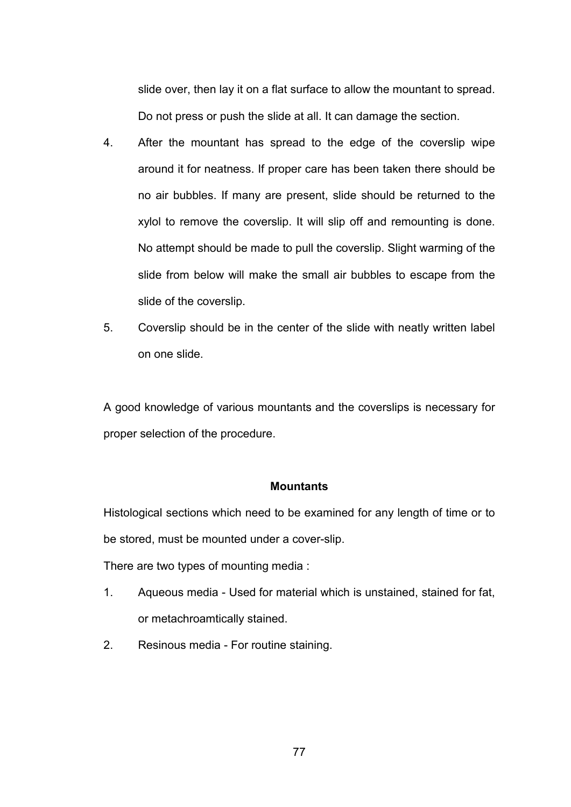slide over, then lay it on a flat surface to allow the mountant to spread. Do not press or push the slide at all. It can damage the section.

- 4. After the mountant has spread to the edge of the coverslip wipe around it for neatness. If proper care has been taken there should be no air bubbles. If many are present, slide should be returned to the xylol to remove the coverslip. It will slip off and remounting is done. No attempt should be made to pull the coverslip. Slight warming of the slide from below will make the small air bubbles to escape from the slide of the coverslip.
- 5. Coverslip should be in the center of the slide with neatly written label on one slide.

A good knowledge of various mountants and the coverslips is necessary for proper selection of the procedure.

#### **Mountants**

Histological sections which need to be examined for any length of time or to be stored, must be mounted under a cover-slip.

There are two types of mounting media :

- 1. Aqueous media Used for material which is unstained, stained for fat, or metachroamtically stained.
- 2. Resinous media For routine staining.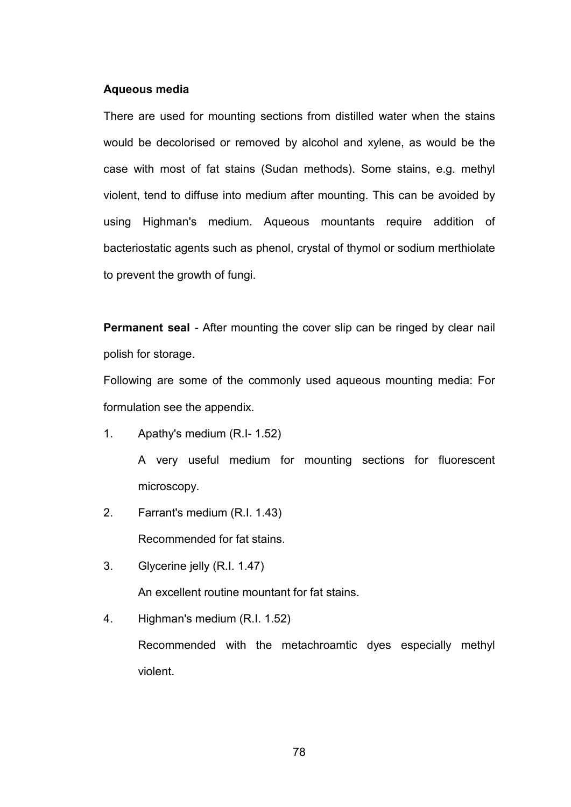#### **Aqueous media**

There are used for mounting sections from distilled water when the stains would be decolorised or removed by alcohol and xylene, as would be the case with most of fat stains (Sudan methods). Some stains, e.g. methyl violent, tend to diffuse into medium after mounting. This can be avoided by using Highman's medium. Aqueous mountants require addition of bacteriostatic agents such as phenol, crystal of thymol or sodium merthiolate to prevent the growth of fungi.

**Permanent seal** - After mounting the cover slip can be ringed by clear nail polish for storage.

Following are some of the commonly used aqueous mounting media: For formulation see the appendix.

- 1. Apathy's medium (R.I- 1.52) A very useful medium for mounting sections for fluorescent microscopy.
- 2. Farrant's medium (R.I. 1.43) Recommended for fat stains.
- 3. Glycerine jelly (R.I. 1.47) An excellent routine mountant for fat stains.
- 4. Highman's medium (R.I. 1.52) Recommended with the metachroamtic dyes especially methyl violent.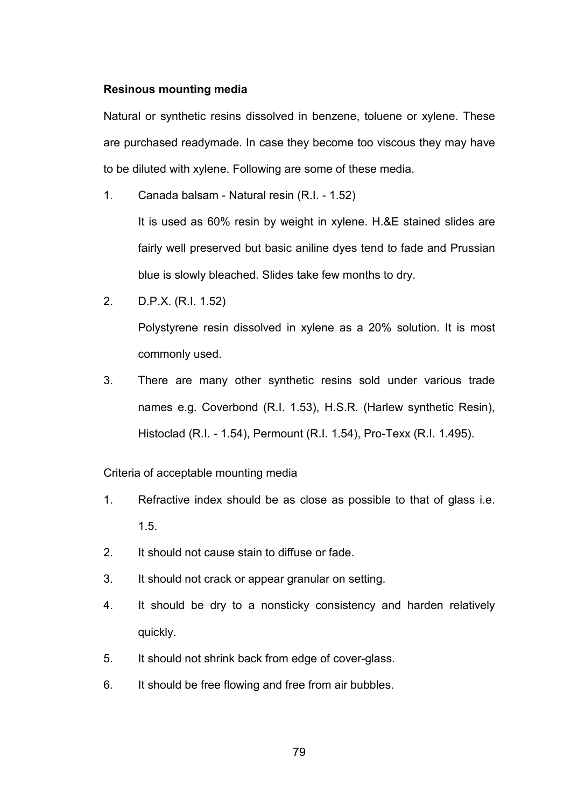#### **Resinous mounting media**

Natural or synthetic resins dissolved in benzene, toluene or xylene. These are purchased readymade. In case they become too viscous they may have to be diluted with xylene. Following are some of these media.

1. Canada balsam - Natural resin (R.I. - 1.52)

It is used as 60% resin by weight in xylene. H.&E stained slides are fairly well preserved but basic aniline dyes tend to fade and Prussian blue is slowly bleached. Slides take few months to dry.

2. D.P.X. (R.I. 1.52)

Polystyrene resin dissolved in xylene as a 20% solution. It is most commonly used.

3. There are many other synthetic resins sold under various trade names e.g. Coverbond (R.I. 1.53), H.S.R. (Harlew synthetic Resin), Histoclad (R.I. - 1.54), Permount (R.I. 1.54), Pro-Texx (R.I. 1.495).

Criteria of acceptable mounting media

- 1. Refractive index should be as close as possible to that of glass i.e. 1.5.
- 2. It should not cause stain to diffuse or fade.
- 3. It should not crack or appear granular on setting.
- 4. It should be dry to a nonsticky consistency and harden relatively quickly.
- 5. It should not shrink back from edge of cover-glass.
- 6. It should be free flowing and free from air bubbles.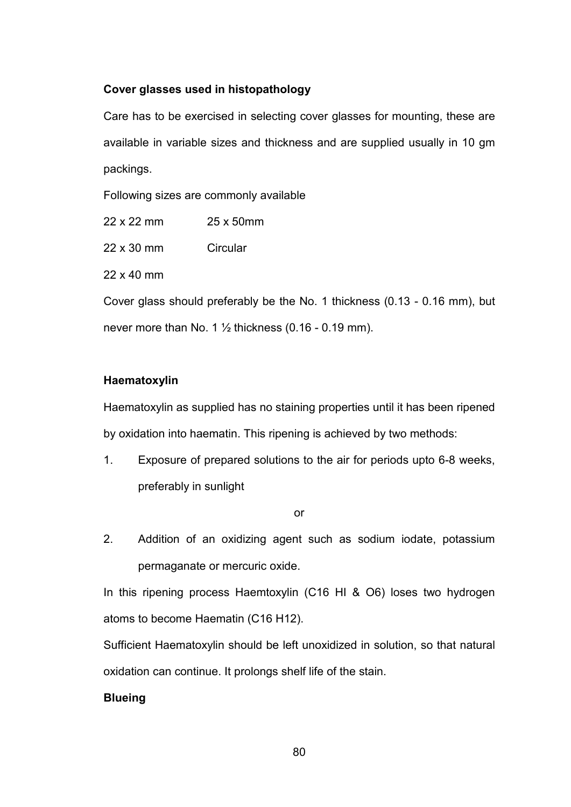## **Cover glasses used in histopathology**

Care has to be exercised in selecting cover glasses for mounting, these are available in variable sizes and thickness and are supplied usually in 10 gm packings.

Following sizes are commonly available

22 x 22 mm 25 x 50mm

22 x 30 mm Circular

22 x 40 mm

Cover glass should preferably be the No. 1 thickness (0.13 - 0.16 mm), but never more than No. 1  $\frac{1}{2}$  thickness (0.16 - 0.19 mm).

## **Haematoxylin**

Haematoxylin as supplied has no staining properties until it has been ripened by oxidation into haematin. This ripening is achieved by two methods:

1. Exposure of prepared solutions to the air for periods upto 6-8 weeks, preferably in sunlight

or

2. Addition of an oxidizing agent such as sodium iodate, potassium permaganate or mercuric oxide.

In this ripening process Haemtoxylin (C16 HI & O6) loses two hydrogen atoms to become Haematin (C16 H12).

Sufficient Haematoxylin should be left unoxidized in solution, so that natural oxidation can continue. It prolongs shelf life of the stain.

## **Blueing**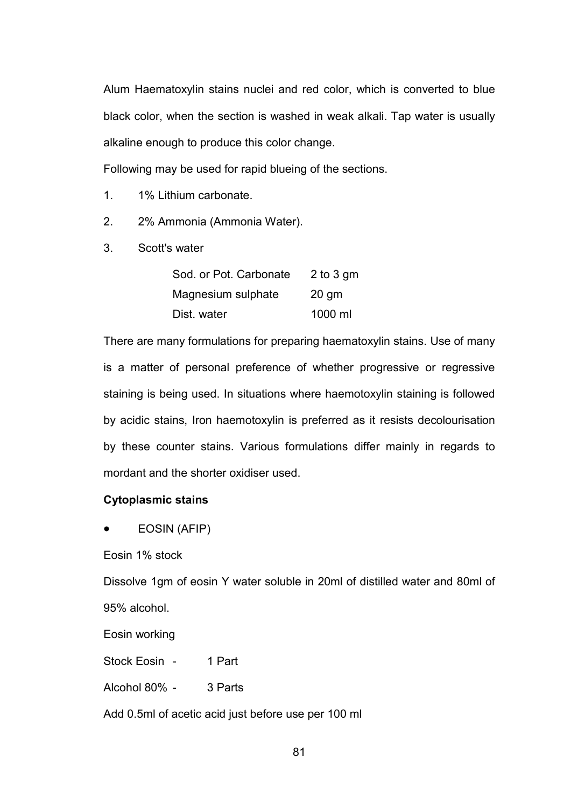Alum Haematoxylin stains nuclei and red color, which is converted to blue black color, when the section is washed in weak alkali. Tap water is usually alkaline enough to produce this color change.

Following may be used for rapid blueing of the sections.

- 1. 1% Lithium carbonate.
- 2. 2% Ammonia (Ammonia Water).
- 3. Scott's water

| Sod. or Pot. Carbonate | 2 to 3 gm |
|------------------------|-----------|
| Magnesium sulphate     | $20$ gm   |
| Dist. water            | 1000 ml   |

There are many formulations for preparing haematoxylin stains. Use of many is a matter of personal preference of whether progressive or regressive staining is being used. In situations where haemotoxylin staining is followed by acidic stains, Iron haemotoxylin is preferred as it resists decolourisation by these counter stains. Various formulations differ mainly in regards to mordant and the shorter oxidiser used.

#### **Cytoplasmic stains**

• EOSIN (AFIP)

Eosin 1% stock

Dissolve 1gm of eosin Y water soluble in 20ml of distilled water and 80ml of 95% alcohol.

Eosin working

Stock Eosin - 1 Part

Alcohol 80% - 3 Parts

Add 0.5ml of acetic acid just before use per 100 ml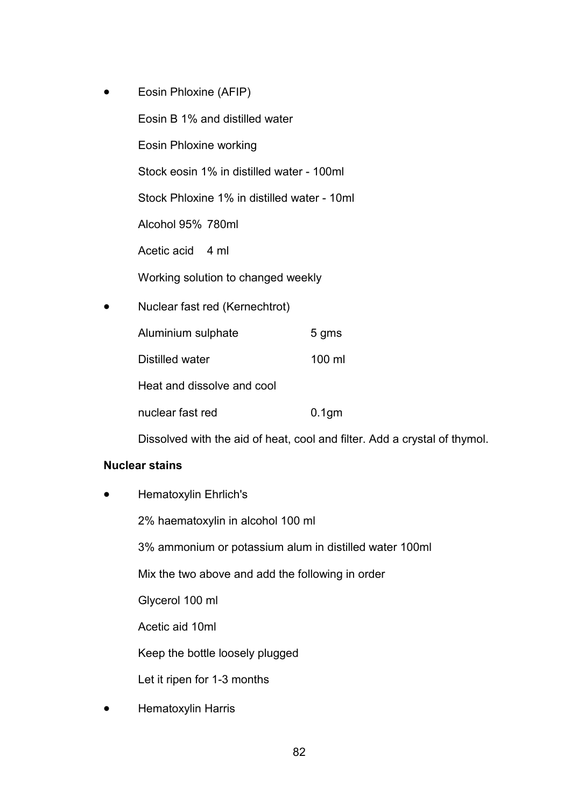• Eosin Phloxine (AFIP) Eosin B 1% and distilled water Eosin Phloxine working Stock eosin 1% in distilled water - 100ml Stock Phloxine 1% in distilled water - 10ml Alcohol 95% 780ml Acetic acid 4 ml Working solution to changed weekly • Nuclear fast red (Kernechtrot) Aluminium sulphate 5 gms Distilled water 100 ml Heat and dissolve and cool nuclear fast red 0.1gm

Dissolved with the aid of heat, cool and filter. Add a crystal of thymol.

## **Nuclear stains**

• Hematoxylin Ehrlich's

2% haematoxylin in alcohol 100 ml

3% ammonium or potassium alum in distilled water 100ml

Mix the two above and add the following in order

Glycerol 100 ml

Acetic aid 10ml

Keep the bottle loosely plugged

Let it ripen for 1-3 months

• Hematoxylin Harris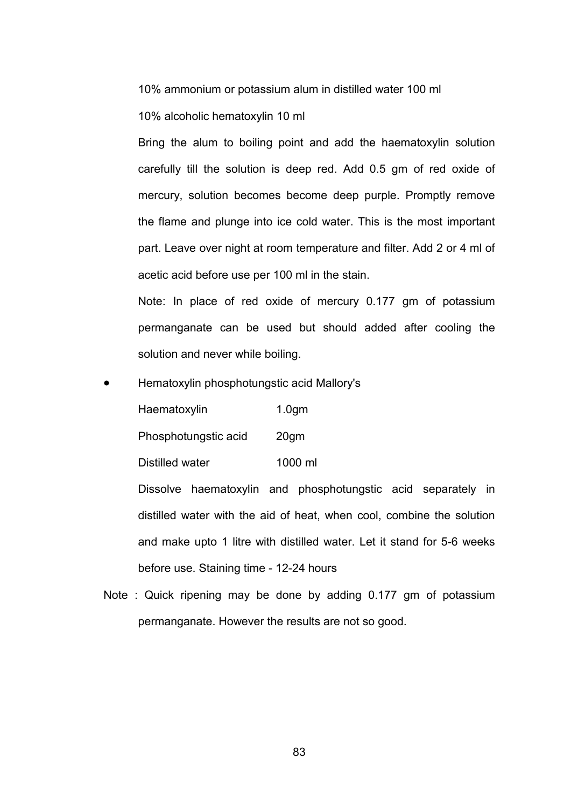10% ammonium or potassium alum in distilled water 100 ml

10% alcoholic hematoxylin 10 ml

Bring the alum to boiling point and add the haematoxylin solution carefully till the solution is deep red. Add 0.5 gm of red oxide of mercury, solution becomes become deep purple. Promptly remove the flame and plunge into ice cold water. This is the most important part. Leave over night at room temperature and filter. Add 2 or 4 ml of acetic acid before use per 100 ml in the stain.

Note: In place of red oxide of mercury 0.177 gm of potassium permanganate can be used but should added after cooling the solution and never while boiling.

• Hematoxylin phosphotungstic acid Mallory's

Haematoxylin 1.0gm

Phosphotungstic acid 20gm

Distilled water 1000 ml

Dissolve haematoxylin and phosphotungstic acid separately in distilled water with the aid of heat, when cool, combine the solution and make upto 1 litre with distilled water. Let it stand for 5-6 weeks before use. Staining time - 12-24 hours

Note : Quick ripening may be done by adding 0.177 gm of potassium permanganate. However the results are not so good.

83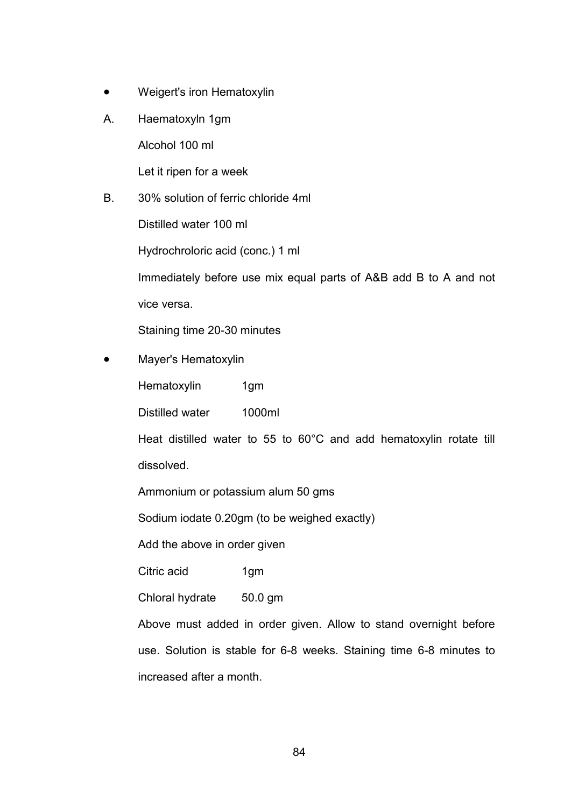- Weigert's iron Hematoxylin
- A. Haematoxyln 1gm

Alcohol 100 ml

Let it ripen for a week

B. 30% solution of ferric chloride 4ml

Distilled water 100 ml

Hydrochroloric acid (conc.) 1 ml

Immediately before use mix equal parts of A&B add B to A and not vice versa.

Staining time 20-30 minutes

• Mayer's Hematoxylin

Hematoxylin 1gm

Distilled water 1000ml

Heat distilled water to 55 to 60°C and add hematoxylin rotate till dissolved.

Ammonium or potassium alum 50 gms

Sodium iodate 0.20gm (to be weighed exactly)

Add the above in order given

Citric acid 1gm

Chloral hydrate 50.0 gm

Above must added in order given. Allow to stand overnight before use. Solution is stable for 6-8 weeks. Staining time 6-8 minutes to increased after a month.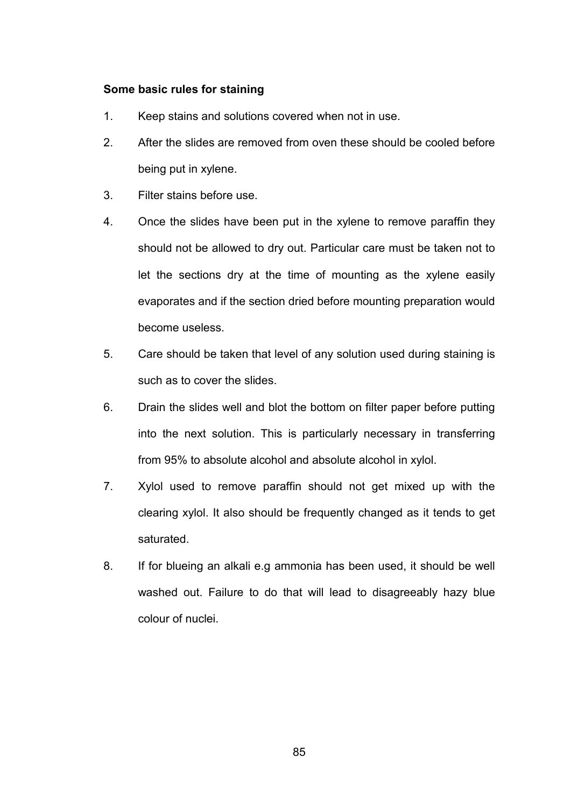## **Some basic rules for staining**

- 1. Keep stains and solutions covered when not in use.
- 2. After the slides are removed from oven these should be cooled before being put in xylene.
- 3. Filter stains before use.
- 4. Once the slides have been put in the xylene to remove paraffin they should not be allowed to dry out. Particular care must be taken not to let the sections dry at the time of mounting as the xylene easily evaporates and if the section dried before mounting preparation would become useless.
- 5. Care should be taken that level of any solution used during staining is such as to cover the slides.
- 6. Drain the slides well and blot the bottom on filter paper before putting into the next solution. This is particularly necessary in transferring from 95% to absolute alcohol and absolute alcohol in xylol.
- 7. Xylol used to remove paraffin should not get mixed up with the clearing xylol. It also should be frequently changed as it tends to get saturated.
- 8. If for blueing an alkali e.g ammonia has been used, it should be well washed out. Failure to do that will lead to disagreeably hazy blue colour of nuclei.

85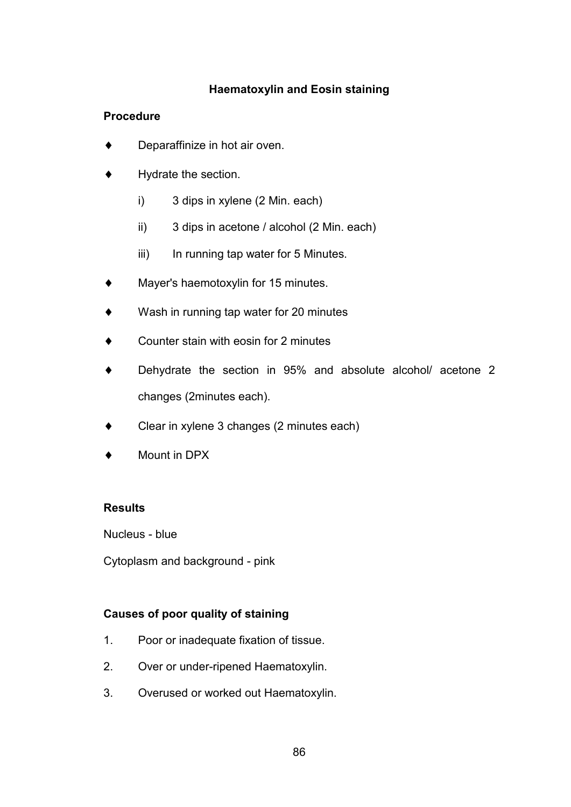# **Haematoxylin and Eosin staining**

# **Procedure**

- ♦ Deparaffinize in hot air oven.
- Hydrate the section.
	- i) 3 dips in xylene (2 Min. each)
	- ii) 3 dips in acetone / alcohol (2 Min. each)
	- iii) In running tap water for 5 Minutes.
- Mayer's haemotoxylin for 15 minutes.
- ♦ Wash in running tap water for 20 minutes
- Counter stain with eosin for 2 minutes
- Dehydrate the section in 95% and absolute alcohol/ acetone 2 changes (2minutes each).
- ♦ Clear in xylene 3 changes (2 minutes each)
- Mount in DPX

# **Results**

Nucleus - blue

Cytoplasm and background - pink

# **Causes of poor quality of staining**

- 1. Poor or inadequate fixation of tissue.
- 2. Over or under-ripened Haematoxylin.
- 3. Overused or worked out Haematoxylin.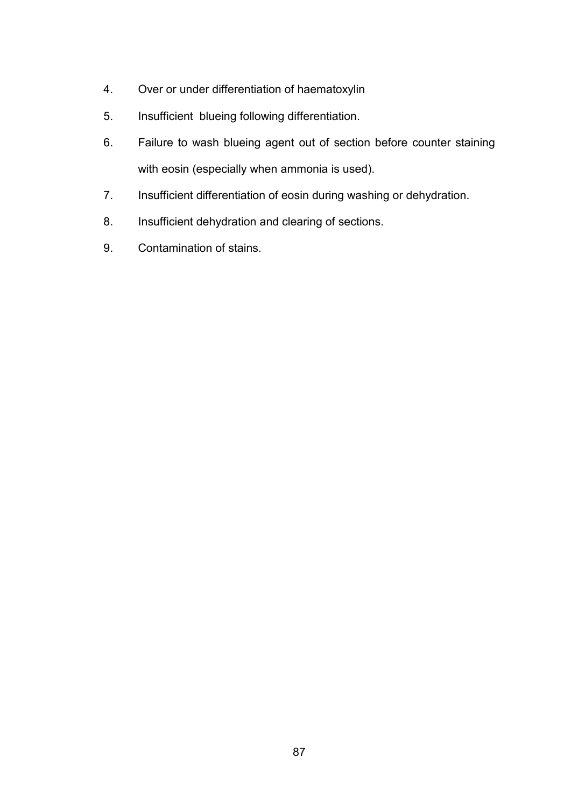- 4. Over or under differentiation of haematoxylin
- 5. Insufficient blueing following differentiation.
- 6. Failure to wash blueing agent out of section before counter staining with eosin (especially when ammonia is used).
- 7. Insufficient differentiation of eosin during washing or dehydration.
- 8. Insufficient dehydration and clearing of sections.
- 9. Contamination of stains.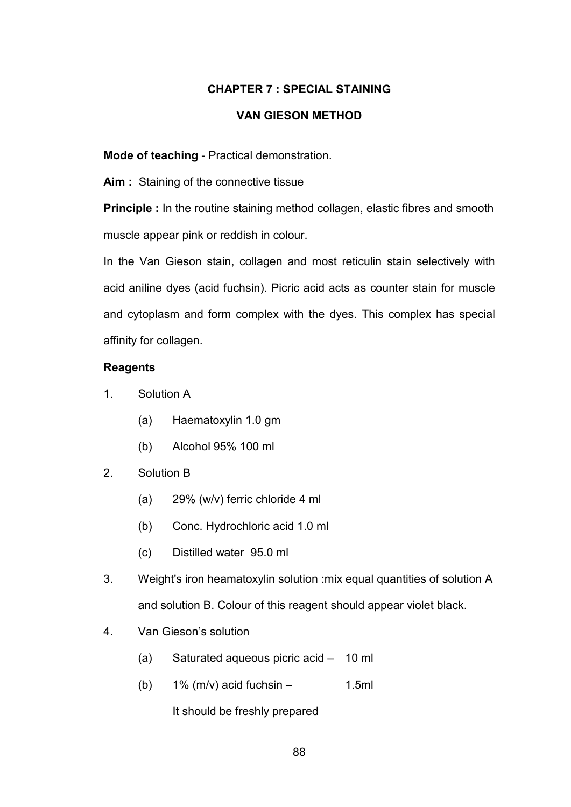## **CHAPTER 7 : SPECIAL STAINING**

## **VAN GIESON METHOD**

**Mode of teaching** - Practical demonstration.

Aim : Staining of the connective tissue

**Principle :** In the routine staining method collagen, elastic fibres and smooth muscle appear pink or reddish in colour.

In the Van Gieson stain, collagen and most reticulin stain selectively with acid aniline dyes (acid fuchsin). Picric acid acts as counter stain for muscle and cytoplasm and form complex with the dyes. This complex has special affinity for collagen.

## **Reagents**

- 1. Solution A
	- (a) Haematoxylin 1.0 gm
	- (b) Alcohol 95% 100 ml
- 2. Solution B
	- (a) 29% (w/v) ferric chloride 4 ml
	- (b) Conc. Hydrochloric acid 1.0 ml
	- (c) Distilled water 95.0 ml
- 3. Weight's iron heamatoxylin solution :mix equal quantities of solution A and solution B. Colour of this reagent should appear violet black.
- 4. Van Gieson's solution
	- (a) Saturated aqueous picric acid 10 ml
	- (b)  $1\%$  (m/v) acid fuchsin 1.5ml

It should be freshly prepared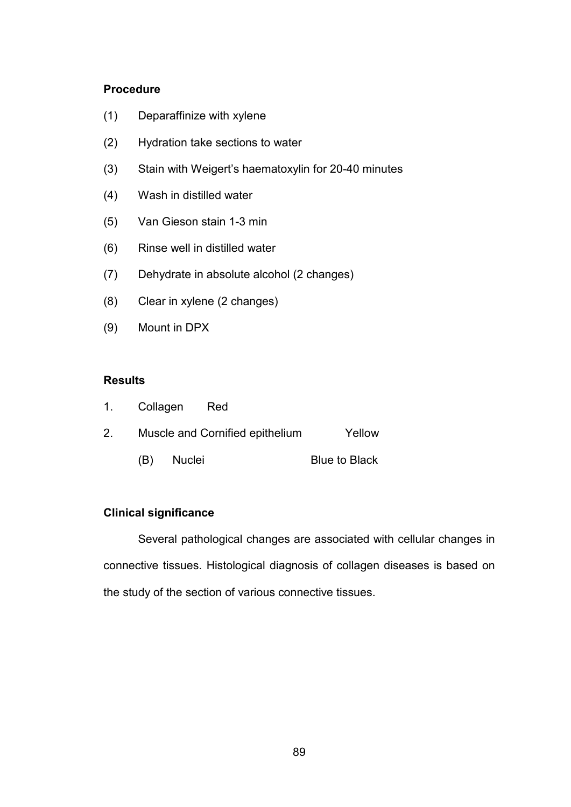## **Procedure**

- (1) Deparaffinize with xylene
- (2) Hydration take sections to water
- (3) Stain with Weigert's haematoxylin for 20-40 minutes
- (4) Wash in distilled water
- (5) Van Gieson stain 1-3 min
- (6) Rinse well in distilled water
- (7) Dehydrate in absolute alcohol (2 changes)
- (8) Clear in xylene (2 changes)
- (9) Mount in DPX

#### **Results**

|                | 1. Collagen Red |        |                                 |               |
|----------------|-----------------|--------|---------------------------------|---------------|
| 2 <sub>1</sub> |                 |        | Muscle and Cornified epithelium | Yellow        |
|                | (B)             | Nuclei |                                 | Blue to Black |

## **Clinical significance**

 Several pathological changes are associated with cellular changes in connective tissues. Histological diagnosis of collagen diseases is based on the study of the section of various connective tissues.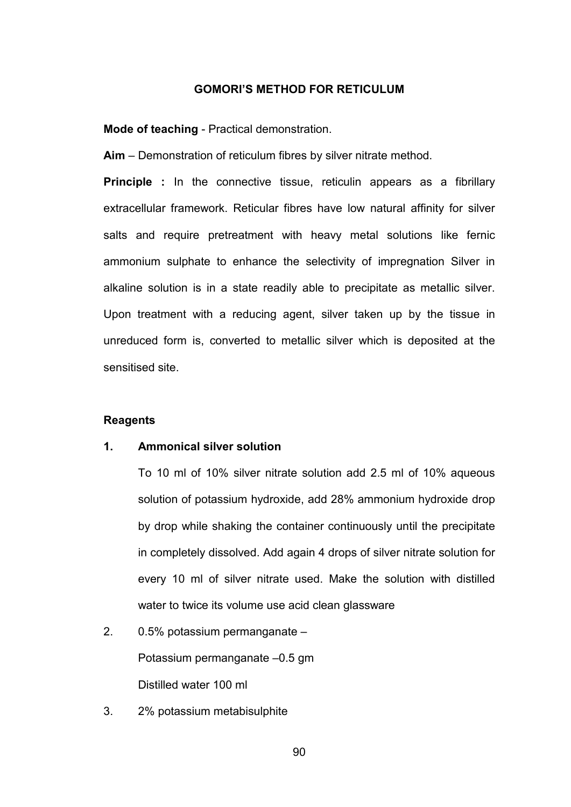#### **GOMORI'S METHOD FOR RETICULUM**

**Mode of teaching** - Practical demonstration.

**Aim** – Demonstration of reticulum fibres by silver nitrate method.

**Principle :** In the connective tissue, reticulin appears as a fibrillary extracellular framework. Reticular fibres have low natural affinity for silver salts and require pretreatment with heavy metal solutions like fernic ammonium sulphate to enhance the selectivity of impregnation Silver in alkaline solution is in a state readily able to precipitate as metallic silver. Upon treatment with a reducing agent, silver taken up by the tissue in unreduced form is, converted to metallic silver which is deposited at the sensitised site.

#### **Reagents**

## **1. Ammonical silver solution**

To 10 ml of 10% silver nitrate solution add 2.5 ml of 10% aqueous solution of potassium hydroxide, add 28% ammonium hydroxide drop by drop while shaking the container continuously until the precipitate in completely dissolved. Add again 4 drops of silver nitrate solution for every 10 ml of silver nitrate used. Make the solution with distilled water to twice its volume use acid clean glassware

# 2. 0.5% potassium permanganate –

Potassium permanganate –0.5 gm Distilled water 100 ml

3. 2% potassium metabisulphite

90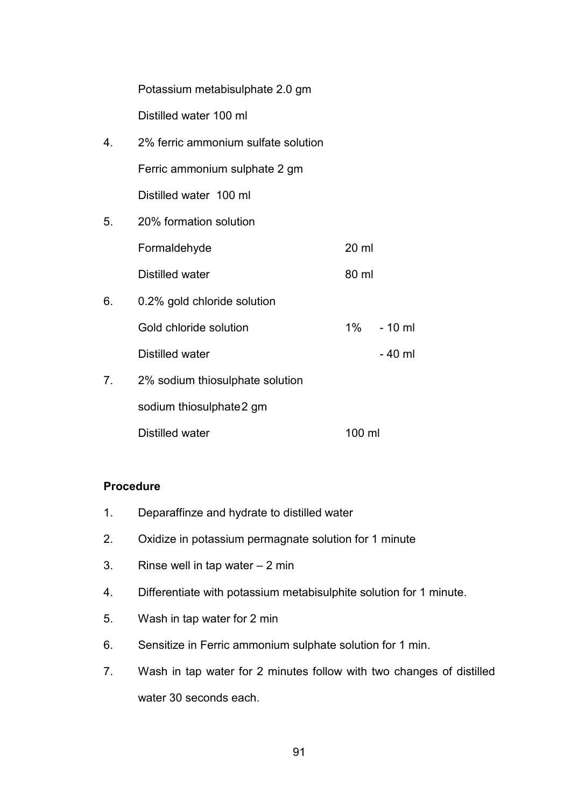| Potassium metabisulphate 2.0 gm |  |
|---------------------------------|--|
| Distilled water 100 ml          |  |

- 4. 2% ferric ammonium sulfate solution Ferric ammonium sulphate 2 gm Distilled water 100 ml
- 5. 20% formation solution Formaldehyde 20 ml Distilled water 80 ml
- 6. 0.2% gold chloride solution Gold chloride solution 1% - 10 ml Distilled water  $-40$  ml
- 7. 2% sodium thiosulphate solution sodium thiosulphate 2 gm Distilled water 100 ml

## **Procedure**

- 1. Deparaffinze and hydrate to distilled water
- 2. Oxidize in potassium permagnate solution for 1 minute
- 3. Rinse well in tap water 2 min
- 4. Differentiate with potassium metabisulphite solution for 1 minute.
- 5. Wash in tap water for 2 min
- 6. Sensitize in Ferric ammonium sulphate solution for 1 min.
- 7. Wash in tap water for 2 minutes follow with two changes of distilled water 30 seconds each.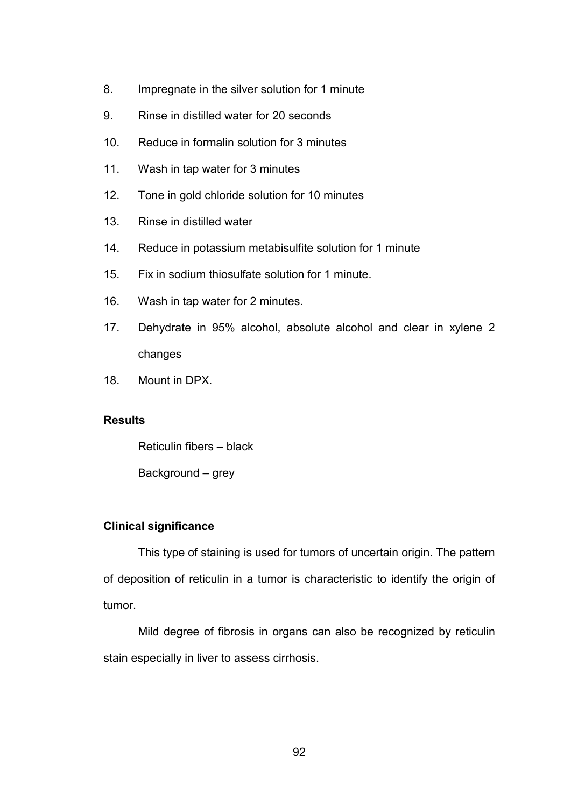- 8. Impregnate in the silver solution for 1 minute
- 9. Rinse in distilled water for 20 seconds
- 10. Reduce in formalin solution for 3 minutes
- 11. Wash in tap water for 3 minutes
- 12. Tone in gold chloride solution for 10 minutes
- 13. Rinse in distilled water
- 14. Reduce in potassium metabisulfite solution for 1 minute
- 15. Fix in sodium thiosulfate solution for 1 minute.
- 16. Wash in tap water for 2 minutes.
- 17. Dehydrate in 95% alcohol, absolute alcohol and clear in xylene 2 changes
- 18. Mount in DPX.

#### **Results**

Reticulin fibers – black

Background – grey

#### **Clinical significance**

 This type of staining is used for tumors of uncertain origin. The pattern of deposition of reticulin in a tumor is characteristic to identify the origin of tumor.

 Mild degree of fibrosis in organs can also be recognized by reticulin stain especially in liver to assess cirrhosis.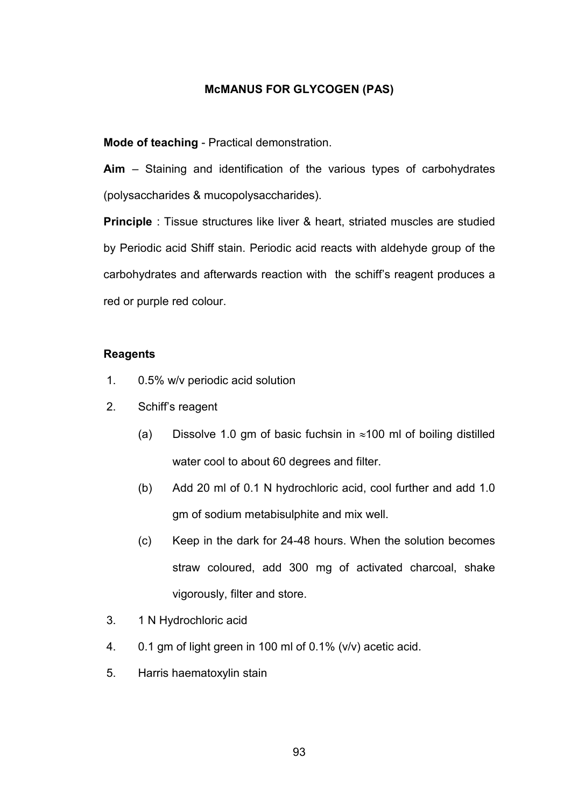#### **McMANUS FOR GLYCOGEN (PAS)**

**Mode of teaching** - Practical demonstration.

**Aim** – Staining and identification of the various types of carbohydrates (polysaccharides & mucopolysaccharides).

**Principle** : Tissue structures like liver & heart, striated muscles are studied by Periodic acid Shiff stain. Periodic acid reacts with aldehyde group of the carbohydrates and afterwards reaction with the schiff's reagent produces a red or purple red colour.

## **Reagents**

- 1. 0.5% w/v periodic acid solution
- 2. Schiff's reagent
	- (a) Dissolve 1.0 gm of basic fuchsin in  $\approx$ 100 ml of boiling distilled water cool to about 60 degrees and filter.
	- (b) Add 20 ml of 0.1 N hydrochloric acid, cool further and add 1.0 gm of sodium metabisulphite and mix well.
	- (c) Keep in the dark for 24-48 hours. When the solution becomes straw coloured, add 300 mg of activated charcoal, shake vigorously, filter and store.
- 3. 1 N Hydrochloric acid
- 4. 0.1 gm of light green in 100 ml of 0.1% (v/v) acetic acid.
- 5. Harris haematoxylin stain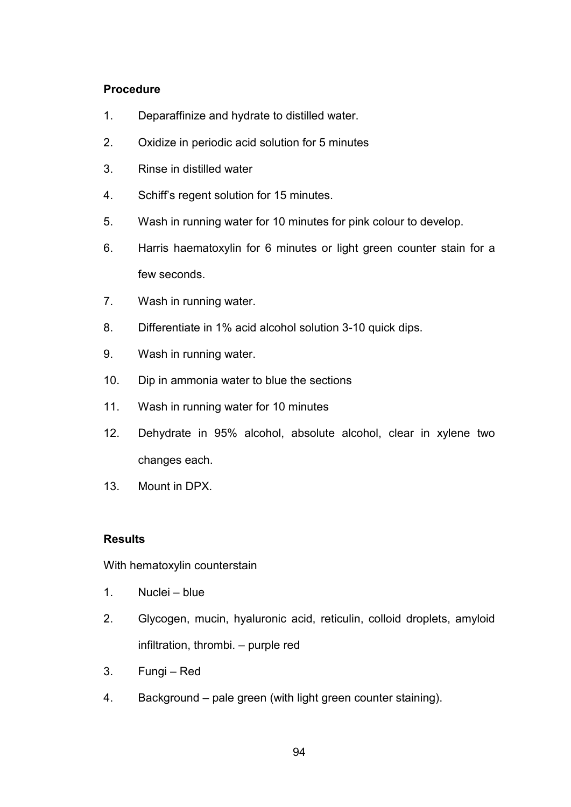## **Procedure**

- 1. Deparaffinize and hydrate to distilled water.
- 2. Oxidize in periodic acid solution for 5 minutes
- 3. Rinse in distilled water
- 4. Schiff's regent solution for 15 minutes.
- 5. Wash in running water for 10 minutes for pink colour to develop.
- 6. Harris haematoxylin for 6 minutes or light green counter stain for a few seconds.
- 7. Wash in running water.
- 8. Differentiate in 1% acid alcohol solution 3-10 quick dips.
- 9. Wash in running water.
- 10. Dip in ammonia water to blue the sections
- 11. Wash in running water for 10 minutes
- 12. Dehydrate in 95% alcohol, absolute alcohol, clear in xylene two changes each.
- 13. Mount in DPX.

# **Results**

With hematoxylin counterstain

- 1. Nuclei blue
- 2. Glycogen, mucin, hyaluronic acid, reticulin, colloid droplets, amyloid infiltration, thrombi. – purple red
- 3. Fungi Red
- 4. Background pale green (with light green counter staining).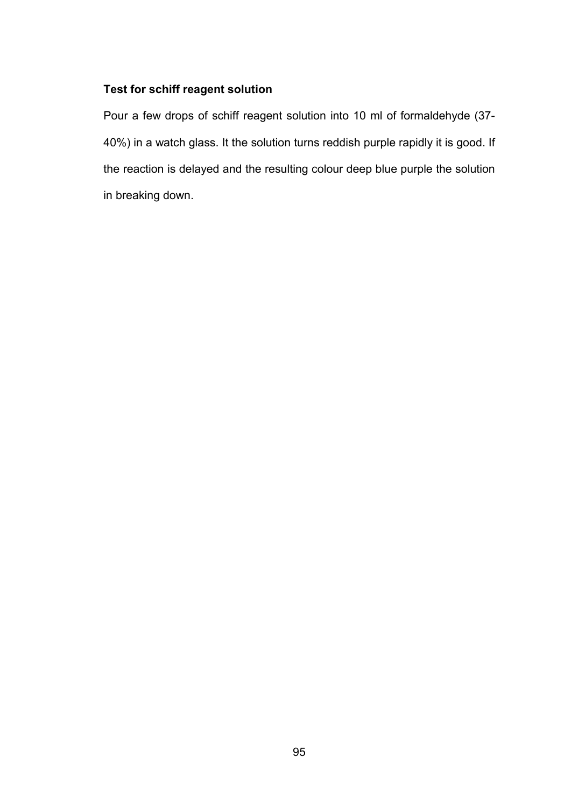## **Test for schiff reagent solution**

Pour a few drops of schiff reagent solution into 10 ml of formaldehyde (37- 40%) in a watch glass. It the solution turns reddish purple rapidly it is good. If the reaction is delayed and the resulting colour deep blue purple the solution in breaking down.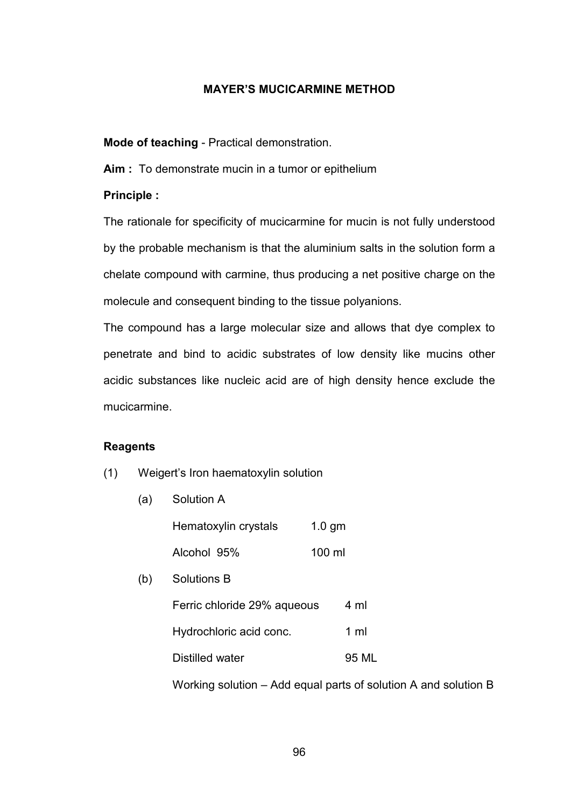## **MAYER'S MUCICARMINE METHOD**

**Mode of teaching** - Practical demonstration.

**Aim :** To demonstrate mucin in a tumor or epithelium

## **Principle :**

The rationale for specificity of mucicarmine for mucin is not fully understood by the probable mechanism is that the aluminium salts in the solution form a chelate compound with carmine, thus producing a net positive charge on the molecule and consequent binding to the tissue polyanions.

The compound has a large molecular size and allows that dye complex to penetrate and bind to acidic substrates of low density like mucins other acidic substances like nucleic acid are of high density hence exclude the mucicarmine.

## **Reagents**

- (1) Weigert's Iron haematoxylin solution
	- (a) Solution A

|     | Hematoxylin crystals        | $1.0$ gm |                |
|-----|-----------------------------|----------|----------------|
|     | Alcohol 95%                 | 100 ml   |                |
| (b) | <b>Solutions B</b>          |          |                |
|     | Ferric chloride 29% aqueous |          | 4 ml           |
|     | Hydrochloric acid conc.     |          | $1 \text{ ml}$ |
|     | Distilled water             |          | 95 ML          |
|     |                             |          |                |

Working solution – Add equal parts of solution A and solution B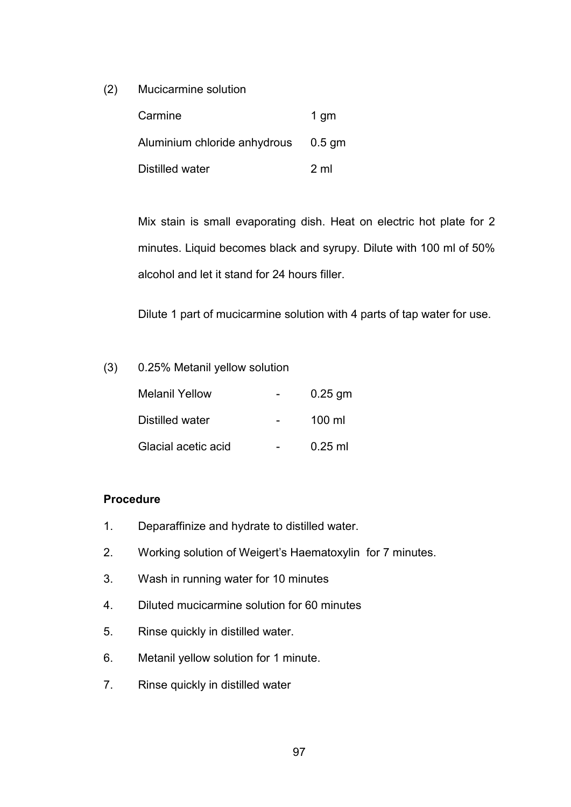(2) Mucicarmine solution

| Carmine                             | 1 gm |
|-------------------------------------|------|
| Aluminium chloride anhydrous 0.5 gm |      |
| Distilled water                     | 2 ml |

Mix stain is small evaporating dish. Heat on electric hot plate for 2 minutes. Liquid becomes black and syrupy. Dilute with 100 ml of 50% alcohol and let it stand for 24 hours filler.

Dilute 1 part of mucicarmine solution with 4 parts of tap water for use.

## (3) 0.25% Metanil yellow solution

| <b>Melanil Yellow</b> | $0.25$ gm |
|-----------------------|-----------|
| Distilled water       | 100 ml    |
| Glacial acetic acid   | $0.25$ ml |

# **Procedure**

- 1. Deparaffinize and hydrate to distilled water.
- 2. Working solution of Weigert's Haematoxylin for 7 minutes.
- 3. Wash in running water for 10 minutes
- 4. Diluted mucicarmine solution for 60 minutes
- 5. Rinse quickly in distilled water.
- 6. Metanil yellow solution for 1 minute.
- 7. Rinse quickly in distilled water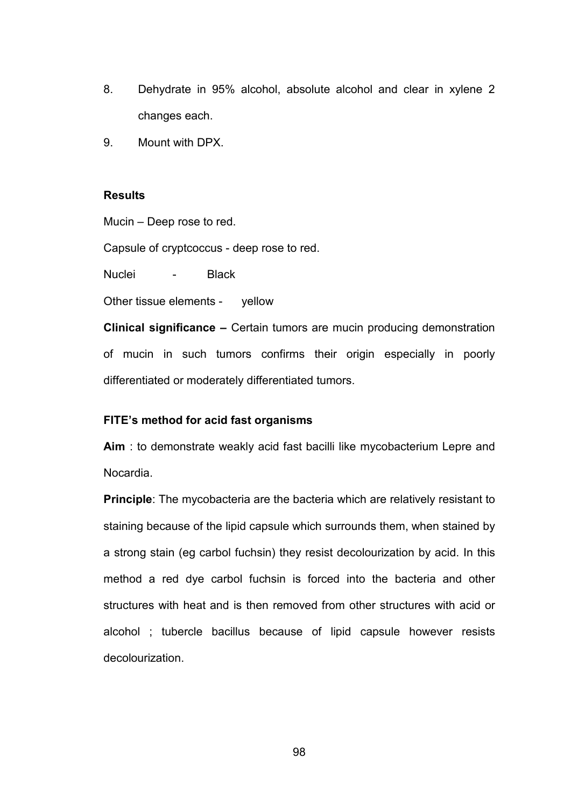- 8. Dehydrate in 95% alcohol, absolute alcohol and clear in xylene 2 changes each.
- 9. Mount with DPX.

#### **Results**

Mucin – Deep rose to red.

Capsule of cryptcoccus - deep rose to red.

Nuclei - Black

Other tissue elements - yellow

**Clinical significance –** Certain tumors are mucin producing demonstration of mucin in such tumors confirms their origin especially in poorly differentiated or moderately differentiated tumors.

## **FITE's method for acid fast organisms**

**Aim** : to demonstrate weakly acid fast bacilli like mycobacterium Lepre and Nocardia.

**Principle**: The mycobacteria are the bacteria which are relatively resistant to staining because of the lipid capsule which surrounds them, when stained by a strong stain (eg carbol fuchsin) they resist decolourization by acid. In this method a red dye carbol fuchsin is forced into the bacteria and other structures with heat and is then removed from other structures with acid or alcohol ; tubercle bacillus because of lipid capsule however resists decolourization.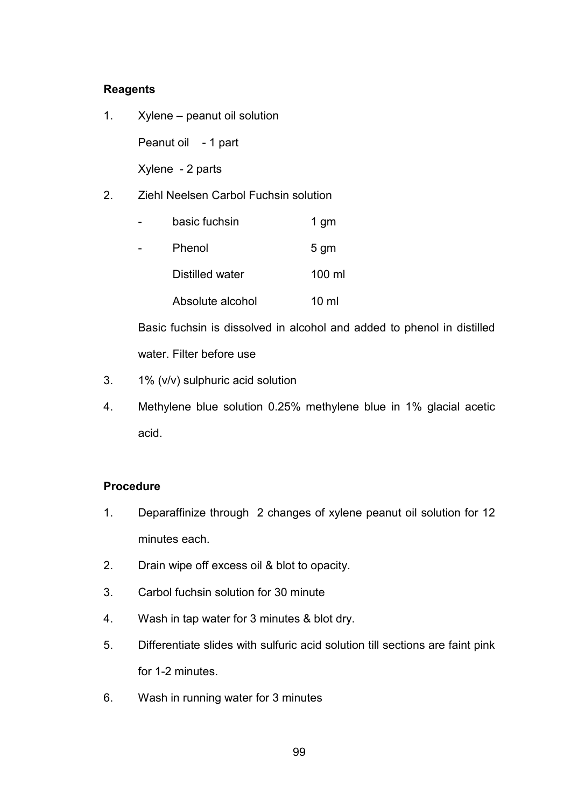## **Reagents**

1. Xylene – peanut oil solution

Peanut oil - 1 part

Xylene - 2 parts

2. Ziehl Neelsen Carbol Fuchsin solution

| basic fuchsin    | 1 gm            |
|------------------|-----------------|
| Phenol           | 5 <sub>gm</sub> |
| Distilled water  | 100 ml          |
| Absolute alcohol | 10 ml           |

Basic fuchsin is dissolved in alcohol and added to phenol in distilled water. Filter before use

- 3. 1% (v/v) sulphuric acid solution
- 4. Methylene blue solution 0.25% methylene blue in 1% glacial acetic acid.

## **Procedure**

- 1. Deparaffinize through 2 changes of xylene peanut oil solution for 12 minutes each.
- 2. Drain wipe off excess oil & blot to opacity.
- 3. Carbol fuchsin solution for 30 minute
- 4. Wash in tap water for 3 minutes & blot dry.
- 5. Differentiate slides with sulfuric acid solution till sections are faint pink for 1-2 minutes.
- 6. Wash in running water for 3 minutes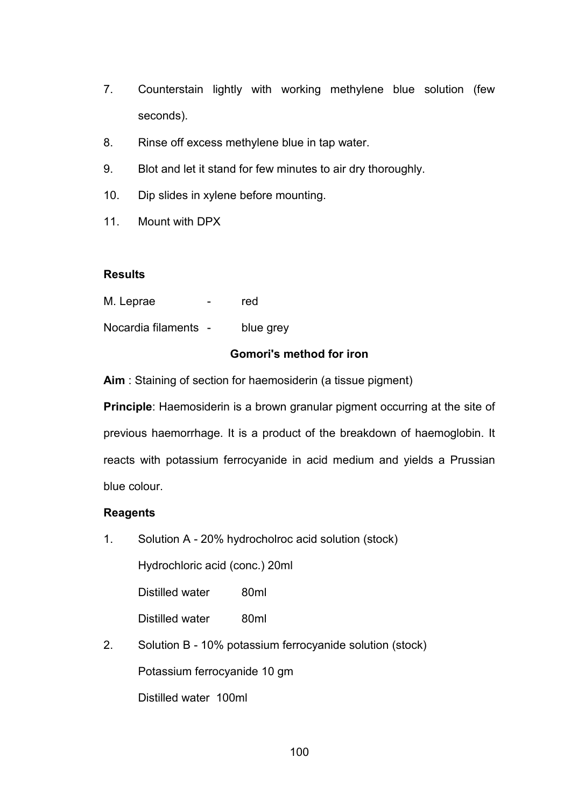- 7. Counterstain lightly with working methylene blue solution (few seconds).
- 8. Rinse off excess methylene blue in tap water.
- 9. Blot and let it stand for few minutes to air dry thoroughly.
- 10. Dip slides in xylene before mounting.
- 11. Mount with DPX

## **Results**

M. Leprae - red

Nocardia filaments - blue grey

## **Gomori's method for iron**

**Aim** : Staining of section for haemosiderin (a tissue pigment)

**Principle**: Haemosiderin is a brown granular pigment occurring at the site of previous haemorrhage. It is a product of the breakdown of haemoglobin. It reacts with potassium ferrocyanide in acid medium and yields a Prussian blue colour.

## **Reagents**

1. Solution A - 20% hydrocholroc acid solution (stock)

Hydrochloric acid (conc.) 20ml

Distilled water 80ml

Distilled water 80ml

2. Solution B - 10% potassium ferrocyanide solution (stock) Potassium ferrocyanide 10 gm Distilled water 100ml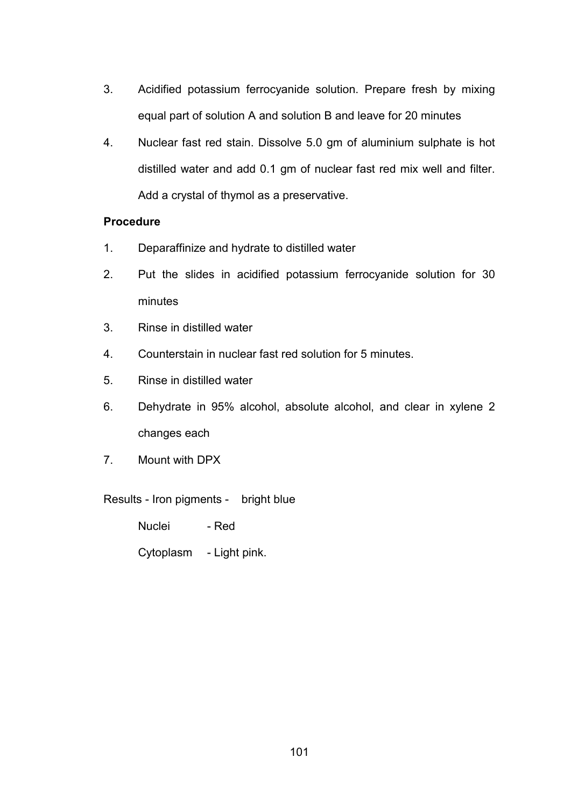- 3. Acidified potassium ferrocyanide solution. Prepare fresh by mixing equal part of solution A and solution B and leave for 20 minutes
- 4. Nuclear fast red stain. Dissolve 5.0 gm of aluminium sulphate is hot distilled water and add 0.1 gm of nuclear fast red mix well and filter. Add a crystal of thymol as a preservative.

## **Procedure**

- 1. Deparaffinize and hydrate to distilled water
- 2. Put the slides in acidified potassium ferrocyanide solution for 30 minutes
- 3. Rinse in distilled water
- 4. Counterstain in nuclear fast red solution for 5 minutes.
- 5. Rinse in distilled water
- 6. Dehydrate in 95% alcohol, absolute alcohol, and clear in xylene 2 changes each
- 7. Mount with DPX

Results - Iron pigments - bright blue

Nuclei - Red

Cytoplasm - Light pink.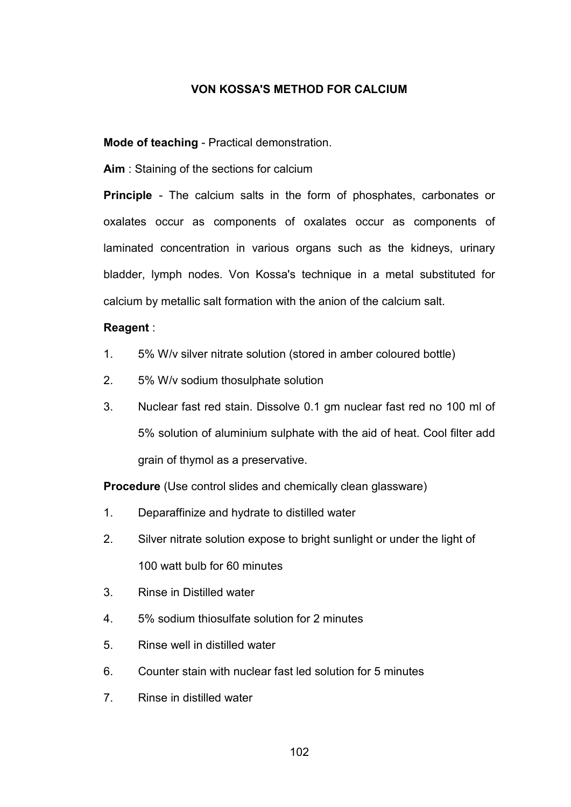## **VON KOSSA'S METHOD FOR CALCIUM**

**Mode of teaching** - Practical demonstration.

**Aim** : Staining of the sections for calcium

**Principle** - The calcium salts in the form of phosphates, carbonates or oxalates occur as components of oxalates occur as components of laminated concentration in various organs such as the kidneys, urinary bladder, lymph nodes. Von Kossa's technique in a metal substituted for calcium by metallic salt formation with the anion of the calcium salt.

## **Reagent** :

- 1. 5% W/v silver nitrate solution (stored in amber coloured bottle)
- 2. 5% W/v sodium thosulphate solution
- 3. Nuclear fast red stain. Dissolve 0.1 gm nuclear fast red no 100 ml of 5% solution of aluminium sulphate with the aid of heat. Cool filter add grain of thymol as a preservative.

**Procedure** (Use control slides and chemically clean glassware)

- 1. Deparaffinize and hydrate to distilled water
- 2. Silver nitrate solution expose to bright sunlight or under the light of 100 watt bulb for 60 minutes
- 3. Rinse in Distilled water
- 4. 5% sodium thiosulfate solution for 2 minutes
- 5. Rinse well in distilled water
- 6. Counter stain with nuclear fast led solution for 5 minutes
- 7. Rinse in distilled water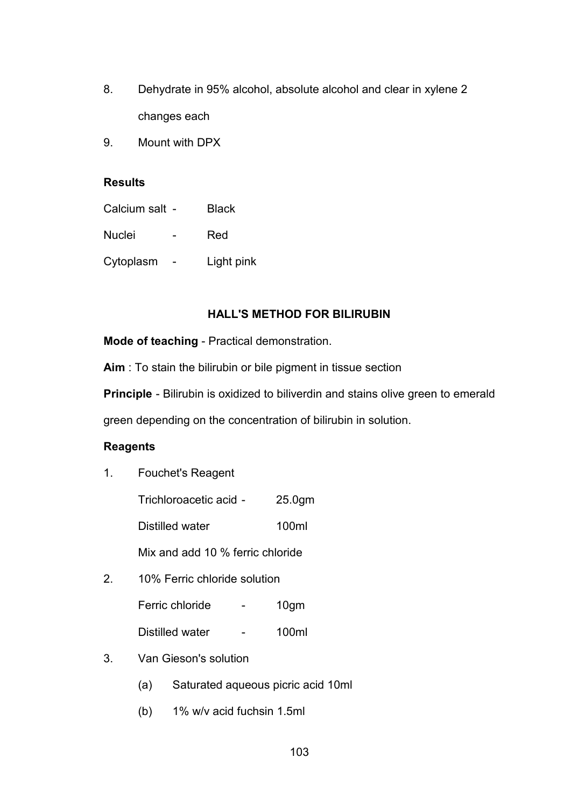- 8. Dehydrate in 95% alcohol, absolute alcohol and clear in xylene 2 changes each
- 9. Mount with DPX

#### **Results**

| Calcium salt - | <b>Black</b> |
|----------------|--------------|
| <b>Nuclei</b>  | Red          |
| Cytoplasm      | Light pink   |

## **HALL'S METHOD FOR BILIRUBIN**

**Mode of teaching** - Practical demonstration.

**Aim** : To stain the bilirubin or bile pigment in tissue section

**Principle** - Bilirubin is oxidized to biliverdin and stains olive green to emerald

green depending on the concentration of bilirubin in solution.

## **Reagents**

1. Fouchet's Reagent

Trichloroacetic acid - 25.0gm

Distilled water 100ml

Mix and add 10 % ferric chloride

2. 10% Ferric chloride solution

| Ferric chloride | 10 <sub>gm</sub> |
|-----------------|------------------|
|                 |                  |

- Distilled water 100ml
- 3. Van Gieson's solution
	- (a) Saturated aqueous picric acid 10ml
	- (b) 1% w/v acid fuchsin 1.5ml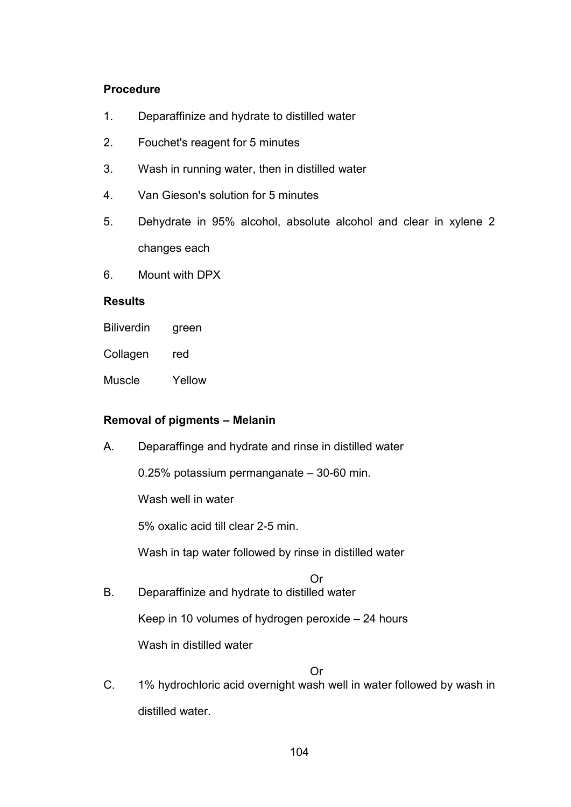## **Procedure**

- 1. Deparaffinize and hydrate to distilled water
- 2. Fouchet's reagent for 5 minutes
- 3. Wash in running water, then in distilled water
- 4. Van Gieson's solution for 5 minutes
- 5. Dehydrate in 95% alcohol, absolute alcohol and clear in xylene 2 changes each
- 6. Mount with DPX

## **Results**

| <b>Biliverdin</b> | green |
|-------------------|-------|
| Collagen          | red   |

Muscle Yellow

# **Removal of pigments – Melanin**

A. Deparaffinge and hydrate and rinse in distilled water

0.25% potassium permanganate – 30-60 min.

Wash well in water

5% oxalic acid till clear 2-5 min.

Wash in tap water followed by rinse in distilled water

Or

B. Deparaffinize and hydrate to distilled water

Keep in 10 volumes of hydrogen peroxide – 24 hours

Wash in distilled water

## Or

C. 1% hydrochloric acid overnight wash well in water followed by wash in distilled water.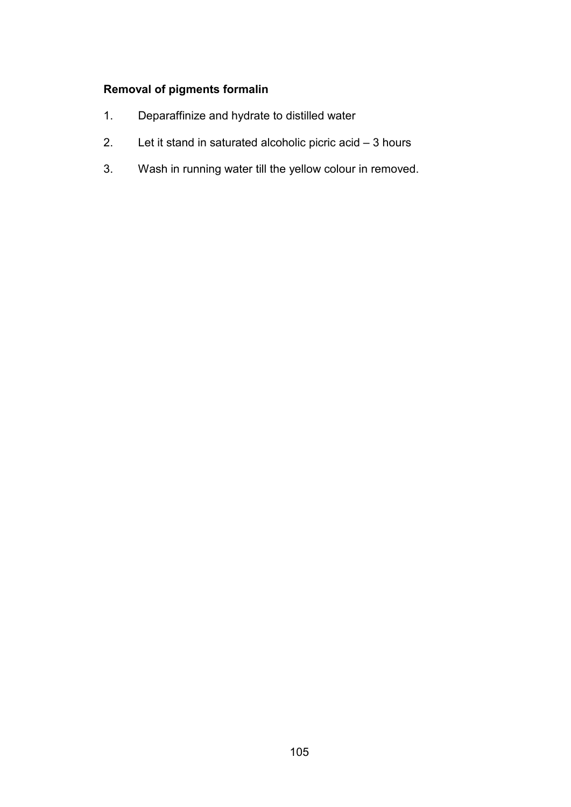# **Removal of pigments formalin**

- 1. Deparaffinize and hydrate to distilled water
- 2. Let it stand in saturated alcoholic picric acid 3 hours
- 3. Wash in running water till the yellow colour in removed.